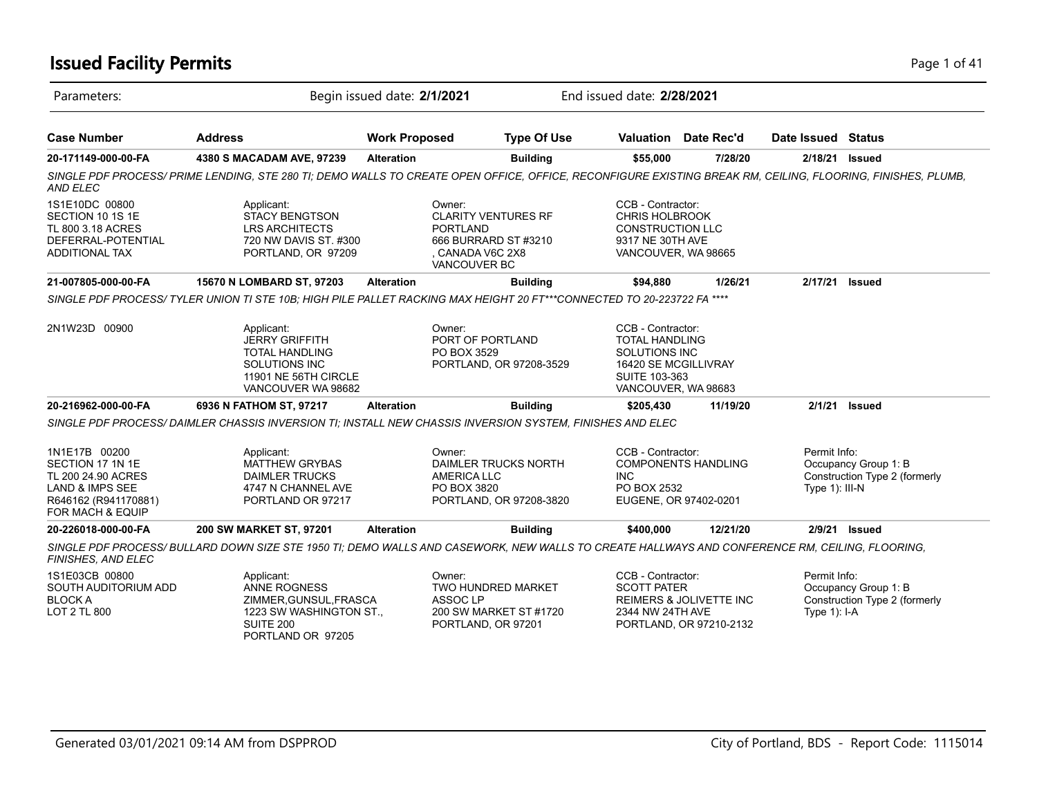## **Issued Facility Permits** Page 1 of 41

| Parameters:                                                                                                                       |                                                                                                                                                             | Begin issued date: 2/1/2021 |                                                                                                                     | End issued date: 2/28/2021                                                                                                  |                                                               |                                |                                                       |
|-----------------------------------------------------------------------------------------------------------------------------------|-------------------------------------------------------------------------------------------------------------------------------------------------------------|-----------------------------|---------------------------------------------------------------------------------------------------------------------|-----------------------------------------------------------------------------------------------------------------------------|---------------------------------------------------------------|--------------------------------|-------------------------------------------------------|
| <b>Case Number</b>                                                                                                                | <b>Address</b>                                                                                                                                              | <b>Work Proposed</b>        | <b>Type Of Use</b>                                                                                                  |                                                                                                                             | Valuation Date Rec'd                                          | Date Issued Status             |                                                       |
| 20-171149-000-00-FA                                                                                                               | 4380 S MACADAM AVE, 97239                                                                                                                                   | <b>Alteration</b>           | <b>Building</b>                                                                                                     | \$55,000                                                                                                                    | 7/28/20                                                       | 2/18/21                        | <b>Issued</b>                                         |
| <b>AND ELEC</b>                                                                                                                   | SINGLE PDF PROCESS/ PRIME LENDING, STE 280 TI; DEMO WALLS TO CREATE OPEN OFFICE, OFFICE, RECONFIGURE EXISTING BREAK RM, CEILING, FLOORING, FINISHES, PLUMB, |                             |                                                                                                                     |                                                                                                                             |                                                               |                                |                                                       |
| 1S1E10DC 00800<br>SECTION 10 1S 1E<br>TL 800 3.18 ACRES<br>DEFERRAL-POTENTIAL<br><b>ADDITIONAL TAX</b>                            | Applicant:<br><b>STACY BENGTSON</b><br><b>LRS ARCHITECTS</b><br>720 NW DAVIS ST. #300<br>PORTLAND, OR 97209                                                 |                             | Owner:<br><b>CLARITY VENTURES RF</b><br><b>PORTLAND</b><br>666 BURRARD ST #3210<br>. CANADA V6C 2X8<br>VANCOUVER BC | CCB - Contractor:<br><b>CHRIS HOLBROOK</b><br><b>CONSTRUCTION LLC</b><br>9317 NE 30TH AVE<br>VANCOUVER, WA 98665            |                                                               |                                |                                                       |
| 21-007805-000-00-FA                                                                                                               | 15670 N LOMBARD ST, 97203                                                                                                                                   | <b>Alteration</b>           | <b>Building</b>                                                                                                     | \$94,880                                                                                                                    | 1/26/21                                                       | 2/17/21                        | <b>Issued</b>                                         |
|                                                                                                                                   | SINGLE PDF PROCESS/ TYLER UNION TI STE 10B; HIGH PILE PALLET RACKING MAX HEIGHT 20 FT***CONNECTED TO 20-223722 FA ****                                      |                             |                                                                                                                     |                                                                                                                             |                                                               |                                |                                                       |
| 2N1W23D 00900                                                                                                                     | Applicant:<br><b>JERRY GRIFFITH</b><br><b>TOTAL HANDLING</b><br>SOLUTIONS INC<br>11901 NE 56TH CIRCLE<br>VANCOUVER WA 98682                                 |                             | Owner:<br>PORT OF PORTLAND<br>PO BOX 3529<br>PORTLAND, OR 97208-3529                                                | CCB - Contractor:<br><b>TOTAL HANDLING</b><br>SOLUTIONS INC<br>16420 SE MCGILLIVRAY<br>SUITE 103-363<br>VANCOUVER, WA 98683 |                                                               |                                |                                                       |
| 20-216962-000-00-FA                                                                                                               | 6936 N FATHOM ST, 97217                                                                                                                                     | <b>Alteration</b>           | <b>Building</b>                                                                                                     | \$205,430                                                                                                                   | 11/19/20                                                      | 2/1/21                         | <b>Issued</b>                                         |
|                                                                                                                                   | SINGLE PDF PROCESS/DAIMLER CHASSIS INVERSION TI; INSTALL NEW CHASSIS INVERSION SYSTEM, FINISHES AND ELEC                                                    |                             |                                                                                                                     |                                                                                                                             |                                                               |                                |                                                       |
| 1N1E17B 00200<br>SECTION 17 1N 1E<br>TL 200 24.90 ACRES<br><b>LAND &amp; IMPS SEE</b><br>R646162 (R941170881)<br>FOR MACH & EQUIP | Applicant:<br><b>MATTHEW GRYBAS</b><br><b>DAIMLER TRUCKS</b><br>4747 N CHANNEL AVE<br>PORTLAND OR 97217                                                     |                             | Owner:<br>DAIMLER TRUCKS NORTH<br><b>AMERICA LLC</b><br>PO BOX 3820<br>PORTLAND, OR 97208-3820                      | CCB - Contractor:<br><b>INC</b><br>PO BOX 2532<br>EUGENE, OR 97402-0201                                                     | <b>COMPONENTS HANDLING</b>                                    | Permit Info:<br>Type 1): III-N | Occupancy Group 1: B<br>Construction Type 2 (formerly |
| 20-226018-000-00-FA                                                                                                               | 200 SW MARKET ST, 97201                                                                                                                                     | <b>Alteration</b>           | <b>Building</b>                                                                                                     | \$400,000                                                                                                                   | 12/21/20                                                      |                                | $2/9/21$ Issued                                       |
| FINISHES, AND ELEC                                                                                                                | SINGLE PDF PROCESS/BULLARD DOWN SIZE STE 1950 TI; DEMO WALLS AND CASEWORK, NEW WALLS TO CREATE HALLWAYS AND CONFERENCE RM, CEILING, FLOORING,               |                             |                                                                                                                     |                                                                                                                             |                                                               |                                |                                                       |
| 1S1E03CB 00800<br>SOUTH AUDITORIUM ADD<br><b>BLOCKA</b><br><b>LOT 2 TL 800</b>                                                    | Applicant:<br><b>ANNE ROGNESS</b><br>ZIMMER, GUNSUL, FRASCA<br>1223 SW WASHINGTON ST.,<br>SUITE 200<br>PORTLAND OR 97205                                    |                             | Owner:<br><b>TWO HUNDRED MARKET</b><br>ASSOC <sub>LP</sub><br>200 SW MARKET ST #1720<br>PORTLAND, OR 97201          | CCB - Contractor:<br><b>SCOTT PATER</b><br>2344 NW 24TH AVE                                                                 | <b>REIMERS &amp; JOLIVETTE INC</b><br>PORTLAND, OR 97210-2132 | Permit Info:<br>Type $1$ : I-A | Occupancy Group 1: B<br>Construction Type 2 (formerly |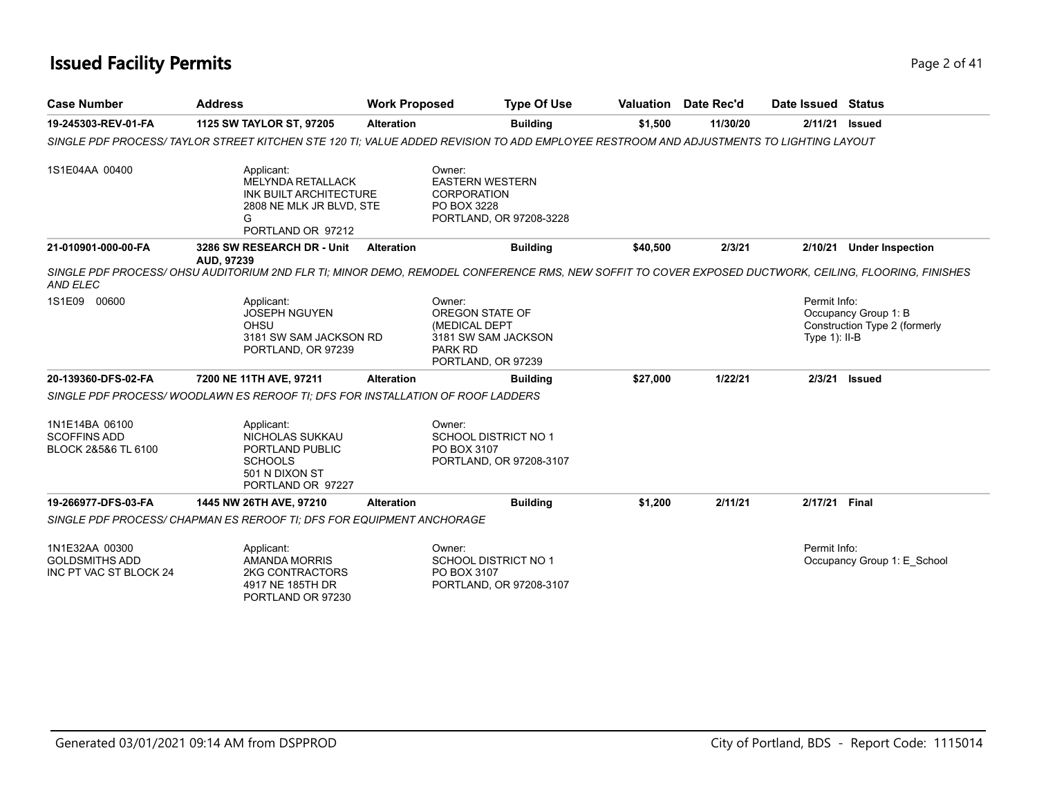## **Issued Facility Permits** Page 2 of 41

| <b>Case Number</b>                                                | <b>Address</b>                                                                                                         | <b>Work Proposed</b> | <b>Type Of Use</b>                                                                                                                                   | Valuation | Date Rec'd | Date Issued Status              |                                                       |
|-------------------------------------------------------------------|------------------------------------------------------------------------------------------------------------------------|----------------------|------------------------------------------------------------------------------------------------------------------------------------------------------|-----------|------------|---------------------------------|-------------------------------------------------------|
| 19-245303-REV-01-FA                                               | 1125 SW TAYLOR ST, 97205                                                                                               | <b>Alteration</b>    | <b>Building</b>                                                                                                                                      | \$1,500   | 11/30/20   | 2/11/21                         | <b>Issued</b>                                         |
|                                                                   |                                                                                                                        |                      | SINGLE PDF PROCESS/TAYLOR STREET KITCHEN STE 120 TI; VALUE ADDED REVISION TO ADD EMPLOYEE RESTROOM AND ADJUSTMENTS TO LIGHTING LAYOUT                |           |            |                                 |                                                       |
| 1S1E04AA 00400                                                    | Applicant:<br><b>MELYNDA RETALLACK</b><br>INK BUILT ARCHITECTURE<br>2808 NE MLK JR BLVD, STE<br>G<br>PORTLAND OR 97212 |                      | Owner:<br><b>EASTERN WESTERN</b><br><b>CORPORATION</b><br>PO BOX 3228<br>PORTLAND, OR 97208-3228                                                     |           |            |                                 |                                                       |
| 21-010901-000-00-FA                                               | 3286 SW RESEARCH DR - Unit<br>AUD. 97239                                                                               | <b>Alteration</b>    | <b>Building</b>                                                                                                                                      | \$40,500  | 2/3/21     | 2/10/21                         | <b>Under Inspection</b>                               |
| AND ELEC                                                          |                                                                                                                        |                      | SINGLE PDF PROCESS/OHSU AUDITORIUM 2ND FLR TI; MINOR DEMO, REMODEL CONFERENCE RMS, NEW SOFFIT TO COVER EXPOSED DUCTWORK, CEILING, FLOORING, FINISHES |           |            |                                 |                                                       |
| 1S1E09 00600                                                      | Applicant:<br><b>JOSEPH NGUYEN</b><br><b>OHSU</b><br>3181 SW SAM JACKSON RD<br>PORTLAND, OR 97239                      |                      | Owner:<br>OREGON STATE OF<br>(MEDICAL DEPT<br>3181 SW SAM JACKSON<br>PARK RD<br>PORTLAND, OR 97239                                                   |           |            | Permit Info:<br>Type $1$ : II-B | Occupancy Group 1: B<br>Construction Type 2 (formerly |
| 20-139360-DFS-02-FA                                               | 7200 NE 11TH AVE, 97211                                                                                                | <b>Alteration</b>    | <b>Building</b>                                                                                                                                      | \$27,000  | 1/22/21    | 2/3/21                          | <b>Issued</b>                                         |
|                                                                   | SINGLE PDF PROCESS/WOODLAWN ES REROOF TI: DFS FOR INSTALLATION OF ROOF LADDERS                                         |                      |                                                                                                                                                      |           |            |                                 |                                                       |
| 1N1E14BA 06100<br><b>SCOFFINS ADD</b><br>BLOCK 2&5&6 TL 6100      | Applicant:<br>NICHOLAS SUKKAU<br>PORTLAND PUBLIC<br><b>SCHOOLS</b><br>501 N DIXON ST<br>PORTLAND OR 97227              |                      | Owner:<br><b>SCHOOL DISTRICT NO 1</b><br>PO BOX 3107<br>PORTLAND, OR 97208-3107                                                                      |           |            |                                 |                                                       |
| 19-266977-DFS-03-FA                                               | 1445 NW 26TH AVE, 97210                                                                                                | <b>Alteration</b>    | <b>Building</b>                                                                                                                                      | \$1,200   | 2/11/21    | 2/17/21 Final                   |                                                       |
|                                                                   | SINGLE PDF PROCESS/ CHAPMAN ES REROOF TI; DFS FOR EQUIPMENT ANCHORAGE                                                  |                      |                                                                                                                                                      |           |            |                                 |                                                       |
| 1N1E32AA 00300<br><b>GOLDSMITHS ADD</b><br>INC PT VAC ST BLOCK 24 | Applicant:<br><b>AMANDA MORRIS</b><br>2KG CONTRACTORS<br>4917 NE 185TH DR<br>PORTLAND OR 97230                         |                      | Owner:<br><b>SCHOOL DISTRICT NO 1</b><br>PO BOX 3107<br>PORTLAND, OR 97208-3107                                                                      |           |            | Permit Info:                    | Occupancy Group 1: E_School                           |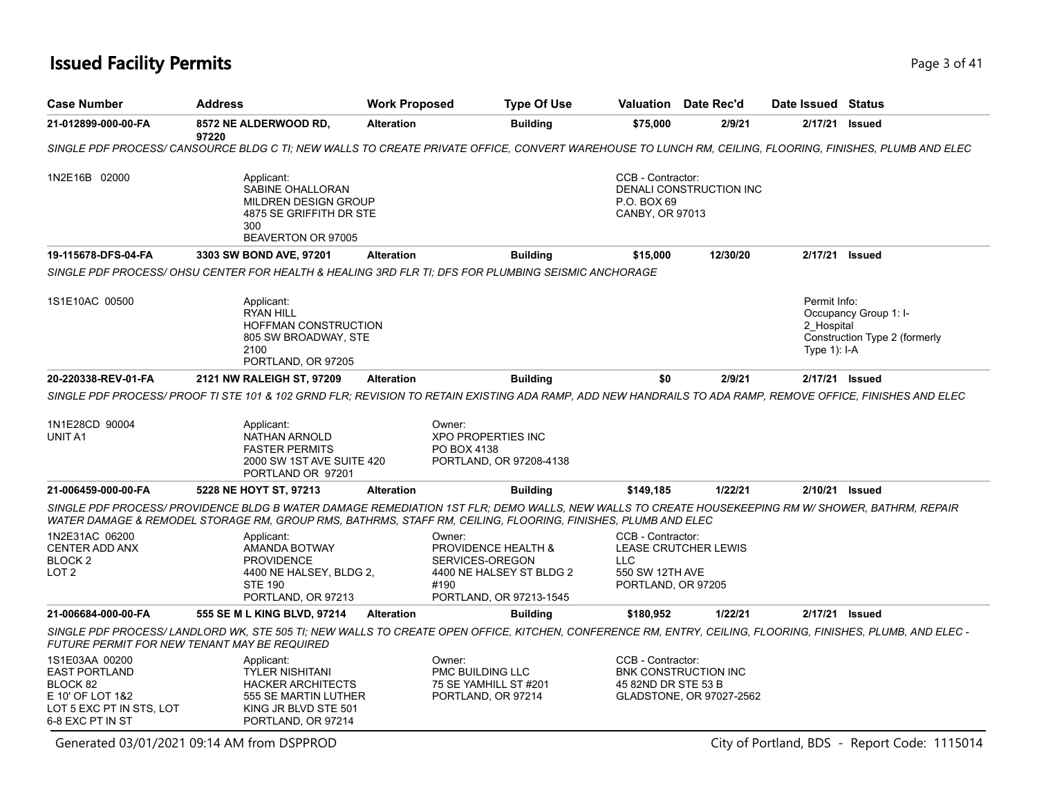## **Issued Facility Permits** Page 1 of 41

| <b>Case Number</b>                                                                                                     | <b>Address</b>                                                                                                                                                                                                                                                    | <b>Work Proposed</b> |                                                                                                                 | <b>Type Of Use</b> | Valuation                                                                | Date Rec'd                                              | Date Issued Status                           |                                                        |
|------------------------------------------------------------------------------------------------------------------------|-------------------------------------------------------------------------------------------------------------------------------------------------------------------------------------------------------------------------------------------------------------------|----------------------|-----------------------------------------------------------------------------------------------------------------|--------------------|--------------------------------------------------------------------------|---------------------------------------------------------|----------------------------------------------|--------------------------------------------------------|
| 21-012899-000-00-FA                                                                                                    | 8572 NE ALDERWOOD RD,<br>97220                                                                                                                                                                                                                                    | <b>Alteration</b>    |                                                                                                                 | <b>Building</b>    | \$75,000                                                                 | 2/9/21                                                  | 2/17/21                                      | <b>Issued</b>                                          |
|                                                                                                                        | SINGLE PDF PROCESS/ CANSOURCE BLDG C TI: NEW WALLS TO CREATE PRIVATE OFFICE. CONVERT WAREHOUSE TO LUNCH RM. CEILING. FLOORING. FINISHES. PLUMB AND ELEC                                                                                                           |                      |                                                                                                                 |                    |                                                                          |                                                         |                                              |                                                        |
| 1N2E16B 02000                                                                                                          | Applicant:<br>SABINE OHALLORAN<br>MILDREN DESIGN GROUP<br>4875 SE GRIFFITH DR STE<br>300<br>BEAVERTON OR 97005                                                                                                                                                    |                      |                                                                                                                 |                    | CCB - Contractor:<br>P.O. BOX 69<br>CANBY, OR 97013                      | DENALI CONSTRUCTION INC                                 |                                              |                                                        |
| 19-115678-DFS-04-FA                                                                                                    | 3303 SW BOND AVE, 97201                                                                                                                                                                                                                                           | <b>Alteration</b>    |                                                                                                                 | <b>Building</b>    | \$15,000                                                                 | 12/30/20                                                | 2/17/21 Issued                               |                                                        |
|                                                                                                                        | SINGLE PDF PROCESS/OHSU CENTER FOR HEALTH & HEALING 3RD FLR TI; DFS FOR PLUMBING SEISMIC ANCHORAGE                                                                                                                                                                |                      |                                                                                                                 |                    |                                                                          |                                                         |                                              |                                                        |
| 1S1E10AC 00500                                                                                                         | Applicant:<br><b>RYAN HILL</b><br>HOFFMAN CONSTRUCTION<br>805 SW BROADWAY, STE<br>2100<br>PORTLAND, OR 97205                                                                                                                                                      |                      |                                                                                                                 |                    |                                                                          |                                                         | Permit Info:<br>2 Hospital<br>Type $1$ : I-A | Occupancy Group 1: I-<br>Construction Type 2 (formerly |
| 20-220338-REV-01-FA                                                                                                    | 2121 NW RALEIGH ST, 97209                                                                                                                                                                                                                                         | <b>Alteration</b>    |                                                                                                                 | <b>Building</b>    | \$0                                                                      | 2/9/21                                                  | 2/17/21 Issued                               |                                                        |
| 1N1E28CD 90004<br>UNIT A1                                                                                              | Applicant:<br><b>NATHAN ARNOLD</b><br><b>FASTER PERMITS</b><br>2000 SW 1ST AVE SUITE 420<br>PORTLAND OR 97201                                                                                                                                                     |                      | Owner:<br><b>XPO PROPERTIES INC</b><br>PO BOX 4138<br>PORTLAND, OR 97208-4138                                   |                    |                                                                          |                                                         |                                              |                                                        |
| 21-006459-000-00-FA                                                                                                    | 5228 NE HOYT ST, 97213                                                                                                                                                                                                                                            | <b>Alteration</b>    |                                                                                                                 | <b>Building</b>    | \$149,185                                                                | 1/22/21                                                 | 2/10/21 Issued                               |                                                        |
|                                                                                                                        | SINGLE PDF PROCESS/ PROVIDENCE BLDG B WATER DAMAGE REMEDIATION 1ST FLR; DEMO WALLS, NEW WALLS TO CREATE HOUSEKEEPING RM W/ SHOWER, BATHRM, REPAIR<br>WATER DAMAGE & REMODEL STORAGE RM, GROUP RMS, BATHRMS, STAFF RM, CEILING, FLOORING, FINISHES, PLUMB AND ELEC |                      |                                                                                                                 |                    |                                                                          |                                                         |                                              |                                                        |
| 1N2E31AC 06200<br><b>CENTER ADD ANX</b><br>BLOCK <sub>2</sub><br>LOT <sub>2</sub>                                      | Applicant:<br>AMANDA BOTWAY<br><b>PROVIDENCE</b><br>4400 NE HALSEY, BLDG 2,<br><b>STE 190</b><br>PORTLAND, OR 97213                                                                                                                                               |                      | Owner:<br>PROVIDENCE HEALTH &<br>SERVICES-OREGON<br>4400 NE HALSEY ST BLDG 2<br>#190<br>PORTLAND, OR 97213-1545 |                    | CCB - Contractor:<br><b>LLC</b><br>550 SW 12TH AVE<br>PORTLAND, OR 97205 | LEASE CRUTCHER LEWIS                                    |                                              |                                                        |
| 21-006684-000-00-FA                                                                                                    | 555 SE M L KING BLVD, 97214                                                                                                                                                                                                                                       | <b>Alteration</b>    |                                                                                                                 | <b>Building</b>    | \$180,952                                                                | 1/22/21                                                 | 2/17/21 Issued                               |                                                        |
|                                                                                                                        | SINGLE PDF PROCESS/ LANDLORD WK, STE 505 TI; NEW WALLS TO CREATE OPEN OFFICE, KITCHEN, CONFERENCE RM, ENTRY, CEILING, FLOORING, FINISHES, PLUMB, AND ELEC -<br>FUTURE PERMIT FOR NEW TENANT MAY BE REQUIRED                                                       |                      |                                                                                                                 |                    |                                                                          |                                                         |                                              |                                                        |
| 1S1E03AA 00200<br><b>EAST PORTLAND</b><br>BLOCK 82<br>E 10' OF LOT 1&2<br>LOT 5 EXC PT IN STS, LOT<br>6-8 EXC PT IN ST | Applicant:<br><b>TYLER NISHITANI</b><br><b>HACKER ARCHITECTS</b><br>555 SE MARTIN LUTHER<br>KING JR BLVD STE 501<br>PORTLAND, OR 97214                                                                                                                            |                      | Owner:<br>PMC BUILDING LLC<br>75 SE YAMHILL ST #201<br>PORTLAND, OR 97214                                       |                    | CCB - Contractor:<br>45 82ND DR STE 53 B                                 | <b>BNK CONSTRUCTION INC</b><br>GLADSTONE, OR 97027-2562 |                                              |                                                        |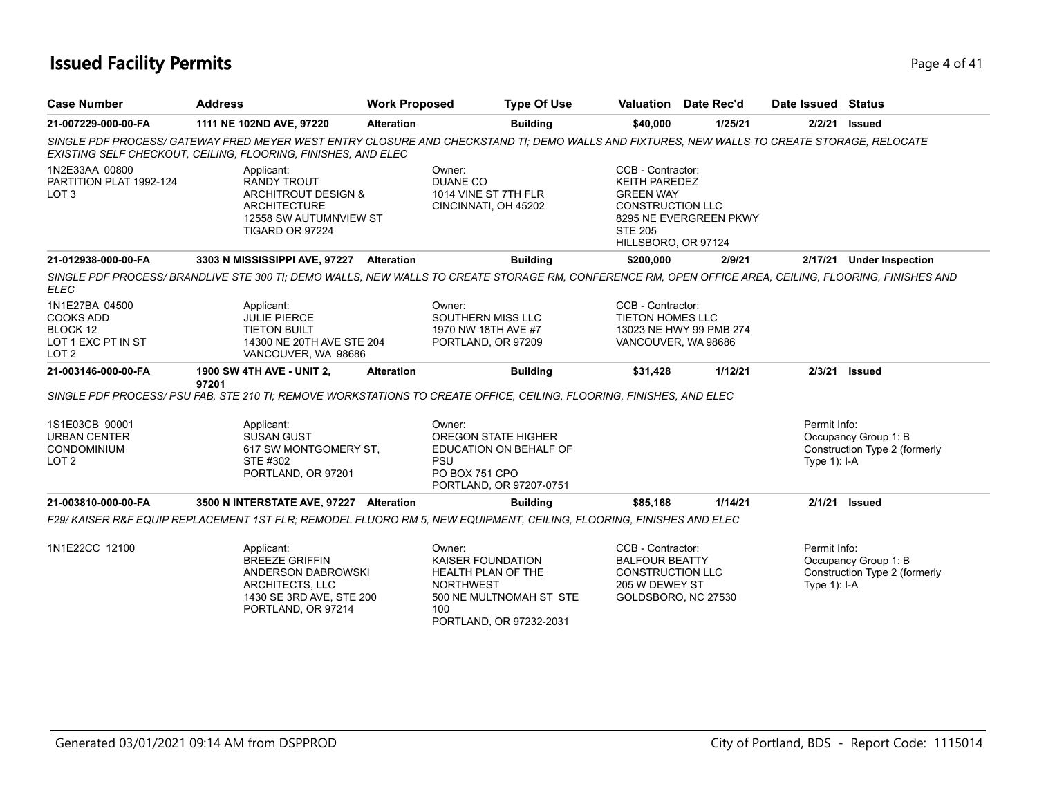## **Issued Facility Permits** Page 4 of 41

| <b>Case Number</b>                                                                       | <b>Address</b>                                                                                                                                                                                               | <b>Work Proposed</b> |                                                                                     | <b>Type Of Use</b>                                 |                                                                                                                                   | Valuation Date Rec'd    | Date Issued Status             |                                                       |
|------------------------------------------------------------------------------------------|--------------------------------------------------------------------------------------------------------------------------------------------------------------------------------------------------------------|----------------------|-------------------------------------------------------------------------------------|----------------------------------------------------|-----------------------------------------------------------------------------------------------------------------------------------|-------------------------|--------------------------------|-------------------------------------------------------|
| 21-007229-000-00-FA                                                                      | 1111 NE 102ND AVE, 97220                                                                                                                                                                                     | <b>Alteration</b>    |                                                                                     | <b>Building</b>                                    | \$40,000                                                                                                                          | 1/25/21                 | 2/2/21                         | <b>Issued</b>                                         |
|                                                                                          | SINGLE PDF PROCESS/ GATEWAY FRED MEYER WEST ENTRY CLOSURE AND CHECKSTAND TI; DEMO WALLS AND FIXTURES, NEW WALLS TO CREATE STORAGE, RELOCATE<br>EXISTING SELF CHECKOUT, CEILING, FLOORING, FINISHES, AND ELEC |                      |                                                                                     |                                                    |                                                                                                                                   |                         |                                |                                                       |
| 1N2E33AA 00800<br>PARTITION PLAT 1992-124<br>LOT <sub>3</sub>                            | Applicant:<br><b>RANDY TROUT</b><br>ARCHITROUT DESIGN &<br><b>ARCHITECTURE</b><br>12558 SW AUTUMNVIEW ST<br>TIGARD OR 97224                                                                                  |                      | Owner:<br><b>DUANE CO</b><br>1014 VINE ST 7TH FLR<br>CINCINNATI, OH 45202           |                                                    | CCB - Contractor:<br><b>KEITH PAREDEZ</b><br><b>GREEN WAY</b><br><b>CONSTRUCTION LLC</b><br><b>STE 205</b><br>HILLSBORO, OR 97124 | 8295 NE EVERGREEN PKWY  |                                |                                                       |
| 21-012938-000-00-FA                                                                      | 3303 N MISSISSIPPI AVE, 97227 Alteration                                                                                                                                                                     |                      |                                                                                     | <b>Building</b>                                    | \$200,000                                                                                                                         | 2/9/21                  |                                | 2/17/21 Under Inspection                              |
| <b>ELEC</b>                                                                              | SINGLE PDF PROCESS/ BRANDLIVE STE 300 TI; DEMO WALLS, NEW WALLS TO CREATE STORAGE RM, CONFERENCE RM, OPEN OFFICE AREA, CEILING, FLOORING, FINISHES AND                                                       |                      |                                                                                     |                                                    |                                                                                                                                   |                         |                                |                                                       |
| 1N1E27BA 04500<br><b>COOKS ADD</b><br>BLOCK 12<br>LOT 1 EXC PT IN ST<br>LOT <sub>2</sub> | Applicant:<br><b>JULIE PIERCE</b><br><b>TIETON BUILT</b><br>14300 NE 20TH AVE STE 204<br>VANCOUVER, WA 98686                                                                                                 |                      | Owner:<br>SOUTHERN MISS LLC<br>1970 NW 18TH AVE #7<br>PORTLAND, OR 97209            |                                                    | CCB - Contractor:<br><b>TIETON HOMES LLC</b><br>VANCOUVER, WA 98686                                                               | 13023 NE HWY 99 PMB 274 |                                |                                                       |
| 21-003146-000-00-FA                                                                      | <b>1900 SW 4TH AVE - UNIT 2.</b><br>97201                                                                                                                                                                    | <b>Alteration</b>    |                                                                                     | <b>Building</b>                                    | \$31,428                                                                                                                          | 1/12/21                 |                                | 2/3/21 Issued                                         |
|                                                                                          | SINGLE PDF PROCESS/PSU FAB. STE 210 TI: REMOVE WORKSTATIONS TO CREATE OFFICE, CEILING, FLOORING, FINISHES, AND ELEC                                                                                          |                      |                                                                                     |                                                    |                                                                                                                                   |                         |                                |                                                       |
| 1S1E03CB 90001<br><b>URBAN CENTER</b><br>CONDOMINIUM<br>LOT <sub>2</sub>                 | Applicant:<br><b>SUSAN GUST</b><br>617 SW MONTGOMERY ST,<br>STE #302<br>PORTLAND, OR 97201                                                                                                                   |                      | Owner:<br><b>OREGON STATE HIGHER</b><br><b>PSU</b><br>PO BOX 751 CPO                | EDUCATION ON BEHALF OF<br>PORTLAND, OR 97207-0751  |                                                                                                                                   |                         | Permit Info:<br>Type $1$ : I-A | Occupancy Group 1: B<br>Construction Type 2 (formerly |
| 21-003810-000-00-FA                                                                      | 3500 N INTERSTATE AVE, 97227 Alteration                                                                                                                                                                      |                      |                                                                                     | <b>Building</b>                                    | \$85,168                                                                                                                          | 1/14/21                 |                                | 2/1/21 <b>Issued</b>                                  |
|                                                                                          | F29/KAISER R&F EQUIP REPLACEMENT 1ST FLR: REMODEL FLUORO RM 5, NEW EQUIPMENT, CEILING, FLOORING, FINISHES AND ELEC                                                                                           |                      |                                                                                     |                                                    |                                                                                                                                   |                         |                                |                                                       |
| 1N1E22CC 12100                                                                           | Applicant:<br><b>BREEZE GRIFFIN</b><br>ANDERSON DABROWSKI<br>ARCHITECTS, LLC<br>1430 SE 3RD AVE, STE 200<br>PORTLAND, OR 97214                                                                               |                      | Owner:<br>KAISER FOUNDATION<br><b>HEALTH PLAN OF THE</b><br><b>NORTHWEST</b><br>100 | 500 NE MULTNOMAH ST STE<br>PORTLAND, OR 97232-2031 | CCB - Contractor:<br><b>BALFOUR BEATTY</b><br><b>CONSTRUCTION LLC</b><br>205 W DEWEY ST<br>GOLDSBORO, NC 27530                    |                         | Permit Info:<br>Type $1$ : I-A | Occupancy Group 1: B<br>Construction Type 2 (formerly |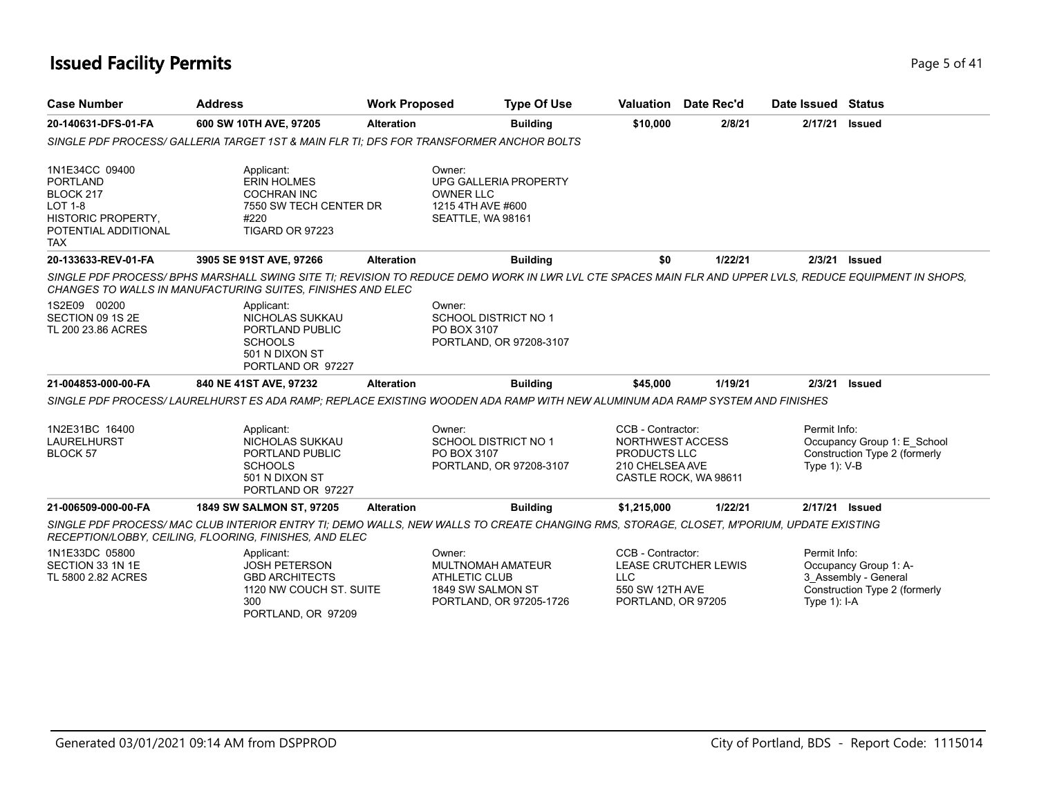## **Issued Facility Permits** Page 1 of 41

| <b>Case Number</b>                                                                                                           | <b>Address</b>                                                                                                                                                                                                        | <b>Work Proposed</b> | <b>Type Of Use</b>                                                                                  |                                                                                                   | Valuation Date Rec'd        | Date Issued Status             |                                                                                |
|------------------------------------------------------------------------------------------------------------------------------|-----------------------------------------------------------------------------------------------------------------------------------------------------------------------------------------------------------------------|----------------------|-----------------------------------------------------------------------------------------------------|---------------------------------------------------------------------------------------------------|-----------------------------|--------------------------------|--------------------------------------------------------------------------------|
| 20-140631-DFS-01-FA                                                                                                          | 600 SW 10TH AVE, 97205                                                                                                                                                                                                | <b>Alteration</b>    | <b>Building</b>                                                                                     | \$10,000                                                                                          | 2/8/21                      | 2/17/21                        | <b>Issued</b>                                                                  |
|                                                                                                                              | SINGLE PDF PROCESS/ GALLERIA TARGET 1ST & MAIN FLR TI: DFS FOR TRANSFORMER ANCHOR BOLTS                                                                                                                               |                      |                                                                                                     |                                                                                                   |                             |                                |                                                                                |
| 1N1E34CC 09400<br><b>PORTLAND</b><br>BLOCK 217<br>LOT 1-8<br><b>HISTORIC PROPERTY,</b><br>POTENTIAL ADDITIONAL<br><b>TAX</b> | Applicant:<br><b>ERIN HOLMES</b><br><b>COCHRAN INC</b><br>7550 SW TECH CENTER DR<br>#220<br>TIGARD OR 97223                                                                                                           |                      | Owner:<br>UPG GALLERIA PROPERTY<br><b>OWNER LLC</b><br>1215 4TH AVE #600<br>SEATTLE, WA 98161       |                                                                                                   |                             |                                |                                                                                |
| 20-133633-REV-01-FA                                                                                                          | 3905 SE 91ST AVE, 97266                                                                                                                                                                                               | <b>Alteration</b>    | <b>Building</b>                                                                                     | \$0                                                                                               | 1/22/21                     |                                | 2/3/21 Issued                                                                  |
|                                                                                                                              | SINGLE PDF PROCESS/BPHS MARSHALL SWING SITE TI; REVISION TO REDUCE DEMO WORK IN LWR LVL CTE SPACES MAIN FLR AND UPPER LVLS. REDUCE EQUIPMENT IN SHOPS.<br>CHANGES TO WALLS IN MANUFACTURING SUITES, FINISHES AND ELEC |                      |                                                                                                     |                                                                                                   |                             |                                |                                                                                |
| 1S2E09 00200<br>SECTION 09 1S 2E<br>TL 200 23.86 ACRES                                                                       | Applicant:<br>NICHOLAS SUKKAU<br>PORTLAND PUBLIC<br><b>SCHOOLS</b><br>501 N DIXON ST<br>PORTLAND OR 97227                                                                                                             |                      | Owner:<br><b>SCHOOL DISTRICT NO 1</b><br>PO BOX 3107<br>PORTLAND, OR 97208-3107                     |                                                                                                   |                             |                                |                                                                                |
| 21-004853-000-00-FA                                                                                                          | 840 NE 41ST AVE, 97232                                                                                                                                                                                                | <b>Alteration</b>    | <b>Building</b>                                                                                     | \$45,000                                                                                          | 1/19/21                     | 2/3/21                         | <b>Issued</b>                                                                  |
|                                                                                                                              | SINGLE PDF PROCESS/ LAURELHURST ES ADA RAMP; REPLACE EXISTING WOODEN ADA RAMP WITH NEW ALUMINUM ADA RAMP SYSTEM AND FINISHES                                                                                          |                      |                                                                                                     |                                                                                                   |                             |                                |                                                                                |
| 1N2E31BC 16400<br>LAURELHURST<br><b>BLOCK 57</b>                                                                             | Applicant:<br>NICHOLAS SUKKAU<br>PORTLAND PUBLIC<br><b>SCHOOLS</b><br>501 N DIXON ST<br>PORTLAND OR 97227                                                                                                             |                      | Owner:<br><b>SCHOOL DISTRICT NO 1</b><br>PO BOX 3107<br>PORTLAND, OR 97208-3107                     | CCB - Contractor:<br>NORTHWEST ACCESS<br>PRODUCTS LLC<br>210 CHELSEA AVE<br>CASTLE ROCK, WA 98611 |                             | Permit Info:<br>Type 1): V-B   | Occupancy Group 1: E_School<br>Construction Type 2 (formerly                   |
| 21-006509-000-00-FA                                                                                                          | <b>1849 SW SALMON ST, 97205</b>                                                                                                                                                                                       | <b>Alteration</b>    | <b>Building</b>                                                                                     | \$1,215,000                                                                                       | 1/22/21                     | 2/17/21 Issued                 |                                                                                |
|                                                                                                                              | SINGLE PDF PROCESS/MAC CLUB INTERIOR ENTRY TI; DEMO WALLS, NEW WALLS TO CREATE CHANGING RMS, STORAGE, CLOSET, M'PORIUM, UPDATE EXISTING<br>RECEPTION/LOBBY, CEILING, FLOORING, FINISHES, AND ELEC                     |                      |                                                                                                     |                                                                                                   |                             |                                |                                                                                |
| 1N1E33DC 05800<br>SECTION 33 1N 1E<br>TL 5800 2.82 ACRES                                                                     | Applicant:<br><b>JOSH PETERSON</b><br><b>GBD ARCHITECTS</b><br>1120 NW COUCH ST. SUITE<br>300<br>PORTLAND, OR 97209                                                                                                   |                      | Owner:<br>MULTNOMAH AMATEUR<br><b>ATHLETIC CLUB</b><br>1849 SW SALMON ST<br>PORTLAND, OR 97205-1726 | CCB - Contractor:<br><b>LLC</b><br>550 SW 12TH AVE<br>PORTLAND, OR 97205                          | <b>LEASE CRUTCHER LEWIS</b> | Permit Info:<br>Type $1$ : I-A | Occupancy Group 1: A-<br>3 Assembly - General<br>Construction Type 2 (formerly |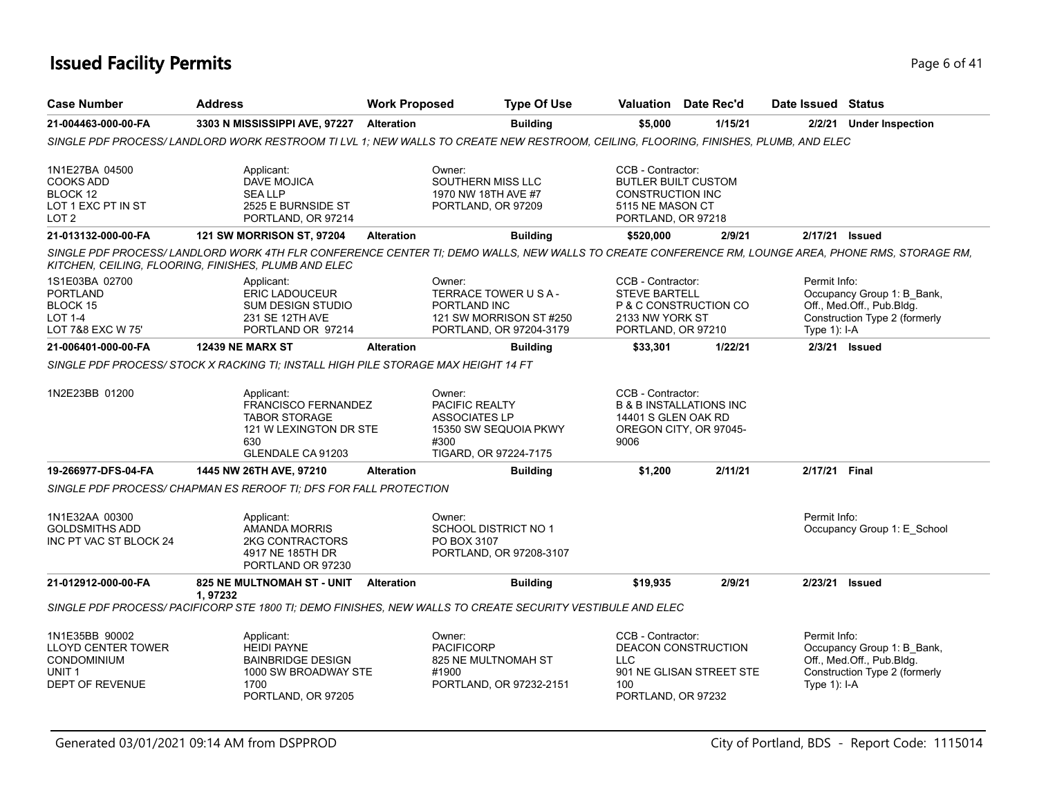## **Issued Facility Permits** Page 6 of 41

| <b>Case Number</b>                                                                                               | <b>Address</b>                                                                                                                                                                                            | <b>Work Proposed</b> | <b>Type Of Use</b>                                                                                         |                                                                                                                      | Valuation Date Rec'd                                         | Date Issued Status             |                                                                                          |
|------------------------------------------------------------------------------------------------------------------|-----------------------------------------------------------------------------------------------------------------------------------------------------------------------------------------------------------|----------------------|------------------------------------------------------------------------------------------------------------|----------------------------------------------------------------------------------------------------------------------|--------------------------------------------------------------|--------------------------------|------------------------------------------------------------------------------------------|
| 21-004463-000-00-FA                                                                                              | 3303 N MISSISSIPPI AVE, 97227 Alteration                                                                                                                                                                  |                      | <b>Building</b>                                                                                            | \$5,000                                                                                                              | 1/15/21                                                      |                                | 2/2/21 Under Inspection                                                                  |
|                                                                                                                  | SINGLE PDF PROCESS/ LANDLORD WORK RESTROOM TI LVL 1: NEW WALLS TO CREATE NEW RESTROOM. CEILING. FLOORING. FINISHES. PLUMB. AND ELEC                                                                       |                      |                                                                                                            |                                                                                                                      |                                                              |                                |                                                                                          |
| 1N1E27BA 04500<br><b>COOKS ADD</b><br>BLOCK 12<br>LOT 1 EXC PT IN ST<br>LOT <sub>2</sub>                         | Applicant:<br>DAVE MOJICA<br><b>SEALLP</b><br>2525 E BURNSIDE ST<br>PORTLAND, OR 97214                                                                                                                    |                      | Owner:<br>SOUTHERN MISS LLC<br>1970 NW 18TH AVE #7<br>PORTLAND, OR 97209                                   | CCB - Contractor:<br><b>BUTLER BUILT CUSTOM</b><br><b>CONSTRUCTION INC</b><br>5115 NE MASON CT<br>PORTLAND, OR 97218 |                                                              |                                |                                                                                          |
| 21-013132-000-00-FA                                                                                              | 121 SW MORRISON ST, 97204                                                                                                                                                                                 | <b>Alteration</b>    | <b>Building</b>                                                                                            | \$520,000                                                                                                            | 2/9/21                                                       |                                | 2/17/21 Issued                                                                           |
|                                                                                                                  | SINGLE PDF PROCESS/LANDLORD WORK 4TH FLR CONFERENCE CENTER TI; DEMO WALLS, NEW WALLS TO CREATE CONFERENCE RM, LOUNGE AREA, PHONE RMS, STORAGE RM,<br>KITCHEN, CEILING, FLOORING, FINISHES, PLUMB AND ELEC |                      |                                                                                                            |                                                                                                                      |                                                              |                                |                                                                                          |
| 1S1E03BA 02700<br><b>PORTLAND</b><br>BLOCK 15<br>LOT 1-4<br>LOT 7&8 EXC W 75'                                    | Applicant:<br><b>ERIC LADOUCEUR</b><br><b>SUM DESIGN STUDIO</b><br>231 SE 12TH AVE<br>PORTLAND OR 97214                                                                                                   |                      | Owner:<br>TERRACE TOWER U S A -<br>PORTLAND INC<br>121 SW MORRISON ST #250<br>PORTLAND, OR 97204-3179      | CCB - Contractor:<br><b>STEVE BARTELL</b><br>2133 NW YORK ST<br>PORTLAND, OR 97210                                   | P & C CONSTRUCTION CO                                        | Permit Info:<br>Type $1$ : I-A | Occupancy Group 1: B_Bank,<br>Off., Med.Off., Pub.Bldg.<br>Construction Type 2 (formerly |
| 21-006401-000-00-FA                                                                                              | <b>12439 NE MARX ST</b>                                                                                                                                                                                   | <b>Alteration</b>    | <b>Building</b>                                                                                            | \$33,301                                                                                                             | 1/22/21                                                      |                                | 2/3/21 Issued                                                                            |
|                                                                                                                  | SINGLE PDF PROCESS/ STOCK X RACKING TI: INSTALL HIGH PILE STORAGE MAX HEIGHT 14 FT                                                                                                                        |                      |                                                                                                            |                                                                                                                      |                                                              |                                |                                                                                          |
| 1N2E23BB 01200                                                                                                   | Applicant:<br>FRANCISCO FERNANDEZ<br><b>TABOR STORAGE</b><br>121 W LEXINGTON DR STE<br>630<br>GLENDALE CA 91203                                                                                           |                      | Owner:<br>PACIFIC REALTY<br><b>ASSOCIATES LP</b><br>15350 SW SEQUOIA PKWY<br>#300<br>TIGARD, OR 97224-7175 | CCB - Contractor:<br>14401 S GLEN OAK RD<br>9006                                                                     | <b>B &amp; B INSTALLATIONS INC</b><br>OREGON CITY, OR 97045- |                                |                                                                                          |
| 19-266977-DFS-04-FA                                                                                              | 1445 NW 26TH AVE, 97210                                                                                                                                                                                   | <b>Alteration</b>    | <b>Building</b>                                                                                            | \$1,200                                                                                                              | 2/11/21                                                      | 2/17/21 Final                  |                                                                                          |
|                                                                                                                  | SINGLE PDF PROCESS/ CHAPMAN ES REROOF TI; DFS FOR FALL PROTECTION                                                                                                                                         |                      |                                                                                                            |                                                                                                                      |                                                              |                                |                                                                                          |
| 1N1E32AA 00300<br><b>GOLDSMITHS ADD</b><br>INC PT VAC ST BLOCK 24                                                | Applicant:<br><b>AMANDA MORRIS</b><br>2KG CONTRACTORS<br>4917 NE 185TH DR<br>PORTLAND OR 97230                                                                                                            |                      | Owner:<br><b>SCHOOL DISTRICT NO 1</b><br>PO BOX 3107<br>PORTLAND, OR 97208-3107                            |                                                                                                                      |                                                              | Permit Info:                   | Occupancy Group 1: E_School                                                              |
| 21-012912-000-00-FA                                                                                              | <b>825 NE MULTNOMAH ST - UNIT</b>                                                                                                                                                                         | <b>Alteration</b>    | <b>Building</b>                                                                                            | \$19,935                                                                                                             | 2/9/21                                                       |                                | 2/23/21 Issued                                                                           |
|                                                                                                                  | 1,97232<br>SINGLE PDF PROCESS/ PACIFICORP STE 1800 TI; DEMO FINISHES, NEW WALLS TO CREATE SECURITY VESTIBULE AND ELEC                                                                                     |                      |                                                                                                            |                                                                                                                      |                                                              |                                |                                                                                          |
| 1N1E35BB 90002<br><b>LLOYD CENTER TOWER</b><br><b>CONDOMINIUM</b><br>UNIT <sub>1</sub><br><b>DEPT OF REVENUE</b> | Applicant:<br><b>HEIDI PAYNE</b><br><b>BAINBRIDGE DESIGN</b><br>1000 SW BROADWAY STE<br>1700<br>PORTLAND, OR 97205                                                                                        |                      | Owner:<br><b>PACIFICORP</b><br>825 NE MULTNOMAH ST<br>#1900<br>PORTLAND, OR 97232-2151                     | CCB - Contractor:<br>LLC<br>100<br>PORTLAND, OR 97232                                                                | DEACON CONSTRUCTION<br>901 NE GLISAN STREET STE              | Permit Info:<br>Type 1): I-A   | Occupancy Group 1: B_Bank,<br>Off., Med.Off., Pub.Bldg.<br>Construction Type 2 (formerly |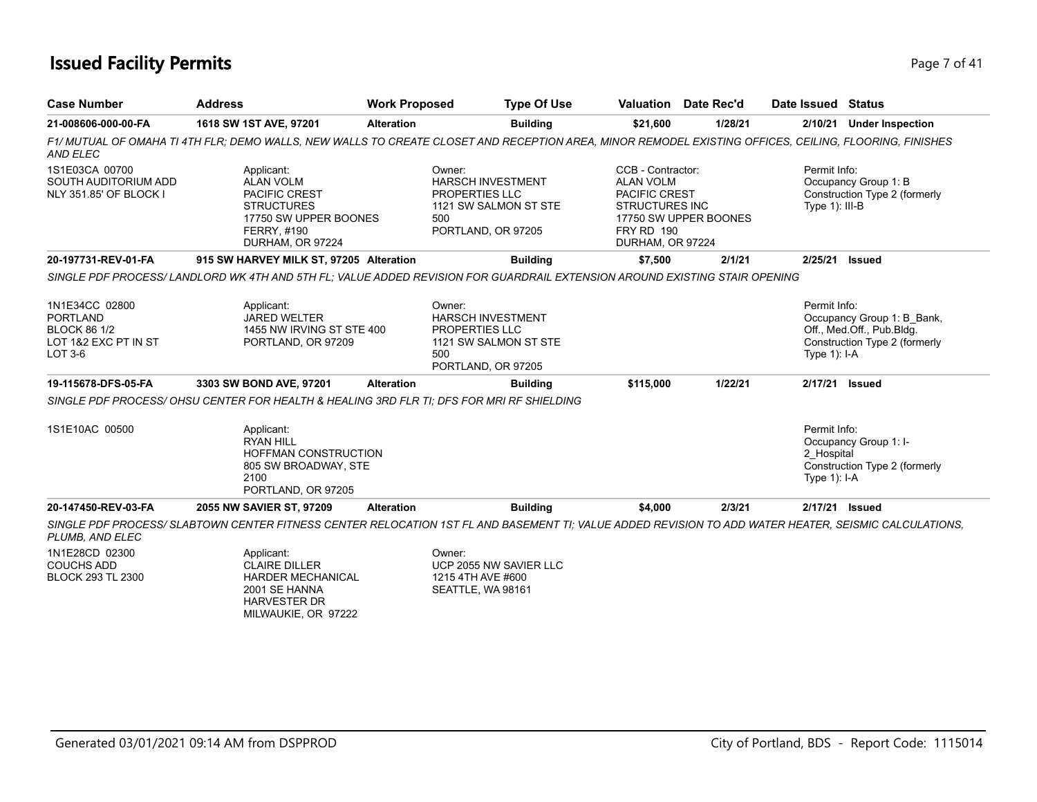## **Issued Facility Permits** Page 7 of 41

| <b>Case Number</b>                                                                          | <b>Address</b>                                                                                                                                         | <b>Work Proposed</b> | <b>Type Of Use</b>                                                                                         |                                                                                                                                 | <b>Valuation</b> Date Rec'd | Date Issued Status                           |                                                                                          |
|---------------------------------------------------------------------------------------------|--------------------------------------------------------------------------------------------------------------------------------------------------------|----------------------|------------------------------------------------------------------------------------------------------------|---------------------------------------------------------------------------------------------------------------------------------|-----------------------------|----------------------------------------------|------------------------------------------------------------------------------------------|
| 21-008606-000-00-FA                                                                         | 1618 SW 1ST AVE, 97201                                                                                                                                 | <b>Alteration</b>    | <b>Building</b>                                                                                            | \$21,600                                                                                                                        | 1/28/21                     | 2/10/21                                      | <b>Under Inspection</b>                                                                  |
| AND ELEC                                                                                    | F1/ MUTUAL OF OMAHA TI 4TH FLR; DEMO WALLS, NEW WALLS TO CREATE CLOSET AND RECEPTION AREA, MINOR REMODEL EXISTING OFFICES, CEILING, FLOORING, FINISHES |                      |                                                                                                            |                                                                                                                                 |                             |                                              |                                                                                          |
| 1S1E03CA 00700<br>SOUTH AUDITORIUM ADD<br>NLY 351.85' OF BLOCK I                            | Applicant:<br><b>ALAN VOLM</b><br>PACIFIC CREST<br><b>STRUCTURES</b><br>17750 SW UPPER BOONES<br>FERRY, #190<br>DURHAM, OR 97224                       |                      | Owner:<br><b>HARSCH INVESTMENT</b><br>PROPERTIES LLC<br>1121 SW SALMON ST STE<br>500<br>PORTLAND, OR 97205 | CCB - Contractor:<br><b>ALAN VOLM</b><br><b>PACIFIC CREST</b><br><b>STRUCTURES INC</b><br><b>FRY RD 190</b><br>DURHAM, OR 97224 | 17750 SW UPPER BOONES       | Permit Info:<br>Type 1): III-B               | Occupancy Group 1: B<br>Construction Type 2 (formerly                                    |
| 20-197731-REV-01-FA                                                                         | 915 SW HARVEY MILK ST, 97205 Alteration                                                                                                                |                      | <b>Building</b>                                                                                            | \$7,500                                                                                                                         | 2/1/21                      | 2/25/21                                      | <b>Issued</b>                                                                            |
|                                                                                             | SINGLE PDF PROCESS/ LANDLORD WK 4TH AND 5TH FL: VALUE ADDED REVISION FOR GUARDRAIL EXTENSION AROUND EXISTING STAIR OPENING                             |                      |                                                                                                            |                                                                                                                                 |                             |                                              |                                                                                          |
| 1N1E34CC 02800<br><b>PORTLAND</b><br><b>BLOCK 86 1/2</b><br>LOT 1&2 EXC PT IN ST<br>LOT 3-6 | Applicant:<br><b>JARED WELTER</b><br>1455 NW IRVING ST STE 400<br>PORTLAND, OR 97209                                                                   |                      | Owner:<br><b>HARSCH INVESTMENT</b><br>PROPERTIES LLC<br>1121 SW SALMON ST STE<br>500<br>PORTLAND, OR 97205 |                                                                                                                                 |                             | Permit Info:<br>Type $1$ : I-A               | Occupancy Group 1: B Bank,<br>Off., Med.Off., Pub.Bldg.<br>Construction Type 2 (formerly |
| 19-115678-DFS-05-FA                                                                         | 3303 SW BOND AVE, 97201                                                                                                                                | <b>Alteration</b>    | <b>Building</b>                                                                                            | \$115,000                                                                                                                       | 1/22/21                     | 2/17/21 Issued                               |                                                                                          |
|                                                                                             | SINGLE PDF PROCESS/OHSU CENTER FOR HEALTH & HEALING 3RD FLR TI; DFS FOR MRI RF SHIELDING                                                               |                      |                                                                                                            |                                                                                                                                 |                             |                                              |                                                                                          |
| 1S1E10AC 00500                                                                              | Applicant:<br><b>RYAN HILL</b><br>HOFFMAN CONSTRUCTION<br>805 SW BROADWAY, STE<br>2100<br>PORTLAND, OR 97205                                           |                      |                                                                                                            |                                                                                                                                 |                             | Permit Info:<br>2 Hospital<br>Type $1$ : I-A | Occupancy Group 1: I-<br>Construction Type 2 (formerly                                   |
| 20-147450-REV-03-FA                                                                         | 2055 NW SAVIER ST, 97209                                                                                                                               | <b>Alteration</b>    | <b>Building</b>                                                                                            | \$4,000                                                                                                                         | 2/3/21                      | 2/17/21 Issued                               |                                                                                          |
| PLUMB, AND ELEC                                                                             | SINGLE PDF PROCESS/SLABTOWN CENTER FITNESS CENTER RELOCATION 1ST FL AND BASEMENT TI; VALUE ADDED REVISION TO ADD WATER HEATER, SEISMIC CALCULATIONS,   |                      |                                                                                                            |                                                                                                                                 |                             |                                              |                                                                                          |
| 1N1E28CD 02300<br><b>COUCHS ADD</b><br>BLOCK 293 TL 2300                                    | Applicant:<br><b>CLAIRE DILLER</b><br><b>HARDER MECHANICAL</b><br>2001 SE HANNA<br><b>HARVESTER DR</b><br>MILWAUKIE, OR 97222                          |                      | Owner:<br>UCP 2055 NW SAVIER LLC<br>1215 4TH AVE #600<br>SEATTLE, WA 98161                                 |                                                                                                                                 |                             |                                              |                                                                                          |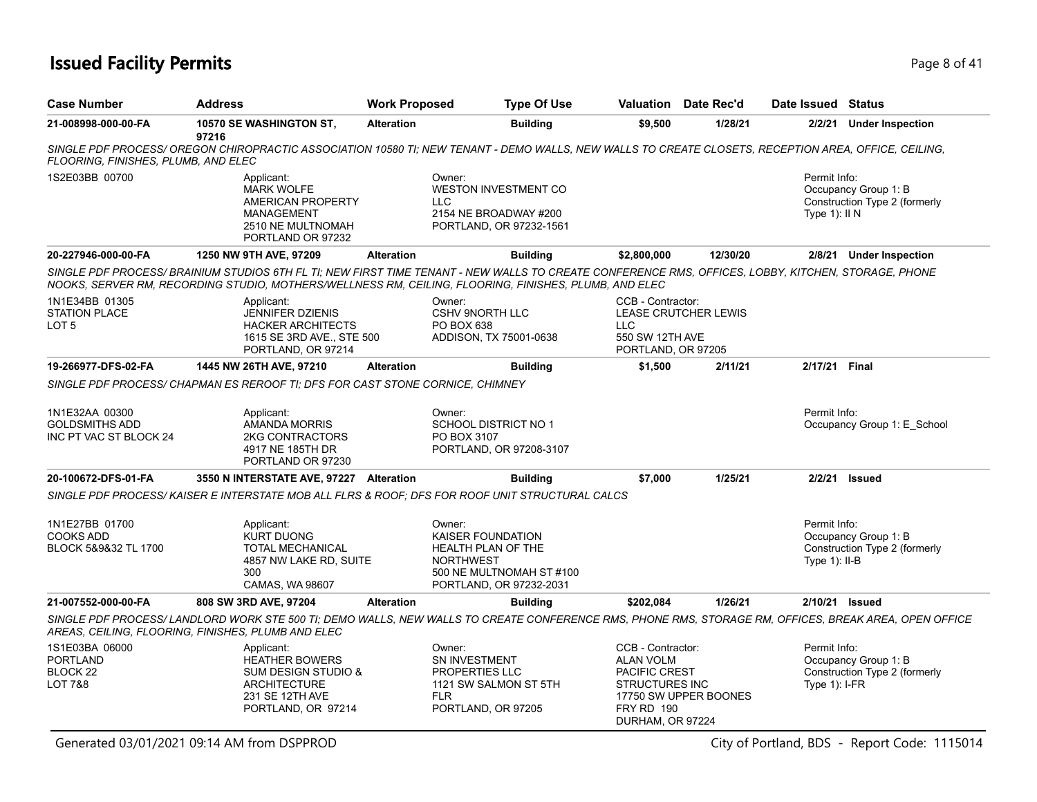## **Issued Facility Permits** Page 8 of 41

| <b>Case Number</b>                                                  | <b>Address</b>                                                                                                                                                                                                                                               | <b>Work Proposed</b> | <b>Type Of Use</b>                                                                                                           |                                                                                                                          | <b>Valuation</b> Date Rec'd | Date Issued Status               |                                                       |
|---------------------------------------------------------------------|--------------------------------------------------------------------------------------------------------------------------------------------------------------------------------------------------------------------------------------------------------------|----------------------|------------------------------------------------------------------------------------------------------------------------------|--------------------------------------------------------------------------------------------------------------------------|-----------------------------|----------------------------------|-------------------------------------------------------|
| 21-008998-000-00-FA                                                 | 10570 SE WASHINGTON ST,<br>97216                                                                                                                                                                                                                             | <b>Alteration</b>    | <b>Building</b>                                                                                                              | \$9,500                                                                                                                  | 1/28/21                     | 2/2/21                           | <b>Under Inspection</b>                               |
| FLOORING, FINISHES, PLUMB, AND ELEC                                 | SINGLE PDF PROCESS/ OREGON CHIROPRACTIC ASSOCIATION 10580 TI; NEW TENANT - DEMO WALLS, NEW WALLS TO CREATE CLOSETS, RECEPTION AREA, OFFICE, CEILING,                                                                                                         |                      |                                                                                                                              |                                                                                                                          |                             |                                  |                                                       |
| 1S2E03BB 00700                                                      | Applicant:<br><b>MARK WOLFE</b><br>AMERICAN PROPERTY<br>MANAGEMENT<br>2510 NE MULTNOMAH<br>PORTLAND OR 97232                                                                                                                                                 |                      | Owner:<br><b>WESTON INVESTMENT CO</b><br><b>LLC</b><br>2154 NE BROADWAY #200<br>PORTLAND, OR 97232-1561                      |                                                                                                                          |                             | Permit Info:<br>Type $1$ : II N  | Occupancy Group 1: B<br>Construction Type 2 (formerly |
| 20-227946-000-00-FA                                                 | 1250 NW 9TH AVE, 97209                                                                                                                                                                                                                                       | <b>Alteration</b>    | <b>Building</b>                                                                                                              | \$2,800,000                                                                                                              | 12/30/20                    |                                  | 2/8/21 Under Inspection                               |
|                                                                     | SINGLE PDF PROCESS/ BRAINIUM STUDIOS 6TH FL TI; NEW FIRST TIME TENANT - NEW WALLS TO CREATE CONFERENCE RMS, OFFICES, LOBBY, KITCHEN, STORAGE, PHONE<br>NOOKS, SERVER RM, RECORDING STUDIO, MOTHERS/WELLNESS RM, CEILING, FLOORING, FINISHES, PLUMB, AND ELEC |                      |                                                                                                                              |                                                                                                                          |                             |                                  |                                                       |
| 1N1E34BB 01305<br><b>STATION PLACE</b><br>LOT <sub>5</sub>          | Applicant:<br>JENNIFER DZIENIS<br><b>HACKER ARCHITECTS</b><br>1615 SE 3RD AVE., STE 500<br>PORTLAND, OR 97214                                                                                                                                                |                      | Owner:<br><b>CSHV 9NORTH LLC</b><br>PO BOX 638<br>ADDISON, TX 75001-0638                                                     | CCB - Contractor:<br><b>LLC</b><br>550 SW 12TH AVE<br>PORTLAND, OR 97205                                                 | <b>LEASE CRUTCHER LEWIS</b> |                                  |                                                       |
| 19-266977-DFS-02-FA                                                 | 1445 NW 26TH AVE, 97210                                                                                                                                                                                                                                      | <b>Alteration</b>    | <b>Building</b>                                                                                                              | \$1,500                                                                                                                  | 2/11/21                     | 2/17/21 Final                    |                                                       |
| 1N1E32AA 00300<br><b>GOLDSMITHS ADD</b><br>INC PT VAC ST BLOCK 24   | SINGLE PDF PROCESS/ CHAPMAN ES REROOF TI: DFS FOR CAST STONE CORNICE, CHIMNEY<br>Applicant:<br><b>AMANDA MORRIS</b><br>2KG CONTRACTORS<br>4917 NE 185TH DR<br>PORTLAND OR 97230                                                                              |                      | Owner:<br>SCHOOL DISTRICT NO 1<br>PO BOX 3107<br>PORTLAND, OR 97208-3107                                                     |                                                                                                                          |                             | Permit Info:                     | Occupancy Group 1: E School                           |
| 20-100672-DFS-01-FA                                                 | 3550 N INTERSTATE AVE, 97227 Alteration                                                                                                                                                                                                                      |                      | <b>Building</b>                                                                                                              | \$7,000                                                                                                                  | 1/25/21                     |                                  | 2/2/21 Issued                                         |
|                                                                     | SINGLE PDF PROCESS/ KAISER E INTERSTATE MOB ALL FLRS & ROOF: DFS FOR ROOF UNIT STRUCTURAL CALCS                                                                                                                                                              |                      |                                                                                                                              |                                                                                                                          |                             |                                  |                                                       |
| 1N1E27BB 01700<br><b>COOKS ADD</b><br>BLOCK 5&9&32 TL 1700          | Applicant:<br><b>KURT DUONG</b><br><b>TOTAL MECHANICAL</b><br>4857 NW LAKE RD, SUITE<br>300<br>CAMAS, WA 98607                                                                                                                                               |                      | Owner:<br>KAISER FOUNDATION<br>HEALTH PLAN OF THE<br><b>NORTHWEST</b><br>500 NE MULTNOMAH ST #100<br>PORTLAND, OR 97232-2031 |                                                                                                                          |                             | Permit Info:<br>Type $1$ ): II-B | Occupancy Group 1: B<br>Construction Type 2 (formerly |
| 21-007552-000-00-FA                                                 | 808 SW 3RD AVE, 97204                                                                                                                                                                                                                                        | <b>Alteration</b>    | <b>Building</b>                                                                                                              | \$202,084                                                                                                                | 1/26/21                     | 2/10/21 Issued                   |                                                       |
|                                                                     | SINGLE PDF PROCESS/ LANDLORD WORK STE 500 TI; DEMO WALLS, NEW WALLS TO CREATE CONFERENCE RMS, PHONE RMS, STORAGE RM, OFFICES, BREAK AREA, OPEN OFFICE<br>AREAS, CEILING, FLOORING, FINISHES, PLUMB AND ELEC                                                  |                      |                                                                                                                              |                                                                                                                          |                             |                                  |                                                       |
| 1S1E03BA 06000<br><b>PORTLAND</b><br>BLOCK 22<br><b>LOT 7&amp;8</b> | Applicant:<br><b>HEATHER BOWERS</b><br><b>SUM DESIGN STUDIO &amp;</b><br><b>ARCHITECTURE</b><br>231 SE 12TH AVE<br>PORTLAND, OR 97214                                                                                                                        |                      | Owner:<br>SN INVESTMENT<br>PROPERTIES LLC<br>1121 SW SALMON ST 5TH<br><b>FLR</b><br>PORTLAND, OR 97205                       | CCB - Contractor:<br><b>ALAN VOLM</b><br>PACIFIC CREST<br><b>STRUCTURES INC</b><br><b>FRY RD 190</b><br>DURHAM, OR 97224 | 17750 SW UPPER BOONES       | Permit Info:<br>Type $1$ ): I-FR | Occupancy Group 1: B<br>Construction Type 2 (formerly |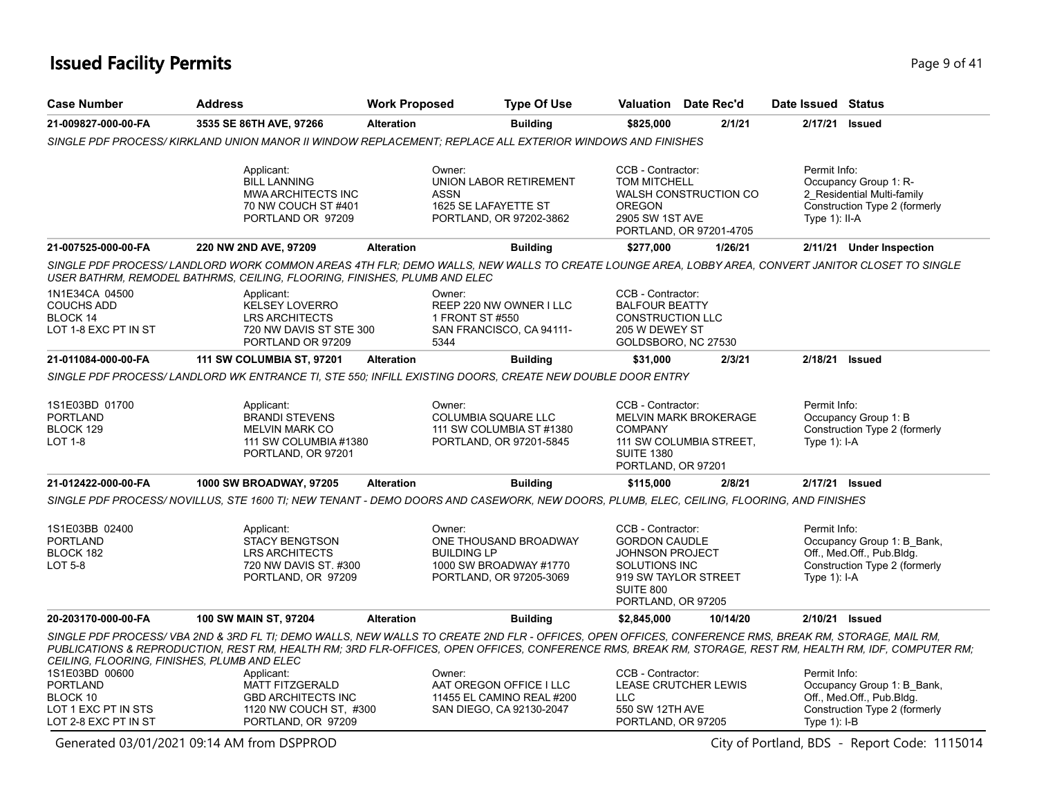## **Issued Facility Permits** Page 1 of 41

| <b>Case Number</b>                                                                           | <b>Address</b>                                                                                                                                                                                                                                                                                                   | <b>Work Proposed</b> | <b>Type Of Use</b>                                                                                         |                                                                                                                                | <b>Valuation</b> Date Rec'd                             | Date Issued Status             |                                                                                          |
|----------------------------------------------------------------------------------------------|------------------------------------------------------------------------------------------------------------------------------------------------------------------------------------------------------------------------------------------------------------------------------------------------------------------|----------------------|------------------------------------------------------------------------------------------------------------|--------------------------------------------------------------------------------------------------------------------------------|---------------------------------------------------------|--------------------------------|------------------------------------------------------------------------------------------|
| 21-009827-000-00-FA                                                                          | 3535 SE 86TH AVE, 97266                                                                                                                                                                                                                                                                                          | <b>Alteration</b>    | <b>Building</b>                                                                                            | \$825,000                                                                                                                      | 2/1/21                                                  | 2/17/21 Issued                 |                                                                                          |
|                                                                                              | SINGLE PDF PROCESS/ KIRKLAND UNION MANOR II WINDOW REPLACEMENT; REPLACE ALL EXTERIOR WINDOWS AND FINISHES                                                                                                                                                                                                        |                      |                                                                                                            |                                                                                                                                |                                                         |                                |                                                                                          |
|                                                                                              | Applicant:<br><b>BILL LANNING</b><br>MWA ARCHITECTS INC<br>70 NW COUCH ST #401<br>PORTLAND OR 97209                                                                                                                                                                                                              |                      | Owner:<br>UNION LABOR RETIREMENT<br><b>ASSN</b><br>1625 SE LAFAYETTE ST<br>PORTLAND, OR 97202-3862         | CCB - Contractor:<br>TOM MITCHELL<br><b>OREGON</b><br>2905 SW 1ST AVE                                                          | WALSH CONSTRUCTION CO<br>PORTLAND, OR 97201-4705        | Permit Info:<br>Type 1): II-A  | Occupancy Group 1: R-<br>2_Residential Multi-family<br>Construction Type 2 (formerly     |
| 21-007525-000-00-FA                                                                          | 220 NW 2ND AVE, 97209                                                                                                                                                                                                                                                                                            | <b>Alteration</b>    | <b>Building</b>                                                                                            | \$277,000                                                                                                                      | 1/26/21                                                 |                                | 2/11/21 Under Inspection                                                                 |
|                                                                                              | SINGLE PDF PROCESS/ LANDLORD WORK COMMON AREAS 4TH FLR; DEMO WALLS, NEW WALLS TO CREATE LOUNGE AREA, LOBBY AREA, CONVERT JANITOR CLOSET TO SINGLE<br>USER BATHRM, REMODEL BATHRMS, CEILING, FLOORING, FINISHES, PLUMB AND ELEC                                                                                   |                      |                                                                                                            |                                                                                                                                |                                                         |                                |                                                                                          |
| 1N1E34CA 04500<br><b>COUCHS ADD</b><br>BLOCK 14<br>LOT 1-8 EXC PT IN ST                      | Applicant:<br><b>KELSEY LOVERRO</b><br><b>LRS ARCHITECTS</b><br>720 NW DAVIS ST STE 300<br>PORTLAND OR 97209                                                                                                                                                                                                     |                      | Owner:<br>REEP 220 NW OWNER I LLC<br>1 FRONT ST #550<br>SAN FRANCISCO, CA 94111-<br>5344                   | CCB - Contractor:<br><b>BALFOUR BEATTY</b><br><b>CONSTRUCTION LLC</b><br>205 W DEWEY ST                                        | GOLDSBORO, NC 27530                                     |                                |                                                                                          |
| 21-011084-000-00-FA                                                                          | 111 SW COLUMBIA ST, 97201                                                                                                                                                                                                                                                                                        | <b>Alteration</b>    | <b>Building</b>                                                                                            | \$31,000                                                                                                                       | 2/3/21                                                  | 2/18/21 Issued                 |                                                                                          |
|                                                                                              | SINGLE PDF PROCESS/ LANDLORD WK ENTRANCE TI, STE 550; INFILL EXISTING DOORS, CREATE NEW DOUBLE DOOR ENTRY                                                                                                                                                                                                        |                      |                                                                                                            |                                                                                                                                |                                                         |                                |                                                                                          |
| 1S1E03BD 01700<br><b>PORTLAND</b><br>BLOCK 129<br><b>LOT 1-8</b>                             | Applicant:<br><b>BRANDI STEVENS</b><br><b>MELVIN MARK CO</b><br>111 SW COLUMBIA #1380<br>PORTLAND, OR 97201                                                                                                                                                                                                      |                      | Owner:<br><b>COLUMBIA SQUARE LLC</b><br>111 SW COLUMBIA ST #1380<br>PORTLAND, OR 97201-5845                | CCB - Contractor:<br><b>COMPANY</b><br><b>SUITE 1380</b><br>PORTLAND, OR 97201                                                 | <b>MELVIN MARK BROKERAGE</b><br>111 SW COLUMBIA STREET, | Permit Info:<br>Type $1$ : I-A | Occupancy Group 1: B<br>Construction Type 2 (formerly                                    |
| 21-012422-000-00-FA                                                                          | <b>1000 SW BROADWAY, 97205</b>                                                                                                                                                                                                                                                                                   | <b>Alteration</b>    | <b>Building</b>                                                                                            | \$115,000                                                                                                                      | 2/8/21                                                  | 2/17/21 Issued                 |                                                                                          |
|                                                                                              | SINGLE PDF PROCESS/ NOVILLUS, STE 1600 TI; NEW TENANT - DEMO DOORS AND CASEWORK, NEW DOORS, PLUMB, ELEC, CEILING, FLOORING, AND FINISHES                                                                                                                                                                         |                      |                                                                                                            |                                                                                                                                |                                                         |                                |                                                                                          |
| 1S1E03BB 02400<br><b>PORTLAND</b><br>BLOCK 182<br>LOT 5-8                                    | Applicant:<br><b>STACY BENGTSON</b><br><b>LRS ARCHITECTS</b><br>720 NW DAVIS ST. #300<br>PORTLAND, OR 97209                                                                                                                                                                                                      |                      | Owner:<br>ONE THOUSAND BROADWAY<br><b>BUILDING LP</b><br>1000 SW BROADWAY #1770<br>PORTLAND, OR 97205-3069 | CCB - Contractor:<br><b>GORDON CAUDLE</b><br><b>JOHNSON PROJECT</b><br>SOLUTIONS INC<br><b>SUITE 800</b><br>PORTLAND, OR 97205 | 919 SW TAYLOR STREET                                    | Permit Info:<br>Type $1$ : I-A | Occupancy Group 1: B_Bank,<br>Off., Med.Off., Pub.Bldg.<br>Construction Type 2 (formerly |
| 20-203170-000-00-FA                                                                          | 100 SW MAIN ST, 97204                                                                                                                                                                                                                                                                                            | <b>Alteration</b>    | <b>Building</b>                                                                                            | \$2,845,000                                                                                                                    | 10/14/20                                                | 2/10/21 Issued                 |                                                                                          |
| CEILING, FLOORING, FINISHES, PLUMB AND ELEC                                                  | SINGLE PDF PROCESS/VBA 2ND & 3RD FL TI; DEMO WALLS, NEW WALLS TO CREATE 2ND FLR - OFFICES, OPEN OFFICES, CONFERENCE RMS, BREAK RM, STORAGE, MAIL RM,<br>PUBLICATIONS & REPRODUCTION, REST RM, HEALTH RM; 3RD FLR-OFFICES, OPEN OFFICES, CONFERENCE RMS, BREAK RM, STORAGE, REST RM, HEALTH RM, IDF, COMPUTER RM; |                      |                                                                                                            |                                                                                                                                |                                                         |                                |                                                                                          |
| 1S1E03BD 00600<br><b>PORTLAND</b><br>BLOCK 10<br>LOT 1 EXC PT IN STS<br>LOT 2-8 EXC PT IN ST | Applicant:<br><b>MATT FITZGERALD</b><br><b>GBD ARCHITECTS INC</b><br>1120 NW COUCH ST, #300<br>PORTLAND, OR 97209                                                                                                                                                                                                |                      | Owner:<br>AAT OREGON OFFICE I LLC<br>11455 EL CAMINO REAL #200<br>SAN DIEGO, CA 92130-2047                 | CCB - Contractor:<br><b>LLC</b><br>550 SW 12TH AVE<br>PORTLAND, OR 97205                                                       | <b>LEASE CRUTCHER LEWIS</b>                             | Permit Info:<br>Type $1$ : I-B | Occupancy Group 1: B_Bank,<br>Off., Med.Off., Pub.Bldg.<br>Construction Type 2 (formerly |

Generated 03/01/2021 09:14 AM from DSPPROD City of Portland, BDS - Report Code: 1115014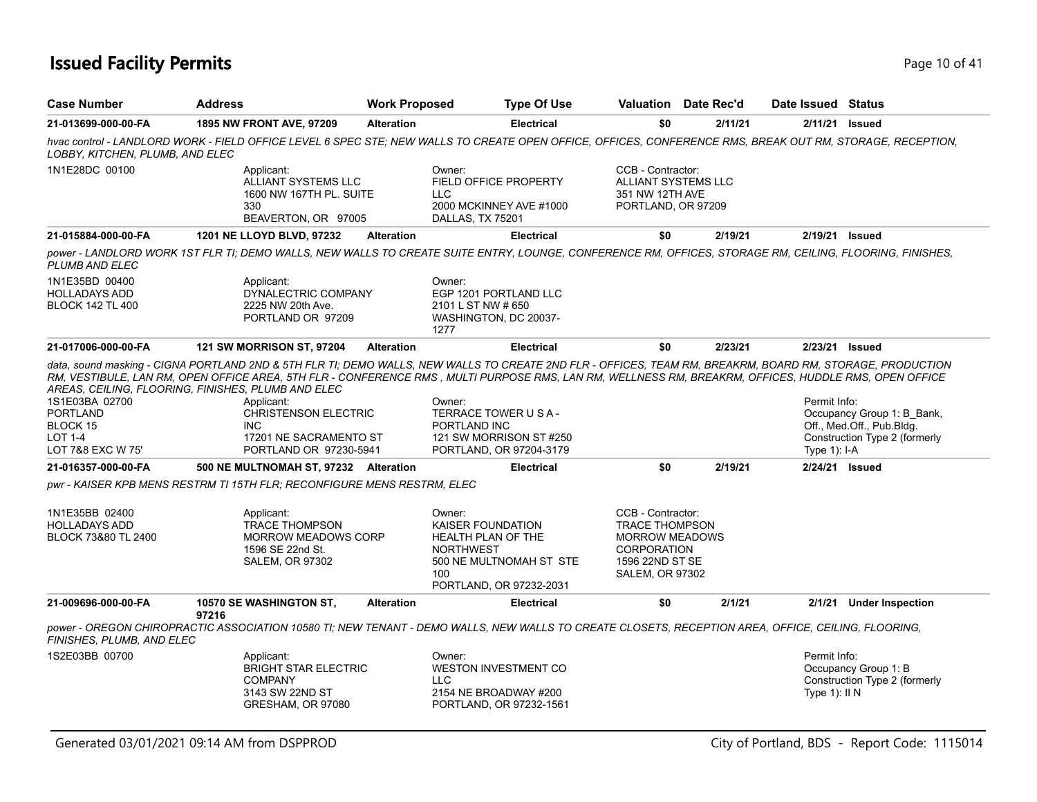# **Issued Facility Permits** Page 10 of 41

| <b>Case Number</b>                                                                   | <b>Address</b>                                                                                                                                                                                                                                                                                                                                                                                                                                                                         | <b>Work Proposed</b> | <b>Type Of Use</b>                                                                                                                        |                                                                                                                                        | <b>Valuation</b> Date Rec'd | Date Issued Status                 |                                                                                          |
|--------------------------------------------------------------------------------------|----------------------------------------------------------------------------------------------------------------------------------------------------------------------------------------------------------------------------------------------------------------------------------------------------------------------------------------------------------------------------------------------------------------------------------------------------------------------------------------|----------------------|-------------------------------------------------------------------------------------------------------------------------------------------|----------------------------------------------------------------------------------------------------------------------------------------|-----------------------------|------------------------------------|------------------------------------------------------------------------------------------|
| 21-013699-000-00-FA                                                                  | 1895 NW FRONT AVE, 97209                                                                                                                                                                                                                                                                                                                                                                                                                                                               | <b>Alteration</b>    | <b>Electrical</b>                                                                                                                         | \$0                                                                                                                                    | 2/11/21                     |                                    | 2/11/21 Issued                                                                           |
| LOBBY, KITCHEN, PLUMB, AND ELEC                                                      | hvac control - LANDLORD WORK - FIELD OFFICE LEVEL 6 SPEC STE; NEW WALLS TO CREATE OPEN OFFICE, OFFICES, CONFERENCE RMS, BREAK OUT RM, STORAGE, RECEPTION,                                                                                                                                                                                                                                                                                                                              |                      |                                                                                                                                           |                                                                                                                                        |                             |                                    |                                                                                          |
| 1N1E28DC 00100                                                                       | Applicant:<br>ALLIANT SYSTEMS LLC<br>1600 NW 167TH PL. SUITE<br>330<br>BEAVERTON, OR 97005                                                                                                                                                                                                                                                                                                                                                                                             |                      | Owner:<br><b>FIELD OFFICE PROPERTY</b><br>LLC.<br>2000 MCKINNEY AVE #1000<br>DALLAS, TX 75201                                             | CCB - Contractor:<br>ALLIANT SYSTEMS LLC<br>351 NW 12TH AVE<br>PORTLAND, OR 97209                                                      |                             |                                    |                                                                                          |
| 21-015884-000-00-FA                                                                  | <b>1201 NE LLOYD BLVD, 97232</b>                                                                                                                                                                                                                                                                                                                                                                                                                                                       | <b>Alteration</b>    | <b>Electrical</b>                                                                                                                         | \$0                                                                                                                                    | 2/19/21                     |                                    | 2/19/21 Issued                                                                           |
| <b>PLUMB AND ELEC</b>                                                                | power - LANDLORD WORK 1ST FLR TI; DEMO WALLS, NEW WALLS TO CREATE SUITE ENTRY, LOUNGE, CONFERENCE RM, OFFICES, STORAGE RM, CEILING, FLOORING, FINISHES,                                                                                                                                                                                                                                                                                                                                |                      |                                                                                                                                           |                                                                                                                                        |                             |                                    |                                                                                          |
| 1N1E35BD 00400<br><b>HOLLADAYS ADD</b><br><b>BLOCK 142 TL 400</b>                    | Applicant:<br>DYNALECTRIC COMPANY<br>2225 NW 20th Ave.<br>PORTLAND OR 97209                                                                                                                                                                                                                                                                                                                                                                                                            |                      | Owner:<br>EGP 1201 PORTLAND LLC<br>2101 L ST NW # 650<br>WASHINGTON, DC 20037-<br>1277                                                    |                                                                                                                                        |                             |                                    |                                                                                          |
| 21-017006-000-00-FA                                                                  | 121 SW MORRISON ST, 97204                                                                                                                                                                                                                                                                                                                                                                                                                                                              | <b>Alteration</b>    | <b>Electrical</b>                                                                                                                         | \$0                                                                                                                                    | 2/23/21                     |                                    | 2/23/21 Issued                                                                           |
| 1S1E03BA 02700<br><b>PORTLAND</b><br>BLOCK 15<br><b>LOT 1-4</b><br>LOT 7&8 EXC W 75' | data, sound masking - CIGNA PORTLAND 2ND & 5TH FLR TI; DEMO WALLS, NEW WALLS TO CREATE 2ND FLR - OFFICES, TEAM RM, BREAKRM, BOARD RM, STORAGE, PRODUCTION<br>RM, VESTIBULE, LAN RM, OPEN OFFICE AREA, 5TH FLR - CONFERENCE RMS, MULTI PURPOSE RMS, LAN RM, WELLNESS RM, BREAKRM, OFFICES, HUDDLE RMS, OPEN OFFICE<br>AREAS, CEILING, FLOORING, FINISHES, PLUMB AND ELEC<br>Applicant:<br><b>CHRISTENSON ELECTRIC</b><br><b>INC</b><br>17201 NE SACRAMENTO ST<br>PORTLAND OR 97230-5941 |                      | Owner:<br>TERRACE TOWER U S A -<br>PORTLAND INC<br>121 SW MORRISON ST #250<br>PORTLAND, OR 97204-3179                                     |                                                                                                                                        |                             | Permit Info:<br>Type 1): I-A       | Occupancy Group 1: B_Bank,<br>Off., Med.Off., Pub.Bldg.<br>Construction Type 2 (formerly |
| 21-016357-000-00-FA                                                                  | 500 NE MULTNOMAH ST, 97232 Alteration                                                                                                                                                                                                                                                                                                                                                                                                                                                  |                      | <b>Electrical</b>                                                                                                                         | \$0                                                                                                                                    | 2/19/21                     |                                    | 2/24/21 Issued                                                                           |
|                                                                                      | pwr - KAISER KPB MENS RESTRM TI 15TH FLR; RECONFIGURE MENS RESTRM, ELEC                                                                                                                                                                                                                                                                                                                                                                                                                |                      |                                                                                                                                           |                                                                                                                                        |                             |                                    |                                                                                          |
| 1N1E35BB 02400<br><b>HOLLADAYS ADD</b><br>BLOCK 73&80 TL 2400                        | Applicant:<br><b>TRACE THOMPSON</b><br><b>MORROW MEADOWS CORP</b><br>1596 SE 22nd St.<br><b>SALEM, OR 97302</b>                                                                                                                                                                                                                                                                                                                                                                        |                      | Owner:<br>KAISER FOUNDATION<br><b>HEALTH PLAN OF THE</b><br><b>NORTHWEST</b><br>500 NE MULTNOMAH ST STE<br>100<br>PORTLAND, OR 97232-2031 | CCB - Contractor:<br><b>TRACE THOMPSON</b><br><b>MORROW MEADOWS</b><br><b>CORPORATION</b><br>1596 22ND ST SE<br><b>SALEM, OR 97302</b> |                             |                                    |                                                                                          |
| 21-009696-000-00-FA                                                                  | 10570 SE WASHINGTON ST.<br>97216                                                                                                                                                                                                                                                                                                                                                                                                                                                       | <b>Alteration</b>    | <b>Electrical</b>                                                                                                                         | \$0                                                                                                                                    | 2/1/21                      |                                    | 2/1/21 Under Inspection                                                                  |
| FINISHES, PLUMB, AND ELEC                                                            | power - OREGON CHIROPRACTIC ASSOCIATION 10580 TI; NEW TENANT - DEMO WALLS, NEW WALLS TO CREATE CLOSETS, RECEPTION AREA, OFFICE, CEILING, FLOORING,                                                                                                                                                                                                                                                                                                                                     |                      |                                                                                                                                           |                                                                                                                                        |                             |                                    |                                                                                          |
| 1S2E03BB 00700                                                                       | Applicant:<br><b>BRIGHT STAR ELECTRIC</b><br><b>COMPANY</b><br>3143 SW 22ND ST<br>GRESHAM, OR 97080                                                                                                                                                                                                                                                                                                                                                                                    |                      | Owner:<br><b>WESTON INVESTMENT CO</b><br>LLC<br>2154 NE BROADWAY #200<br>PORTLAND, OR 97232-1561                                          |                                                                                                                                        |                             | Permit Info:<br>Type $1$ ): $II$ N | Occupancy Group 1: B<br>Construction Type 2 (formerly                                    |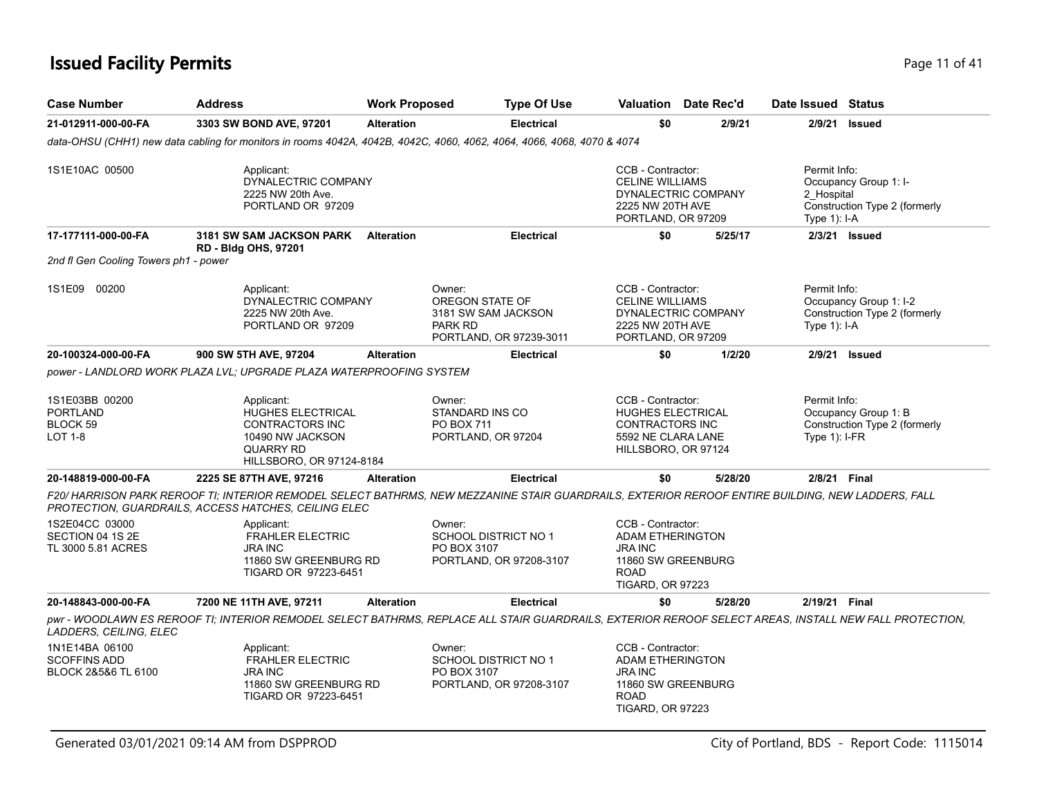## **Issued Facility Permits** Provide the Contract of the Page 11 of 41 and 21 of 41 and 21 of 41

| <b>Case Number</b>                                              | <b>Address</b>                                                                                                                                                                                           | <b>Work Proposed</b> | <b>Type Of Use</b>                                                                            |                                                                                                                                | <b>Valuation</b> Date Rec'd | Date Issued Status                                                                                                                                     |
|-----------------------------------------------------------------|----------------------------------------------------------------------------------------------------------------------------------------------------------------------------------------------------------|----------------------|-----------------------------------------------------------------------------------------------|--------------------------------------------------------------------------------------------------------------------------------|-----------------------------|--------------------------------------------------------------------------------------------------------------------------------------------------------|
| 21-012911-000-00-FA                                             | 3303 SW BOND AVE, 97201                                                                                                                                                                                  | <b>Alteration</b>    | <b>Electrical</b>                                                                             | \$0                                                                                                                            | 2/9/21                      | 2/9/21<br><b>Issued</b>                                                                                                                                |
|                                                                 | data-OHSU (CHH1) new data cabling for monitors in rooms 4042A, 4042B, 4042C, 4060, 4062, 4064, 4066, 4068, 4070 & 4074                                                                                   |                      |                                                                                               |                                                                                                                                |                             |                                                                                                                                                        |
| 1S1E10AC 00500                                                  | Applicant:<br>DYNALECTRIC COMPANY<br>2225 NW 20th Ave.<br>PORTLAND OR 97209                                                                                                                              |                      |                                                                                               | CCB - Contractor:<br>CELINE WILLIAMS<br>2225 NW 20TH AVE<br>PORTLAND, OR 97209                                                 | DYNALECTRIC COMPANY         | Permit Info:<br>Occupancy Group 1: I-<br>2_Hospital<br>Construction Type 2 (formerly<br>Type 1): I-A                                                   |
| 17-177111-000-00-FA                                             | <b>3181 SW SAM JACKSON PARK</b><br><b>RD - Bldg OHS, 97201</b>                                                                                                                                           | <b>Alteration</b>    | <b>Electrical</b>                                                                             | \$0                                                                                                                            | 5/25/17                     | 2/3/21 Issued                                                                                                                                          |
| 2nd fl Gen Cooling Towers ph1 - power                           |                                                                                                                                                                                                          |                      |                                                                                               |                                                                                                                                |                             |                                                                                                                                                        |
| 1S1E09 00200                                                    | Applicant:<br>DYNALECTRIC COMPANY<br>2225 NW 20th Ave.<br>PORTLAND OR 97209                                                                                                                              |                      | Owner:<br>OREGON STATE OF<br>3181 SW SAM JACKSON<br><b>PARK RD</b><br>PORTLAND, OR 97239-3011 | CCB - Contractor:<br><b>CELINE WILLIAMS</b><br>2225 NW 20TH AVE<br>PORTLAND, OR 97209                                          | DYNALECTRIC COMPANY         | Permit Info:<br>Occupancy Group 1: I-2<br>Construction Type 2 (formerly<br>Type $1$ : I-A                                                              |
| 20-100324-000-00-FA                                             | 900 SW 5TH AVE, 97204                                                                                                                                                                                    | <b>Alteration</b>    | <b>Electrical</b>                                                                             | \$0                                                                                                                            | 1/2/20                      | 2/9/21 Issued                                                                                                                                          |
|                                                                 | power - LANDLORD WORK PLAZA LVL; UPGRADE PLAZA WATERPROOFING SYSTEM                                                                                                                                      |                      |                                                                                               |                                                                                                                                |                             |                                                                                                                                                        |
| 1S1E03BB 00200<br><b>PORTLAND</b><br>BLOCK 59<br><b>LOT 1-8</b> | Applicant:<br><b>HUGHES ELECTRICAL</b><br><b>CONTRACTORS INC</b><br>10490 NW JACKSON<br><b>QUARRY RD</b><br>HILLSBORO, OR 97124-8184                                                                     |                      | Owner:<br>STANDARD INS CO<br>PO BOX 711<br>PORTLAND, OR 97204                                 | CCB - Contractor:<br><b>HUGHES ELECTRICAL</b><br>CONTRACTORS INC<br>5592 NE CLARA LANE<br>HILLSBORO, OR 97124                  |                             | Permit Info:<br>Occupancy Group 1: B<br>Construction Type 2 (formerly<br>Type $1$ ): I-FR                                                              |
| 20-148819-000-00-FA                                             | 2225 SE 87TH AVE, 97216                                                                                                                                                                                  | <b>Alteration</b>    | <b>Electrical</b>                                                                             | \$0                                                                                                                            | 5/28/20                     | 2/8/21 Final                                                                                                                                           |
|                                                                 | F20/HARRISON PARK REROOF TI; INTERIOR REMODEL SELECT BATHRMS, NEW MEZZANINE STAIR GUARDRAILS, EXTERIOR REROOF ENTIRE BUILDING, NEW LADDERS, FALL<br>PROTECTION, GUARDRAILS, ACCESS HATCHES, CEILING ELEC |                      |                                                                                               |                                                                                                                                |                             |                                                                                                                                                        |
| 1S2E04CC 03000<br>SECTION 04 1S 2E<br>TL 3000 5.81 ACRES        | Applicant:<br><b>FRAHLER ELECTRIC</b><br><b>JRA INC</b><br>11860 SW GREENBURG RD<br>TIGARD OR 97223-6451                                                                                                 |                      | Owner:<br><b>SCHOOL DISTRICT NO 1</b><br>PO BOX 3107<br>PORTLAND, OR 97208-3107               | CCB - Contractor:<br><b>ADAM ETHERINGTON</b><br><b>JRA INC</b><br>11860 SW GREENBURG<br><b>ROAD</b><br><b>TIGARD, OR 97223</b> |                             |                                                                                                                                                        |
| 20-148843-000-00-FA                                             | 7200 NE 11TH AVE, 97211                                                                                                                                                                                  | <b>Alteration</b>    | <b>Electrical</b>                                                                             | \$0                                                                                                                            | 5/28/20                     | 2/19/21 Final                                                                                                                                          |
| LADDERS, CEILING, ELEC                                          |                                                                                                                                                                                                          |                      |                                                                                               |                                                                                                                                |                             | pwr - WOODLAWN ES REROOF TI; INTERIOR REMODEL SELECT BATHRMS, REPLACE ALL STAIR GUARDRAILS, EXTERIOR REROOF SELECT AREAS, INSTALL NEW FALL PROTECTION, |
| 1N1E14BA 06100<br><b>SCOFFINS ADD</b><br>BLOCK 2&5&6 TL 6100    | Applicant:<br><b>FRAHLER ELECTRIC</b><br><b>JRA INC</b><br>11860 SW GREENBURG RD<br>TIGARD OR 97223-6451                                                                                                 |                      | Owner:<br><b>SCHOOL DISTRICT NO 1</b><br>PO BOX 3107<br>PORTLAND, OR 97208-3107               | CCB - Contractor:<br><b>ADAM ETHERINGTON</b><br><b>JRA INC</b><br>11860 SW GREENBURG<br><b>ROAD</b><br>TIGARD, OR 97223        |                             |                                                                                                                                                        |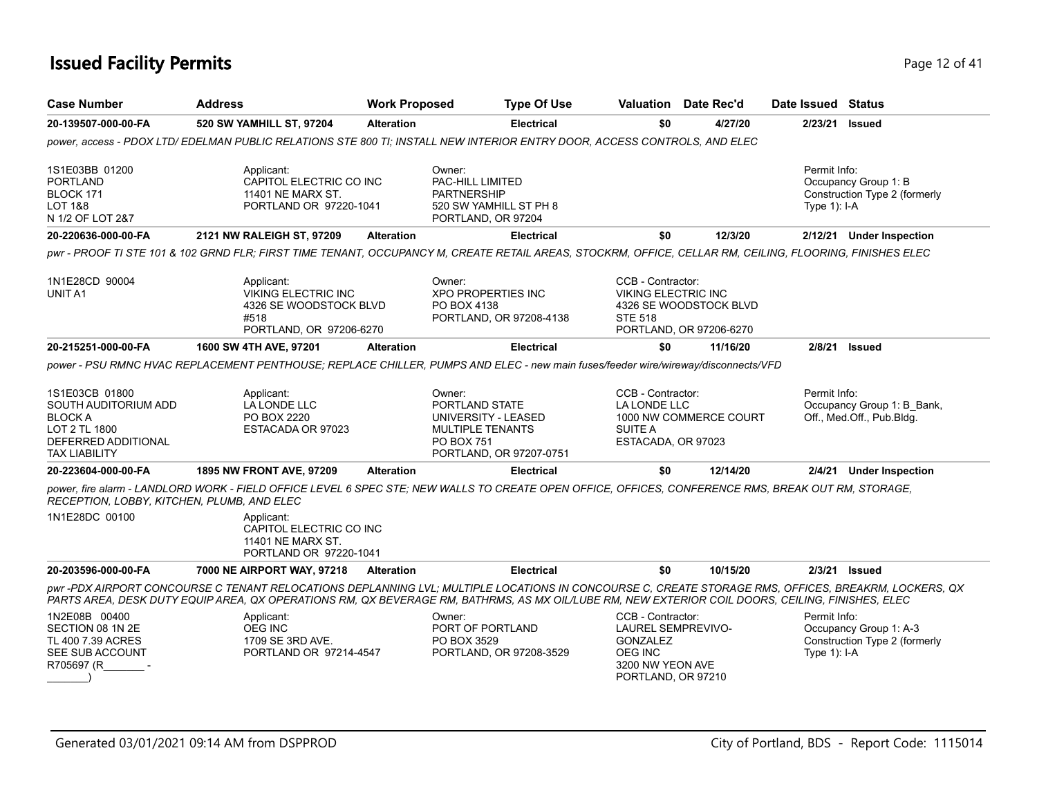# **Issued Facility Permits** Page 12 of 41

| <b>Case Number</b>                                                                                                       | <b>Address</b>                                                                                                                                                                                                                                                                                          | <b>Work Proposed</b> |                                                                                           | <b>Type Of Use</b>      |                                                                                                                        | Valuation Date Rec'd                              |                                | Date Issued Status                                      |
|--------------------------------------------------------------------------------------------------------------------------|---------------------------------------------------------------------------------------------------------------------------------------------------------------------------------------------------------------------------------------------------------------------------------------------------------|----------------------|-------------------------------------------------------------------------------------------|-------------------------|------------------------------------------------------------------------------------------------------------------------|---------------------------------------------------|--------------------------------|---------------------------------------------------------|
| 20-139507-000-00-FA                                                                                                      | 520 SW YAMHILL ST, 97204                                                                                                                                                                                                                                                                                | <b>Alteration</b>    |                                                                                           | <b>Electrical</b>       | \$0                                                                                                                    | 4/27/20                                           | 2/23/21                        | <b>Issued</b>                                           |
|                                                                                                                          | power, access - PDOX LTD/ EDELMAN PUBLIC RELATIONS STE 800 TI; INSTALL NEW INTERIOR ENTRY DOOR, ACCESS CONTROLS, AND ELEC                                                                                                                                                                               |                      |                                                                                           |                         |                                                                                                                        |                                                   |                                |                                                         |
| 1S1E03BB 01200<br><b>PORTLAND</b><br>BLOCK 171<br>LOT 1&8<br>N 1/2 OF LOT 2&7                                            | Applicant:<br>CAPITOL ELECTRIC CO INC<br>11401 NE MARX ST.<br>PORTLAND OR 97220-1041                                                                                                                                                                                                                    |                      | Owner:<br>PAC-HILL LIMITED<br>PARTNERSHIP<br>520 SW YAMHILL ST PH 8<br>PORTLAND, OR 97204 |                         |                                                                                                                        |                                                   | Permit Info:<br>Type $1$ : I-A | Occupancy Group 1: B<br>Construction Type 2 (formerly   |
| 20-220636-000-00-FA                                                                                                      | 2121 NW RALEIGH ST, 97209                                                                                                                                                                                                                                                                               | <b>Alteration</b>    |                                                                                           | <b>Electrical</b>       | \$0                                                                                                                    | 12/3/20                                           |                                | 2/12/21 Under Inspection                                |
|                                                                                                                          | pwr - PROOF TI STE 101 & 102 GRND FLR; FIRST TIME TENANT, OCCUPANCY M, CREATE RETAIL AREAS, STOCKRM, OFFICE, CELLAR RM, CEILING, FLOORING, FINISHES ELEC                                                                                                                                                |                      |                                                                                           |                         |                                                                                                                        |                                                   |                                |                                                         |
| 1N1E28CD 90004<br>UNIT A1                                                                                                | Applicant:<br><b>VIKING ELECTRIC INC</b><br>4326 SE WOODSTOCK BLVD<br>#518<br>PORTLAND, OR 97206-6270                                                                                                                                                                                                   |                      | Owner:<br><b>XPO PROPERTIES INC</b><br>PO BOX 4138                                        | PORTLAND, OR 97208-4138 | CCB - Contractor:<br><b>VIKING ELECTRIC INC</b><br><b>STE 518</b>                                                      | 4326 SE WOODSTOCK BLVD<br>PORTLAND, OR 97206-6270 |                                |                                                         |
| 20-215251-000-00-FA                                                                                                      | 1600 SW 4TH AVE, 97201                                                                                                                                                                                                                                                                                  | <b>Alteration</b>    |                                                                                           | <b>Electrical</b>       | \$0                                                                                                                    | 11/16/20                                          |                                | 2/8/21 Issued                                           |
|                                                                                                                          | power - PSU RMNC HVAC REPLACEMENT PENTHOUSE; REPLACE CHILLER, PUMPS AND ELEC - new main fuses/feeder wire/wireway/disconnects/VFD                                                                                                                                                                       |                      |                                                                                           |                         |                                                                                                                        |                                                   |                                |                                                         |
| 1S1E03CB 01800<br>SOUTH AUDITORIUM ADD<br><b>BLOCK A</b><br>LOT 2 TL 1800<br>DEFERRED ADDITIONAL<br><b>TAX LIABILITY</b> | Applicant:<br>LA LONDE LLC<br>PO BOX 2220<br>ESTACADA OR 97023                                                                                                                                                                                                                                          |                      | Owner:<br>PORTLAND STATE<br>UNIVERSITY - LEASED<br><b>MULTIPLE TENANTS</b><br>PO BOX 751  | PORTLAND, OR 97207-0751 | CCB - Contractor:<br>LA LONDE LLC<br><b>SUITE A</b><br>ESTACADA, OR 97023                                              | 1000 NW COMMERCE COURT                            | Permit Info:                   | Occupancy Group 1: B Bank,<br>Off., Med.Off., Pub.Bldg. |
| 20-223604-000-00-FA                                                                                                      | 1895 NW FRONT AVE, 97209                                                                                                                                                                                                                                                                                | <b>Alteration</b>    |                                                                                           | Electrical              | \$0                                                                                                                    | 12/14/20                                          |                                | 2/4/21 Under Inspection                                 |
| RECEPTION, LOBBY, KITCHEN, PLUMB, AND ELEC                                                                               | power, fire alarm - LANDLORD WORK - FIELD OFFICE LEVEL 6 SPEC STE; NEW WALLS TO CREATE OPEN OFFICE, OFFICES, CONFERENCE RMS, BREAK OUT RM, STORAGE,                                                                                                                                                     |                      |                                                                                           |                         |                                                                                                                        |                                                   |                                |                                                         |
| 1N1E28DC 00100                                                                                                           | Applicant:<br>CAPITOL ELECTRIC CO INC<br>11401 NE MARX ST.<br>PORTLAND OR 97220-1041                                                                                                                                                                                                                    |                      |                                                                                           |                         |                                                                                                                        |                                                   |                                |                                                         |
| 20-203596-000-00-FA                                                                                                      | <b>7000 NE AIRPORT WAY, 97218</b>                                                                                                                                                                                                                                                                       | <b>Alteration</b>    |                                                                                           | <b>Electrical</b>       | \$0                                                                                                                    | 10/15/20                                          |                                | $2/3/21$ Issued                                         |
|                                                                                                                          | pwr-PDX AIRPORT CONCOURSE C TENANT RELOCATIONS DEPLANNING LVL; MULTIPLE LOCATIONS IN CONCOURSE C, CREATE STORAGE RMS, OFFICES, BREAKRM, LOCKERS, QX<br>PARTS AREA, DESK DUTY EQUIP AREA, QX OPERATIONS RM, QX BEVERAGE RM, BATHRMS, AS MX OIL/LUBE RM, NEW EXTERIOR COIL DOORS, CEILING, FINISHES, ELEC |                      |                                                                                           |                         |                                                                                                                        |                                                   |                                |                                                         |
| 1N2E08B 00400<br>SECTION 08 1N 2E<br>TL 400 7.39 ACRES<br>SEE SUB ACCOUNT<br>R705697 (R                                  | Applicant:<br>OEG INC<br>1709 SE 3RD AVE.<br>PORTLAND OR 97214-4547                                                                                                                                                                                                                                     |                      | Owner:<br>PORT OF PORTLAND<br>PO BOX 3529                                                 | PORTLAND, OR 97208-3529 | CCB - Contractor:<br>LAUREL SEMPREVIVO-<br><b>GONZALEZ</b><br><b>OEG INC</b><br>3200 NW YEON AVE<br>PORTLAND, OR 97210 |                                                   | Permit Info:<br>Type $1$ : I-A | Occupancy Group 1: A-3<br>Construction Type 2 (formerly |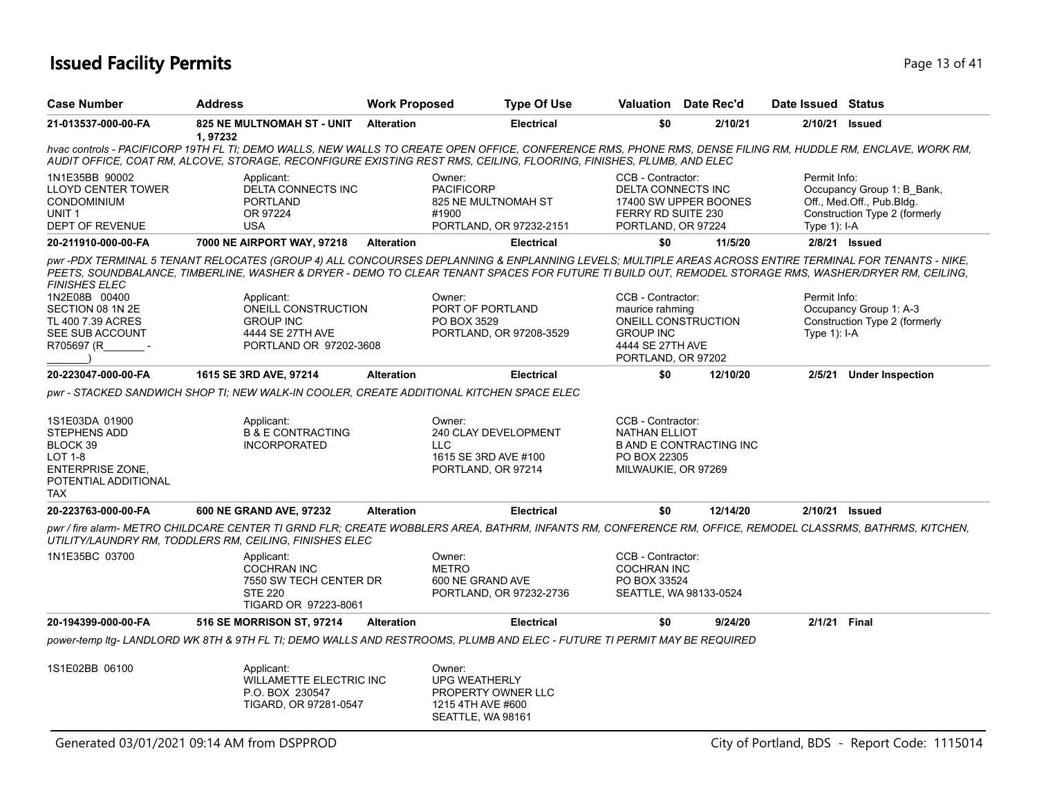## **Issued Facility Permits** Provide the Contract of the Page 13 of 41 Page 13 of 41

| <b>Case Number</b>                                                                                                     | Address                                                                                              | <b>Work Proposed</b> | <b>Type Of Use</b>                                                                                                                                                                                                                                                                                               | <b>Valuation</b> Date Rec'd                                                                |                                | Date Issued Status             |                                                                                          |
|------------------------------------------------------------------------------------------------------------------------|------------------------------------------------------------------------------------------------------|----------------------|------------------------------------------------------------------------------------------------------------------------------------------------------------------------------------------------------------------------------------------------------------------------------------------------------------------|--------------------------------------------------------------------------------------------|--------------------------------|--------------------------------|------------------------------------------------------------------------------------------|
| 21-013537-000-00-FA                                                                                                    | 825 NE MULTNOMAH ST - UNIT<br>1,97232                                                                | Alteration           | <b>Electrical</b>                                                                                                                                                                                                                                                                                                | \$0                                                                                        | 2/10/21                        | 2/10/21 Issued                 |                                                                                          |
|                                                                                                                        |                                                                                                      |                      | hvac controls - PACIFICORP 19TH FL TI; DEMO WALLS, NEW WALLS TO CREATE OPEN OFFICE, CONFERENCE RMS, PHONE RMS, DENSE FILING RM, HUDDLE RM, ENCLAVE, WORK RM,<br>AUDIT OFFICE, COAT RM, ALCOVE, STORAGE, RECONFIGURE EXISTING REST RMS, CEILING, FLOORING, FINISHES, PLUMB, AND ELEC                              |                                                                                            |                                |                                |                                                                                          |
| 1N1E35BB 90002<br><b>LLOYD CENTER TOWER</b><br><b>CONDOMINIUM</b><br>UNIT 1<br><b>DEPT OF REVENUE</b>                  | Applicant:<br><b>DELTA CONNECTS INC</b><br><b>PORTLAND</b><br>OR 97224<br><b>USA</b>                 |                      | Owner:<br><b>PACIFICORP</b><br>825 NE MULTNOMAH ST<br>#1900<br>PORTLAND, OR 97232-2151                                                                                                                                                                                                                           | CCB - Contractor:<br><b>DELTA CONNECTS INC</b><br>FERRY RD SUITE 230<br>PORTLAND, OR 97224 | 17400 SW UPPER BOONES          | Permit Info:<br>Type $1$ : I-A | Occupancy Group 1: B Bank,<br>Off., Med.Off., Pub.Bldg.<br>Construction Type 2 (formerly |
| 20-211910-000-00-FA                                                                                                    | 7000 NE AIRPORT WAY, 97218                                                                           | <b>Alteration</b>    | <b>Electrical</b>                                                                                                                                                                                                                                                                                                | \$0                                                                                        | 11/5/20                        |                                | 2/8/21 Issued                                                                            |
| <b>FINISHES ELEC</b>                                                                                                   |                                                                                                      |                      | pwr -PDX TERMINAL 5 TENANT RELOCATES (GROUP 4) ALL CONCOURSES DEPLANNING & ENPLANNING LEVELS; MULTIPLE AREAS ACROSS ENTIRE TERMINAL FOR TENANTS - NIKE,<br>PEETS, SOUNDBALANCE, TIMBERLINE, WASHER & DRYER - DEMO TO CLEAR TENANT SPACES FOR FUTURE TI BUILD OUT, REMODEL STORAGE RMS, WASHER/DRYER RM, CEILING, |                                                                                            |                                |                                |                                                                                          |
| 1N2E08B 00400                                                                                                          | Applicant:                                                                                           |                      | Owner:                                                                                                                                                                                                                                                                                                           | CCB - Contractor:                                                                          |                                | Permit Info:                   |                                                                                          |
| SECTION 08 1N 2E<br>TL 400 7.39 ACRES                                                                                  | ONEILL CONSTRUCTION<br><b>GROUP INC</b>                                                              |                      | PORT OF PORTLAND<br>PO BOX 3529                                                                                                                                                                                                                                                                                  | maurice rahming<br>ONEILL CONSTRUCTION                                                     |                                |                                | Occupancy Group 1: A-3<br>Construction Type 2 (formerly                                  |
| SEE SUB ACCOUNT<br>R705697 (R                                                                                          | 4444 SE 27TH AVE<br>PORTLAND OR 97202-3608                                                           |                      | PORTLAND, OR 97208-3529                                                                                                                                                                                                                                                                                          | <b>GROUP INC</b><br>4444 SE 27TH AVE                                                       |                                | Type $1$ : I-A                 |                                                                                          |
|                                                                                                                        |                                                                                                      |                      |                                                                                                                                                                                                                                                                                                                  | PORTLAND, OR 97202                                                                         |                                |                                |                                                                                          |
| 20-223047-000-00-FA                                                                                                    | 1615 SE 3RD AVE, 97214                                                                               | <b>Alteration</b>    | <b>Electrical</b>                                                                                                                                                                                                                                                                                                | \$0                                                                                        | 12/10/20                       |                                | 2/5/21 Under Inspection                                                                  |
|                                                                                                                        | pwr - STACKED SANDWICH SHOP TI; NEW WALK-IN COOLER, CREATE ADDITIONAL KITCHEN SPACE ELEC             |                      |                                                                                                                                                                                                                                                                                                                  |                                                                                            |                                |                                |                                                                                          |
| 1S1E03DA 01900<br><b>STEPHENS ADD</b><br>BLOCK 39<br>LOT 1-8<br>ENTERPRISE ZONE,<br>POTENTIAL ADDITIONAL<br><b>TAX</b> | Applicant:<br><b>B &amp; E CONTRACTING</b><br><b>INCORPORATED</b>                                    |                      | Owner:<br>240 CLAY DEVELOPMENT<br>LLC<br>1615 SE 3RD AVE #100<br>PORTLAND, OR 97214                                                                                                                                                                                                                              | CCB - Contractor:<br><b>NATHAN ELLIOT</b><br>PO BOX 22305<br>MILWAUKIE, OR 97269           | <b>B AND E CONTRACTING INC</b> |                                |                                                                                          |
| 20-223763-000-00-FA                                                                                                    | <b>600 NE GRAND AVE, 97232</b>                                                                       | <b>Alteration</b>    | <b>Electrical</b>                                                                                                                                                                                                                                                                                                | \$0                                                                                        | 12/14/20                       | 2/10/21 Issued                 |                                                                                          |
|                                                                                                                        | UTILITY/LAUNDRY RM, TODDLERS RM, CEILING, FINISHES ELEC                                              |                      | pwr / fire alarm- METRO CHILDCARE CENTER TI GRND FLR: CREATE WOBBLERS AREA. BATHRM. INFANTS RM. CONFERENCE RM. OFFICE. REMODEL CLASSRMS. BATHRMS. KITCHEN.                                                                                                                                                       |                                                                                            |                                |                                |                                                                                          |
| 1N1E35BC 03700                                                                                                         | Applicant:<br><b>COCHRAN INC</b><br>7550 SW TECH CENTER DR<br><b>STE 220</b><br>TIGARD OR 97223-8061 |                      | Owner:<br><b>METRO</b><br>600 NE GRAND AVE<br>PORTLAND, OR 97232-2736                                                                                                                                                                                                                                            | CCB - Contractor:<br><b>COCHRAN INC</b><br>PO BOX 33524<br>SEATTLE, WA 98133-0524          |                                |                                |                                                                                          |
| 20-194399-000-00-FA                                                                                                    | 516 SE MORRISON ST, 97214                                                                            | <b>Alteration</b>    | <b>Electrical</b>                                                                                                                                                                                                                                                                                                | \$0                                                                                        | 9/24/20                        | 2/1/21 Final                   |                                                                                          |
|                                                                                                                        |                                                                                                      |                      | power-temp Itg- LANDLORD WK 8TH & 9TH FL TI; DEMO WALLS AND RESTROOMS, PLUMB AND ELEC - FUTURE TI PERMIT MAY BE REQUIRED                                                                                                                                                                                         |                                                                                            |                                |                                |                                                                                          |
| 1S1E02BB 06100                                                                                                         | Applicant:<br>WILLAMETTE ELECTRIC INC<br>P.O. BOX 230547<br>TIGARD, OR 97281-0547                    |                      | Owner:<br><b>UPG WEATHERLY</b><br>PROPERTY OWNER LLC<br>1215 4TH AVE #600<br>SEATTLE, WA 98161                                                                                                                                                                                                                   |                                                                                            |                                |                                |                                                                                          |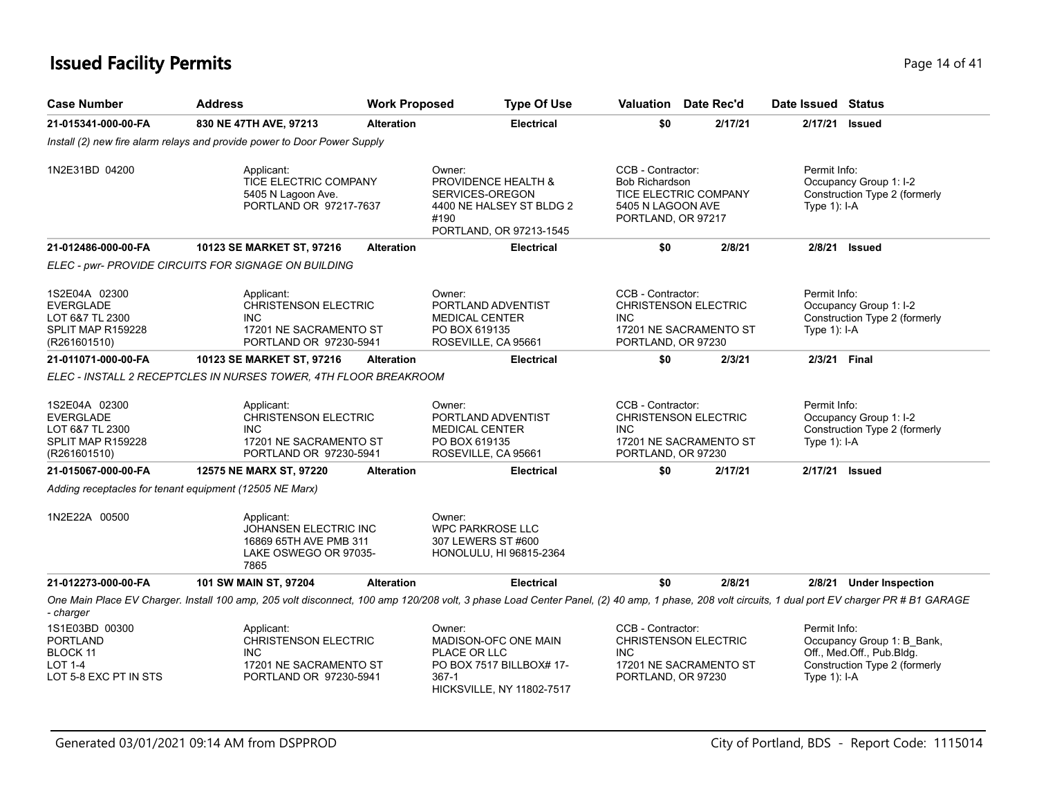## **Issued Facility Permits** Provide the Contract of 41 and 200 minutes and 200 minutes of 41 and 200 minutes and 200 minutes and 200 minutes and 200 minutes and 200 minutes and 200 minutes and 200 minutes and 200 minutes and

| <b>Case Number</b>                                                                              | <b>Address</b>                                                                                              | <b>Work Proposed</b> | <b>Type Of Use</b>                                                                                                 |                                                                                | <b>Valuation</b> Date Rec'd                           | Date Issued Status                                                                                                                                                                              |
|-------------------------------------------------------------------------------------------------|-------------------------------------------------------------------------------------------------------------|----------------------|--------------------------------------------------------------------------------------------------------------------|--------------------------------------------------------------------------------|-------------------------------------------------------|-------------------------------------------------------------------------------------------------------------------------------------------------------------------------------------------------|
| 21-015341-000-00-FA                                                                             | 830 NE 47TH AVE, 97213                                                                                      | <b>Alteration</b>    | <b>Electrical</b>                                                                                                  | \$0                                                                            | 2/17/21                                               | 2/17/21 Issued                                                                                                                                                                                  |
|                                                                                                 | Install (2) new fire alarm relays and provide power to Door Power Supply                                    |                      |                                                                                                                    |                                                                                |                                                       |                                                                                                                                                                                                 |
| 1N2E31BD 04200                                                                                  | Applicant:<br>TICE ELECTRIC COMPANY<br>5405 N Lagoon Ave.<br>PORTLAND OR 97217-7637                         |                      | Owner:<br>PROVIDENCE HEALTH &<br>SERVICES-OREGON<br>4400 NE HALSEY ST BLDG 2<br>#190<br>PORTLAND, OR 97213-1545    | CCB - Contractor:<br>Bob Richardson<br>5405 N LAGOON AVE<br>PORTLAND, OR 97217 | TICE ELECTRIC COMPANY                                 | Permit Info:<br>Occupancy Group 1: I-2<br>Construction Type 2 (formerly<br>Type $1$ : I-A                                                                                                       |
| 21-012486-000-00-FA                                                                             | 10123 SE MARKET ST, 97216                                                                                   | <b>Alteration</b>    | <b>Electrical</b>                                                                                                  | \$0                                                                            | 2/8/21                                                | $2/8/21$ Issued                                                                                                                                                                                 |
|                                                                                                 | ELEC - pwr- PROVIDE CIRCUITS FOR SIGNAGE ON BUILDING                                                        |                      |                                                                                                                    |                                                                                |                                                       |                                                                                                                                                                                                 |
| 1S2E04A 02300<br><b>EVERGLADE</b><br>LOT 6&7 TL 2300<br>SPLIT MAP R159228<br>(R261601510)       | Applicant:<br><b>CHRISTENSON ELECTRIC</b><br><b>INC</b><br>17201 NE SACRAMENTO ST<br>PORTLAND OR 97230-5941 |                      | Owner:<br>PORTLAND ADVENTIST<br><b>MEDICAL CENTER</b><br>PO BOX 619135<br>ROSEVILLE, CA 95661                      | CCB - Contractor:<br><b>INC</b><br>PORTLAND, OR 97230                          | <b>CHRISTENSON ELECTRIC</b><br>17201 NE SACRAMENTO ST | Permit Info:<br>Occupancy Group 1: I-2<br>Construction Type 2 (formerly<br>Type $1$ : I-A                                                                                                       |
| 21-011071-000-00-FA                                                                             | 10123 SE MARKET ST, 97216                                                                                   | <b>Alteration</b>    | <b>Electrical</b>                                                                                                  | \$0                                                                            | 2/3/21                                                | 2/3/21 Final                                                                                                                                                                                    |
|                                                                                                 | ELEC - INSTALL 2 RECEPTCLES IN NURSES TOWER, 4TH FLOOR BREAKROOM                                            |                      |                                                                                                                    |                                                                                |                                                       |                                                                                                                                                                                                 |
| 1S2E04A 02300<br><b>EVERGLADE</b><br>LOT 6&7 TL 2300<br>SPLIT MAP R159228<br>(R261601510)       | Applicant:<br><b>CHRISTENSON ELECTRIC</b><br><b>INC</b><br>17201 NE SACRAMENTO ST<br>PORTLAND OR 97230-5941 |                      | Owner:<br>PORTLAND ADVENTIST<br><b>MEDICAL CENTER</b><br>PO BOX 619135<br>ROSEVILLE, CA 95661                      | CCB - Contractor:<br><b>INC</b><br>PORTLAND, OR 97230                          | <b>CHRISTENSON ELECTRIC</b><br>17201 NE SACRAMENTO ST | Permit Info:<br>Occupancy Group 1: I-2<br>Construction Type 2 (formerly<br>Type 1): I-A                                                                                                         |
| 21-015067-000-00-FA                                                                             | 12575 NE MARX ST, 97220                                                                                     | <b>Alteration</b>    | <b>Electrical</b>                                                                                                  | \$0                                                                            | 2/17/21                                               | 2/17/21 Issued                                                                                                                                                                                  |
|                                                                                                 | Adding receptacles for tenant equipment (12505 NE Marx)                                                     |                      |                                                                                                                    |                                                                                |                                                       |                                                                                                                                                                                                 |
| 1N2E22A 00500                                                                                   | Applicant:<br>JOHANSEN ELECTRIC INC<br>16869 65TH AVE PMB 311<br>LAKE OSWEGO OR 97035-<br>7865              |                      | Owner:<br><b>WPC PARKROSE LLC</b><br>307 LEWERS ST #600<br><b>HONOLULU, HI 96815-2364</b>                          |                                                                                |                                                       |                                                                                                                                                                                                 |
| 21-012273-000-00-FA                                                                             | 101 SW MAIN ST, 97204                                                                                       | <b>Alteration</b>    | <b>Electrical</b>                                                                                                  | \$0                                                                            | 2/8/21                                                | 2/8/21 Under Inspection                                                                                                                                                                         |
| - charger                                                                                       |                                                                                                             |                      |                                                                                                                    |                                                                                |                                                       | One Main Place EV Charger. Install 100 amp, 205 volt disconnect, 100 amp 120/208 volt, 3 phase Load Center Panel, (2) 40 amp, 1 phase, 208 volt circuits, 1 dual port EV charger PR # B1 GARAGE |
| 1S1E03BD 00300<br><b>PORTLAND</b><br><b>BLOCK 11</b><br><b>LOT 1-4</b><br>LOT 5-8 EXC PT IN STS | Applicant:<br><b>CHRISTENSON ELECTRIC</b><br><b>INC</b><br>17201 NE SACRAMENTO ST<br>PORTLAND OR 97230-5941 |                      | Owner:<br>MADISON-OFC ONE MAIN<br>PLACE OR LLC<br>PO BOX 7517 BILLBOX# 17-<br>$367-1$<br>HICKSVILLE, NY 11802-7517 | CCB - Contractor:<br><b>INC</b><br>PORTLAND, OR 97230                          | CHRISTENSON ELECTRIC<br>17201 NE SACRAMENTO ST        | Permit Info:<br>Occupancy Group 1: B_Bank,<br>Off., Med.Off., Pub.Bldg.<br>Construction Type 2 (formerly<br>Type $1$ : I-A                                                                      |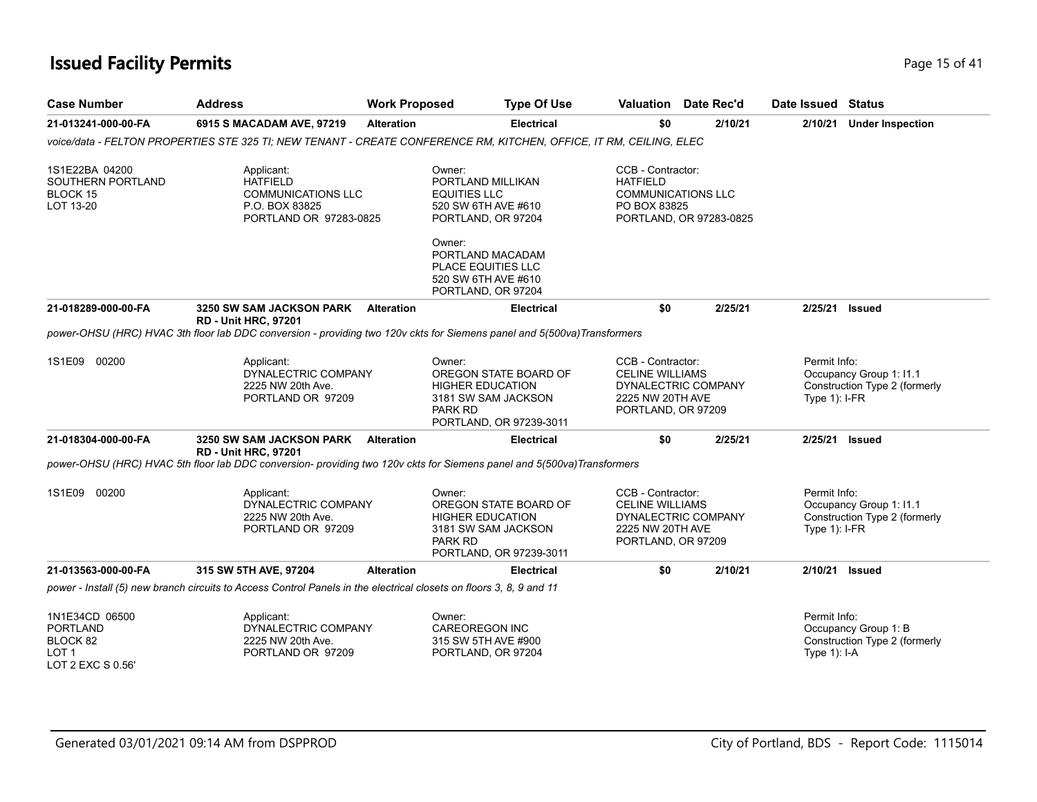# **Issued Facility Permits** Page 15 of 41

| <b>Case Number</b>                                                                     | <b>Address</b>                                                                                                           | <b>Work Proposed</b> |                                                                                                      | <b>Type Of Use</b>                               |                                                                                       | Valuation Date Rec'd    | Date Issued                      | Status                                                   |
|----------------------------------------------------------------------------------------|--------------------------------------------------------------------------------------------------------------------------|----------------------|------------------------------------------------------------------------------------------------------|--------------------------------------------------|---------------------------------------------------------------------------------------|-------------------------|----------------------------------|----------------------------------------------------------|
| 21-013241-000-00-FA                                                                    | 6915 S MACADAM AVE, 97219                                                                                                | <b>Alteration</b>    |                                                                                                      | <b>Electrical</b>                                | \$0                                                                                   | 2/10/21                 | 2/10/21                          | <b>Under Inspection</b>                                  |
|                                                                                        | voice/data - FELTON PROPERTIES STE 325 TI; NEW TENANT - CREATE CONFERENCE RM, KITCHEN, OFFICE, IT RM, CEILING, ELEC      |                      |                                                                                                      |                                                  |                                                                                       |                         |                                  |                                                          |
| 1S1E22BA 04200<br>SOUTHERN PORTLAND<br>BLOCK 15<br>LOT 13-20                           | Applicant:<br><b>HATFIELD</b><br><b>COMMUNICATIONS LLC</b><br>P.O. BOX 83825<br>PORTLAND OR 97283-0825                   |                      | Owner:<br>PORTLAND MILLIKAN<br><b>EQUITIES LLC</b><br>520 SW 6TH AVE #610<br>PORTLAND, OR 97204      |                                                  | CCB - Contractor:<br><b>HATFIELD</b><br><b>COMMUNICATIONS LLC</b><br>PO BOX 83825     | PORTLAND, OR 97283-0825 |                                  |                                                          |
|                                                                                        |                                                                                                                          |                      | Owner:<br>PORTLAND MACADAM<br><b>PLACE EQUITIES LLC</b><br>520 SW 6TH AVE #610<br>PORTLAND, OR 97204 |                                                  |                                                                                       |                         |                                  |                                                          |
| 21-018289-000-00-FA                                                                    | <b>3250 SW SAM JACKSON PARK</b><br><b>RD - Unit HRC, 97201</b>                                                           | Alteration           |                                                                                                      | <b>Electrical</b>                                | \$0                                                                                   | 2/25/21                 |                                  | 2/25/21 Issued                                           |
|                                                                                        | power-OHSU (HRC) HVAC 3th floor lab DDC conversion - providing two 120v ckts for Siemens panel and 5(500va) Transformers |                      |                                                                                                      |                                                  |                                                                                       |                         |                                  |                                                          |
| 1S1E09<br>00200                                                                        | Applicant:<br>DYNALECTRIC COMPANY<br>2225 NW 20th Ave.<br>PORTLAND OR 97209                                              |                      | Owner:<br><b>HIGHER EDUCATION</b><br>3181 SW SAM JACKSON<br><b>PARK RD</b>                           | OREGON STATE BOARD OF<br>PORTLAND, OR 97239-3011 | CCB - Contractor:<br><b>CELINE WILLIAMS</b><br>2225 NW 20TH AVE<br>PORTLAND, OR 97209 | DYNALECTRIC COMPANY     | Permit Info:<br>Type $1$ ): I-FR | Occupancy Group 1: I1.1<br>Construction Type 2 (formerly |
| 21-018304-000-00-FA                                                                    | 3250 SW SAM JACKSON PARK<br><b>RD - Unit HRC, 97201</b>                                                                  | <b>Alteration</b>    |                                                                                                      | <b>Electrical</b>                                | \$0                                                                                   | 2/25/21                 |                                  | 2/25/21 Issued                                           |
|                                                                                        | power-OHSU (HRC) HVAC 5th floor lab DDC conversion- providing two 120v ckts for Siemens panel and 5(500va) Transformers  |                      |                                                                                                      |                                                  |                                                                                       |                         |                                  |                                                          |
| 1S1E09<br>00200                                                                        | Applicant:<br>DYNALECTRIC COMPANY<br>2225 NW 20th Ave.<br>PORTLAND OR 97209                                              |                      | Owner:<br><b>HIGHER EDUCATION</b><br>3181 SW SAM JACKSON<br>PARK RD                                  | OREGON STATE BOARD OF<br>PORTLAND, OR 97239-3011 | CCB - Contractor:<br><b>CELINE WILLIAMS</b><br>2225 NW 20TH AVE<br>PORTLAND, OR 97209 | DYNALECTRIC COMPANY     | Permit Info:<br>Type $1$ : I-FR  | Occupancy Group 1: I1.1<br>Construction Type 2 (formerly |
| 21-013563-000-00-FA                                                                    | 315 SW 5TH AVE, 97204                                                                                                    | <b>Alteration</b>    |                                                                                                      | <b>Electrical</b>                                | \$0                                                                                   | 2/10/21                 | 2/10/21                          | Issued                                                   |
|                                                                                        | power - Install (5) new branch circuits to Access Control Panels in the electrical closets on floors 3, 8, 9 and 11      |                      |                                                                                                      |                                                  |                                                                                       |                         |                                  |                                                          |
| 1N1E34CD 06500<br><b>PORTLAND</b><br>BLOCK 82<br>LOT <sub>1</sub><br>LOT 2 EXC S 0.56' | Applicant:<br>DYNALECTRIC COMPANY<br>2225 NW 20th Ave.<br>PORTLAND OR 97209                                              |                      | Owner:<br><b>CAREOREGON INC</b><br>315 SW 5TH AVE #900<br>PORTLAND, OR 97204                         |                                                  |                                                                                       |                         | Permit Info:<br>Type 1): I-A     | Occupancy Group 1: B<br>Construction Type 2 (formerly    |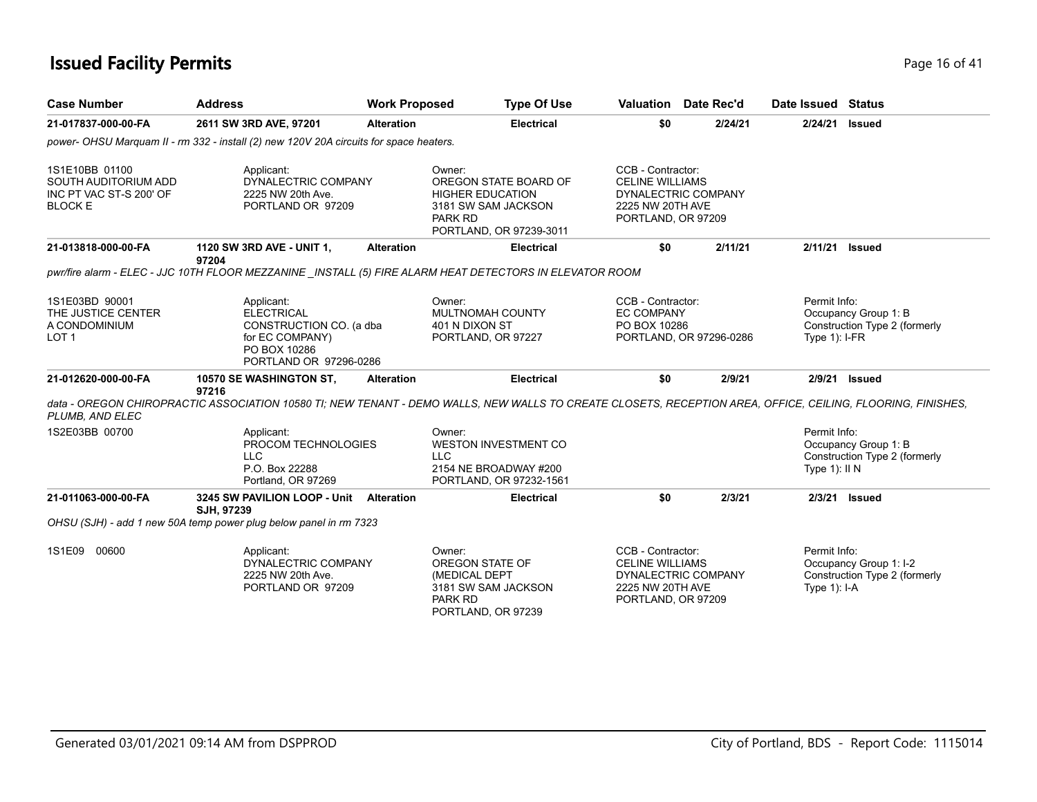## **Issued Facility Permits** Page 16 of 41

| <b>Case Number</b>                                                                  | <b>Address</b>                                                                                                                                              | <b>Work Proposed</b> | <b>Type Of Use</b>                                                                                                      | Valuation                                                                                                    | Date Rec'd |         | Date Issued Status              |                                                         |
|-------------------------------------------------------------------------------------|-------------------------------------------------------------------------------------------------------------------------------------------------------------|----------------------|-------------------------------------------------------------------------------------------------------------------------|--------------------------------------------------------------------------------------------------------------|------------|---------|---------------------------------|---------------------------------------------------------|
| 21-017837-000-00-FA                                                                 | 2611 SW 3RD AVE, 97201                                                                                                                                      | <b>Alteration</b>    | <b>Electrical</b>                                                                                                       | \$0                                                                                                          |            | 2/24/21 | 2/24/21                         | <b>Issued</b>                                           |
|                                                                                     | power- OHSU Marguam II - rm 332 - install (2) new 120V 20A circuits for space heaters.                                                                      |                      |                                                                                                                         |                                                                                                              |            |         |                                 |                                                         |
| 1S1E10BB 01100<br>SOUTH AUDITORIUM ADD<br>INC PT VAC ST-S 200' OF<br><b>BLOCK E</b> | Applicant:<br>DYNALECTRIC COMPANY<br>2225 NW 20th Ave.<br>PORTLAND OR 97209                                                                                 |                      | Owner:<br>OREGON STATE BOARD OF<br><b>HIGHER EDUCATION</b><br>3181 SW SAM JACKSON<br>PARK RD<br>PORTLAND, OR 97239-3011 | CCB - Contractor:<br><b>CELINE WILLIAMS</b><br>DYNALECTRIC COMPANY<br>2225 NW 20TH AVE<br>PORTLAND, OR 97209 |            |         |                                 |                                                         |
| 21-013818-000-00-FA                                                                 | 1120 SW 3RD AVE - UNIT 1,<br>97204                                                                                                                          | <b>Alteration</b>    | <b>Electrical</b>                                                                                                       | \$0                                                                                                          |            | 2/11/21 | 2/11/21 Issued                  |                                                         |
|                                                                                     | pwr/fire alarm - ELEC - JJC 10TH FLOOR MEZZANINE _INSTALL (5) FIRE ALARM HEAT DETECTORS IN ELEVATOR ROOM                                                    |                      |                                                                                                                         |                                                                                                              |            |         |                                 |                                                         |
| 1S1E03BD 90001<br>THE JUSTICE CENTER<br>A CONDOMINIUM<br>LOT <sub>1</sub>           | Applicant:<br><b>ELECTRICAL</b><br>CONSTRUCTION CO. (a dba<br>for EC COMPANY)<br>PO BOX 10286<br>PORTLAND OR 97296-0286                                     |                      | Owner:<br>MULTNOMAH COUNTY<br>401 N DIXON ST<br>PORTLAND, OR 97227                                                      | CCB - Contractor:<br><b>EC COMPANY</b><br>PO BOX 10286<br>PORTLAND, OR 97296-0286                            |            |         | Permit Info:<br>Type $1$ : I-FR | Occupancy Group 1: B<br>Construction Type 2 (formerly   |
| 21-012620-000-00-FA                                                                 | 10570 SE WASHINGTON ST.<br>97216                                                                                                                            | <b>Alteration</b>    | <b>Electrical</b>                                                                                                       | \$0                                                                                                          |            | 2/9/21  | 2/9/21                          | <b>Issued</b>                                           |
| PLUMB, AND ELEC                                                                     | data - OREGON CHIROPRACTIC ASSOCIATION 10580 TI; NEW TENANT - DEMO WALLS, NEW WALLS TO CREATE CLOSETS, RECEPTION AREA, OFFICE, CEILING, FLOORING, FINISHES, |                      |                                                                                                                         |                                                                                                              |            |         |                                 |                                                         |
| 1S2E03BB 00700                                                                      | Applicant:<br>PROCOM TECHNOLOGIES<br><b>LLC</b><br>P.O. Box 22288<br>Portland, OR 97269                                                                     |                      | Owner:<br><b>WESTON INVESTMENT CO</b><br><b>LLC</b><br>2154 NE BROADWAY #200<br>PORTLAND, OR 97232-1561                 |                                                                                                              |            |         | Permit Info:<br>Type $1$ : II N | Occupancy Group 1: B<br>Construction Type 2 (formerly   |
| 21-011063-000-00-FA                                                                 | 3245 SW PAVILION LOOP - Unit<br>SJH, 97239                                                                                                                  | Alteration           | <b>Electrical</b>                                                                                                       | \$0                                                                                                          |            | 2/3/21  |                                 | 2/3/21 Issued                                           |
|                                                                                     | OHSU (SJH) - add 1 new 50A temp power plug below panel in rm 7323                                                                                           |                      |                                                                                                                         |                                                                                                              |            |         |                                 |                                                         |
| 1S1E09 00600                                                                        | Applicant:<br>DYNALECTRIC COMPANY<br>2225 NW 20th Ave.<br>PORTLAND OR 97209                                                                                 |                      | Owner:<br>OREGON STATE OF<br>(MEDICAL DEPT<br>3181 SW SAM JACKSON<br>PARK RD<br>PORTLAND, OR 97239                      | CCB - Contractor:<br><b>CELINE WILLIAMS</b><br>DYNALECTRIC COMPANY<br>2225 NW 20TH AVE<br>PORTLAND, OR 97209 |            |         | Permit Info:<br>Type $1$ : I-A  | Occupancy Group 1: I-2<br>Construction Type 2 (formerly |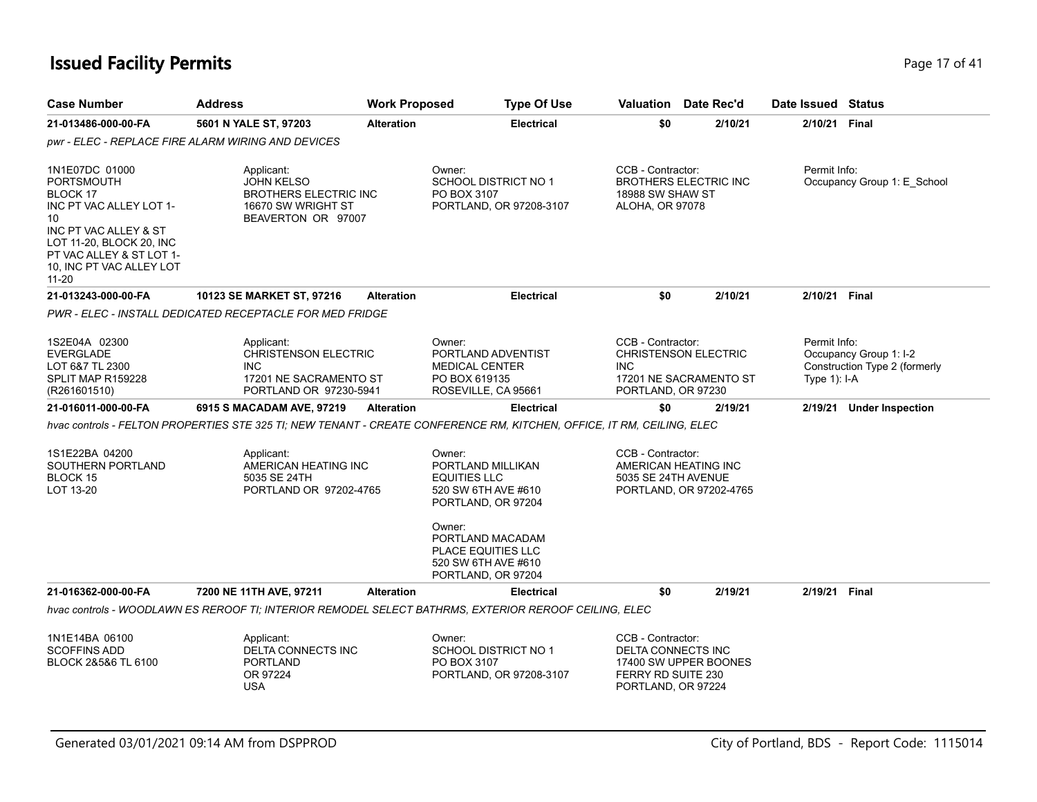## **Issued Facility Permits** Provide a strategies of 41 and 200 minutes and 200 minutes of 41 and 200 minutes and 200 minutes and 200 minutes and 200 minutes and 200 minutes and 200 minutes and 200 minutes and 200 minutes and

| <b>Case Number</b>                                                                                                                                                                                     | <b>Address</b>                                                                                                         | <b>Work Proposed</b> | <b>Type Of Use</b>                                                                                   | Valuation                                                                           | Date Rec'd                                            | Date Issued Status             |                                                         |
|--------------------------------------------------------------------------------------------------------------------------------------------------------------------------------------------------------|------------------------------------------------------------------------------------------------------------------------|----------------------|------------------------------------------------------------------------------------------------------|-------------------------------------------------------------------------------------|-------------------------------------------------------|--------------------------------|---------------------------------------------------------|
| 21-013486-000-00-FA                                                                                                                                                                                    | 5601 N YALE ST, 97203                                                                                                  | <b>Alteration</b>    | <b>Electrical</b>                                                                                    | \$0                                                                                 | 2/10/21                                               | 2/10/21 Final                  |                                                         |
|                                                                                                                                                                                                        | pwr - ELEC - REPLACE FIRE ALARM WIRING AND DEVICES                                                                     |                      |                                                                                                      |                                                                                     |                                                       |                                |                                                         |
| 1N1E07DC 01000<br><b>PORTSMOUTH</b><br>BLOCK 17<br>INC PT VAC ALLEY LOT 1-<br>10<br>INC PT VAC ALLEY & ST<br>LOT 11-20, BLOCK 20, INC<br>PT VAC ALLEY & ST LOT 1-<br>10, INC PT VAC ALLEY LOT<br>11-20 | Applicant:<br><b>JOHN KELSO</b><br><b>BROTHERS ELECTRIC INC</b><br>16670 SW WRIGHT ST<br>BEAVERTON OR 97007            |                      | Owner:<br><b>SCHOOL DISTRICT NO 1</b><br>PO BOX 3107<br>PORTLAND, OR 97208-3107                      | CCB - Contractor:<br>18988 SW SHAW ST<br>ALOHA, OR 97078                            | <b>BROTHERS ELECTRIC INC</b>                          | Permit Info:                   | Occupancy Group 1: E School                             |
| 21-013243-000-00-FA                                                                                                                                                                                    | 10123 SE MARKET ST, 97216                                                                                              | <b>Alteration</b>    | <b>Electrical</b>                                                                                    | \$0                                                                                 | 2/10/21                                               | 2/10/21 Final                  |                                                         |
|                                                                                                                                                                                                        | PWR - ELEC - INSTALL DEDICATED RECEPTACLE FOR MED FRIDGE                                                               |                      |                                                                                                      |                                                                                     |                                                       |                                |                                                         |
| 1S2E04A 02300<br><b>EVERGLADE</b><br>LOT 6&7 TL 2300<br>SPLIT MAP R159228<br>(R261601510)                                                                                                              | Applicant:<br><b>CHRISTENSON ELECTRIC</b><br><b>INC</b><br>17201 NE SACRAMENTO ST<br>PORTLAND OR 97230-5941            |                      | Owner:<br>PORTLAND ADVENTIST<br><b>MEDICAL CENTER</b><br>PO BOX 619135<br>ROSEVILLE, CA 95661        | CCB - Contractor:<br><b>INC</b><br>PORTLAND, OR 97230                               | <b>CHRISTENSON ELECTRIC</b><br>17201 NE SACRAMENTO ST | Permit Info:<br>Type $1$ : I-A | Occupancy Group 1: I-2<br>Construction Type 2 (formerly |
| 21-016011-000-00-FA                                                                                                                                                                                    | 6915 S MACADAM AVE, 97219                                                                                              | <b>Alteration</b>    | <b>Electrical</b>                                                                                    | \$0                                                                                 | 2/19/21                                               |                                | 2/19/21 Under Inspection                                |
|                                                                                                                                                                                                        | hvac controls - FELTON PROPERTIES STE 325 TI; NEW TENANT - CREATE CONFERENCE RM, KITCHEN, OFFICE, IT RM, CEILING, ELEC |                      |                                                                                                      |                                                                                     |                                                       |                                |                                                         |
| 1S1E22BA 04200<br>SOUTHERN PORTLAND<br><b>BLOCK 15</b><br>LOT 13-20                                                                                                                                    | Applicant:<br>AMERICAN HEATING INC<br>5035 SE 24TH<br>PORTLAND OR 97202-4765                                           |                      | Owner:<br>PORTLAND MILLIKAN<br><b>EQUITIES LLC</b><br>520 SW 6TH AVE #610<br>PORTLAND, OR 97204      | CCB - Contractor:<br>AMERICAN HEATING INC<br>5035 SE 24TH AVENUE                    | PORTLAND, OR 97202-4765                               |                                |                                                         |
|                                                                                                                                                                                                        |                                                                                                                        |                      | Owner:<br>PORTLAND MACADAM<br><b>PLACE EQUITIES LLC</b><br>520 SW 6TH AVE #610<br>PORTLAND, OR 97204 |                                                                                     |                                                       |                                |                                                         |
| 21-016362-000-00-FA                                                                                                                                                                                    | 7200 NE 11TH AVE, 97211                                                                                                | <b>Alteration</b>    | <b>Electrical</b>                                                                                    | \$0                                                                                 | 2/19/21                                               | 2/19/21 Final                  |                                                         |
|                                                                                                                                                                                                        | hvac controls - WOODLAWN ES REROOF TI; INTERIOR REMODEL SELECT BATHRMS, EXTERIOR REROOF CEILING, ELEC                  |                      |                                                                                                      |                                                                                     |                                                       |                                |                                                         |
| 1N1E14BA 06100<br><b>SCOFFINS ADD</b><br>BLOCK 2&5&6 TL 6100                                                                                                                                           | Applicant:<br>DELTA CONNECTS INC<br><b>PORTLAND</b><br>OR 97224<br><b>USA</b>                                          |                      | Owner:<br><b>SCHOOL DISTRICT NO 1</b><br>PO BOX 3107<br>PORTLAND, OR 97208-3107                      | CCB - Contractor:<br>DELTA CONNECTS INC<br>FERRY RD SUITE 230<br>PORTLAND, OR 97224 | 17400 SW UPPER BOONES                                 |                                |                                                         |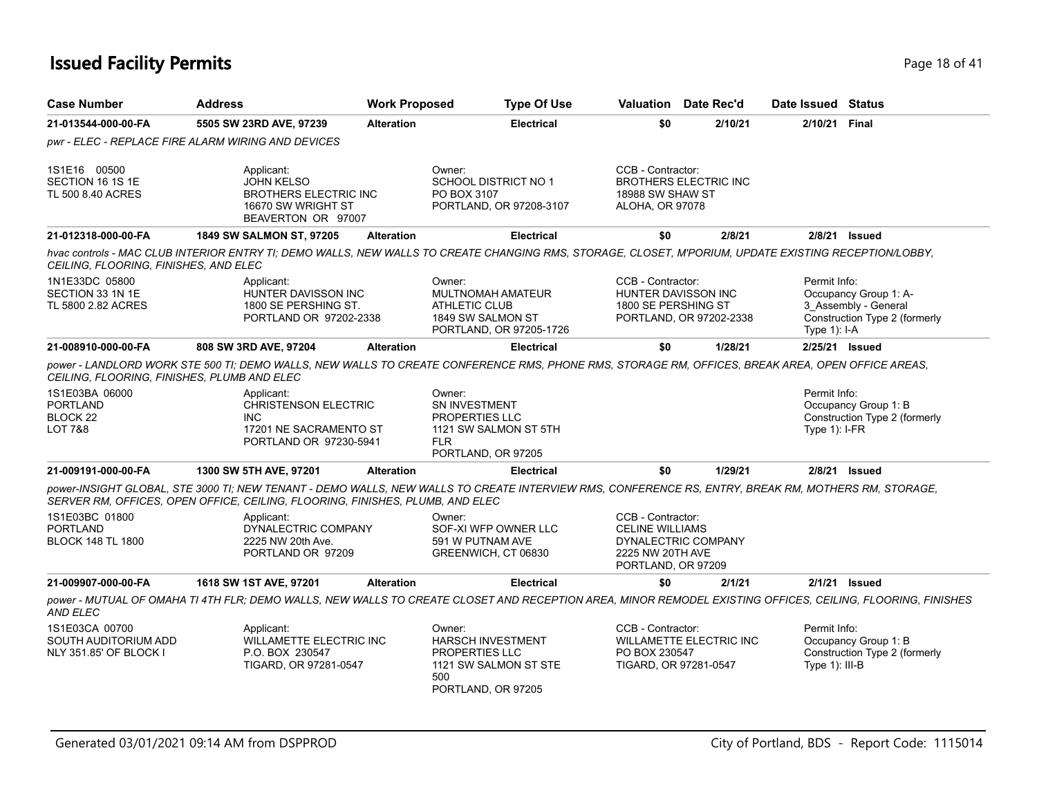## **Issued Facility Permits** Provide the Contract of the Page 18 of 41 Page 18 of 41

| <b>Case Number</b>                                               | <b>Address</b>                                                                                                                                                                                                                       | <b>Work Proposed</b> | <b>Type Of Use</b>                                                                                            |                                                                                       | Valuation Date Rec'd         | Date Issued Status               |                                                                                |
|------------------------------------------------------------------|--------------------------------------------------------------------------------------------------------------------------------------------------------------------------------------------------------------------------------------|----------------------|---------------------------------------------------------------------------------------------------------------|---------------------------------------------------------------------------------------|------------------------------|----------------------------------|--------------------------------------------------------------------------------|
| 21-013544-000-00-FA                                              | 5505 SW 23RD AVE, 97239                                                                                                                                                                                                              | <b>Alteration</b>    | <b>Electrical</b>                                                                                             | \$0                                                                                   | 2/10/21                      | 2/10/21 Final                    |                                                                                |
|                                                                  | pwr - ELEC - REPLACE FIRE ALARM WIRING AND DEVICES                                                                                                                                                                                   |                      |                                                                                                               |                                                                                       |                              |                                  |                                                                                |
| 1S1E16 00500<br>SECTION 16 1S 1E<br>TL 500 8.40 ACRES            | Applicant:<br><b>JOHN KELSO</b><br><b>BROTHERS ELECTRIC INC</b><br>16670 SW WRIGHT ST<br>BEAVERTON OR 97007                                                                                                                          |                      | Owner:<br>SCHOOL DISTRICT NO 1<br>PO BOX 3107<br>PORTLAND, OR 97208-3107                                      | CCB - Contractor:<br>18988 SW SHAW ST<br>ALOHA, OR 97078                              | <b>BROTHERS ELECTRIC INC</b> |                                  |                                                                                |
| 21-012318-000-00-FA                                              | <b>1849 SW SALMON ST, 97205</b>                                                                                                                                                                                                      | <b>Alteration</b>    | <b>Electrical</b>                                                                                             | \$0                                                                                   | 2/8/21                       |                                  | 2/8/21 Issued                                                                  |
| CEILING, FLOORING, FINISHES, AND ELEC                            | hvac controls - MAC CLUB INTERIOR ENTRY TI; DEMO WALLS, NEW WALLS TO CREATE CHANGING RMS, STORAGE, CLOSET, M'PORIUM, UPDATE EXISTING RECEPTION/LOBBY,                                                                                |                      |                                                                                                               |                                                                                       |                              |                                  |                                                                                |
| 1N1E33DC 05800<br>SECTION 33 1N 1E<br>TL 5800 2.82 ACRES         | Applicant:<br>HUNTER DAVISSON INC<br>1800 SE PERSHING ST.<br>PORTLAND OR 97202-2338                                                                                                                                                  |                      | Owner:<br>MULTNOMAH AMATEUR<br><b>ATHLETIC CLUB</b><br>1849 SW SALMON ST<br>PORTLAND, OR 97205-1726           | CCB - Contractor:<br>HUNTER DAVISSON INC<br>1800 SE PERSHING ST                       | PORTLAND, OR 97202-2338      | Permit Info:<br>Type $1$ : I-A   | Occupancy Group 1: A-<br>3 Assembly - General<br>Construction Type 2 (formerly |
| 21-008910-000-00-FA                                              | 808 SW 3RD AVE, 97204                                                                                                                                                                                                                | <b>Alteration</b>    | <b>Electrical</b>                                                                                             | \$0                                                                                   | 1/28/21                      |                                  | 2/25/21 Issued                                                                 |
| CEILING, FLOORING, FINISHES, PLUMB AND ELEC                      | power - LANDLORD WORK STE 500 TI; DEMO WALLS, NEW WALLS TO CREATE CONFERENCE RMS, PHONE RMS, STORAGE RM, OFFICES, BREAK AREA, OPEN OFFICE AREAS,                                                                                     |                      |                                                                                                               |                                                                                       |                              |                                  |                                                                                |
| 1S1E03BA 06000<br>PORTLAND<br>BLOCK <sub>22</sub><br>LOT 7&8     | Applicant:<br><b>CHRISTENSON ELECTRIC</b><br><b>INC</b><br>17201 NE SACRAMENTO ST<br>PORTLAND OR 97230-5941                                                                                                                          |                      | Owner:<br>SN INVESTMENT<br><b>PROPERTIES LLC</b><br>1121 SW SALMON ST 5TH<br><b>FLR</b><br>PORTLAND, OR 97205 |                                                                                       |                              | Permit Info:<br>Type $1$ : I-FR  | Occupancy Group 1: B<br>Construction Type 2 (formerly                          |
| 21-009191-000-00-FA                                              | 1300 SW 5TH AVE, 97201                                                                                                                                                                                                               | <b>Alteration</b>    | <b>Electrical</b>                                                                                             | \$0                                                                                   | 1/29/21                      |                                  | 2/8/21 Issued                                                                  |
|                                                                  | power-INSIGHT GLOBAL, STE 3000 TI; NEW TENANT - DEMO WALLS, NEW WALLS TO CREATE INTERVIEW RMS, CONFERENCE RS, ENTRY, BREAK RM, MOTHERS RM, STORAGE,<br>SERVER RM, OFFICES, OPEN OFFICE, CEILING, FLOORING, FINISHES, PLUMB, AND ELEC |                      |                                                                                                               |                                                                                       |                              |                                  |                                                                                |
| 1S1E03BC 01800<br><b>PORTLAND</b><br><b>BLOCK 148 TL 1800</b>    | Applicant:<br>DYNALECTRIC COMPANY<br>2225 NW 20th Ave.<br>PORTLAND OR 97209                                                                                                                                                          |                      | Owner:<br>SOF-XI WFP OWNER LLC<br>591 W PUTNAM AVE<br>GREENWICH, CT 06830                                     | CCB - Contractor:<br><b>CELINE WILLIAMS</b><br>2225 NW 20TH AVE<br>PORTLAND, OR 97209 | DYNALECTRIC COMPANY          |                                  |                                                                                |
| 21-009907-000-00-FA                                              | 1618 SW 1ST AVE, 97201                                                                                                                                                                                                               | <b>Alteration</b>    | <b>Electrical</b>                                                                                             | \$0                                                                                   | 2/1/21                       |                                  | $2/1/21$ Issued                                                                |
| <b>AND ELEC</b>                                                  | power - MUTUAL OF OMAHA TI 4TH FLR; DEMO WALLS, NEW WALLS TO CREATE CLOSET AND RECEPTION AREA, MINOR REMODEL EXISTING OFFICES, CEILING, FLOORING, FINISHES                                                                           |                      |                                                                                                               |                                                                                       |                              |                                  |                                                                                |
| 1S1E03CA 00700<br>SOUTH AUDITORIUM ADD<br>NLY 351.85' OF BLOCK I | Applicant:<br>WILLAMETTE ELECTRIC INC<br>P.O. BOX 230547<br>TIGARD, OR 97281-0547                                                                                                                                                    |                      | Owner:<br>HARSCH INVESTMENT<br>PROPERTIES LLC<br>1121 SW SALMON ST STE<br>500<br>PORTLAND, OR 97205           | CCB - Contractor:<br>PO BOX 230547<br>TIGARD, OR 97281-0547                           | WILLAMETTE ELECTRIC INC      | Permit Info:<br>Type $1$ : III-B | Occupancy Group 1: B<br>Construction Type 2 (formerly                          |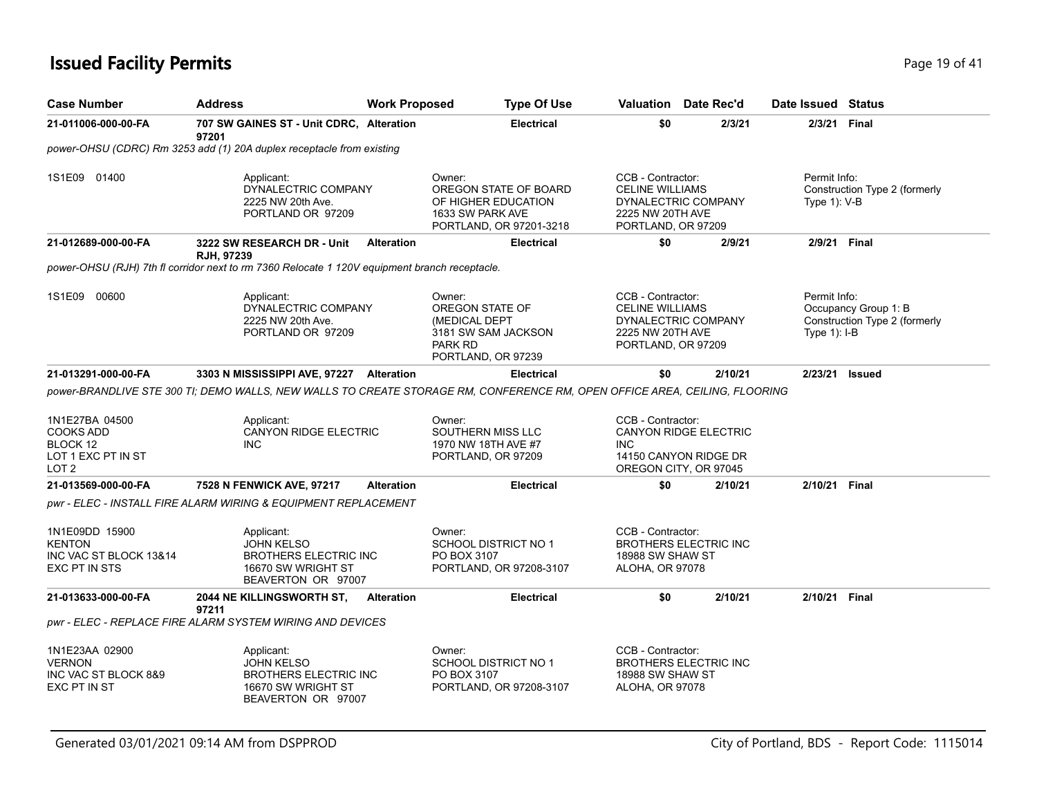# **Issued Facility Permits** Page 19 of 41

| <b>Case Number</b>                                                                       | <b>Address</b>                                                                                                             | <b>Work Proposed</b> | <b>Type Of Use</b>                                                                                    | Valuation                                                                             | Date Rec'd                                                                     | Date Issued Status              |                                                       |
|------------------------------------------------------------------------------------------|----------------------------------------------------------------------------------------------------------------------------|----------------------|-------------------------------------------------------------------------------------------------------|---------------------------------------------------------------------------------------|--------------------------------------------------------------------------------|---------------------------------|-------------------------------------------------------|
| 21-011006-000-00-FA                                                                      | 707 SW GAINES ST - Unit CDRC, Alteration<br>97201                                                                          |                      | <b>Electrical</b>                                                                                     | \$0                                                                                   | 2/3/21                                                                         | 2/3/21                          | <b>Final</b>                                          |
|                                                                                          | power-OHSU (CDRC) Rm 3253 add (1) 20A duplex receptacle from existing                                                      |                      |                                                                                                       |                                                                                       |                                                                                |                                 |                                                       |
| 1S1E09 01400                                                                             | Applicant:<br>DYNALECTRIC COMPANY<br>2225 NW 20th Ave.<br>PORTLAND OR 97209                                                |                      | Owner:<br>OREGON STATE OF BOARD<br>OF HIGHER EDUCATION<br>1633 SW PARK AVE<br>PORTLAND, OR 97201-3218 | CCB - Contractor:<br><b>CELINE WILLIAMS</b><br>2225 NW 20TH AVE<br>PORTLAND, OR 97209 | DYNALECTRIC COMPANY                                                            | Permit Info:<br>Type $1$ ): V-B | Construction Type 2 (formerly                         |
| 21-012689-000-00-FA                                                                      | 3222 SW RESEARCH DR - Unit<br><b>RJH, 97239</b>                                                                            | <b>Alteration</b>    | <b>Electrical</b>                                                                                     | \$0                                                                                   | 2/9/21                                                                         | 2/9/21 Final                    |                                                       |
|                                                                                          | power-OHSU (RJH) 7th fl corridor next to rm 7360 Relocate 1 120V equipment branch receptacle.                              |                      |                                                                                                       |                                                                                       |                                                                                |                                 |                                                       |
| 1S1E09 00600                                                                             | Applicant:<br>DYNALECTRIC COMPANY<br>2225 NW 20th Ave.<br>PORTLAND OR 97209                                                |                      | Owner:<br>OREGON STATE OF<br>(MEDICAL DEPT<br>3181 SW SAM JACKSON<br>PARK RD<br>PORTLAND, OR 97239    | CCB - Contractor:<br><b>CELINE WILLIAMS</b><br>2225 NW 20TH AVE<br>PORTLAND, OR 97209 | DYNALECTRIC COMPANY                                                            | Permit Info:<br>Type $1$ : I-B  | Occupancy Group 1: B<br>Construction Type 2 (formerly |
| 21-013291-000-00-FA                                                                      | 3303 N MISSISSIPPI AVE, 97227                                                                                              | Alteration           | <b>Electrical</b>                                                                                     | \$0                                                                                   | 2/10/21                                                                        |                                 | 2/23/21 Issued                                        |
|                                                                                          | power-BRANDLIVE STE 300 TI; DEMO WALLS, NEW WALLS TO CREATE STORAGE RM, CONFERENCE RM, OPEN OFFICE AREA, CEILING, FLOORING |                      |                                                                                                       |                                                                                       |                                                                                |                                 |                                                       |
| 1N1E27BA 04500<br><b>COOKS ADD</b><br>BLOCK 12<br>LOT 1 EXC PT IN ST<br>LOT <sub>2</sub> | Applicant:<br><b>CANYON RIDGE ELECTRIC</b><br><b>INC</b>                                                                   |                      | Owner:<br>SOUTHERN MISS LLC<br>1970 NW 18TH AVE #7<br>PORTLAND, OR 97209                              | CCB - Contractor:<br><b>INC</b>                                                       | <b>CANYON RIDGE ELECTRIC</b><br>14150 CANYON RIDGE DR<br>OREGON CITY, OR 97045 |                                 |                                                       |
| 21-013569-000-00-FA                                                                      | 7528 N FENWICK AVE, 97217                                                                                                  | <b>Alteration</b>    | <b>Electrical</b>                                                                                     | \$0                                                                                   | 2/10/21                                                                        | 2/10/21                         | Final                                                 |
|                                                                                          | pwr - ELEC - INSTALL FIRE ALARM WIRING & EQUIPMENT REPLACEMENT                                                             |                      |                                                                                                       |                                                                                       |                                                                                |                                 |                                                       |
| 1N1E09DD 15900<br><b>KENTON</b><br>INC VAC ST BLOCK 13&14<br>EXC PT IN STS               | Applicant:<br><b>JOHN KELSO</b><br><b>BROTHERS ELECTRIC INC</b><br>16670 SW WRIGHT ST<br>BEAVERTON OR 97007                |                      | Owner:<br>SCHOOL DISTRICT NO 1<br>PO BOX 3107<br>PORTLAND, OR 97208-3107                              | CCB - Contractor:<br>18988 SW SHAW ST<br>ALOHA, OR 97078                              | <b>BROTHERS ELECTRIC INC</b>                                                   |                                 |                                                       |
| 21-013633-000-00-FA                                                                      | 2044 NE KILLINGSWORTH ST,<br>97211                                                                                         | <b>Alteration</b>    | <b>Electrical</b>                                                                                     | \$0                                                                                   | 2/10/21                                                                        | 2/10/21 Final                   |                                                       |
|                                                                                          | pwr - ELEC - REPLACE FIRE ALARM SYSTEM WIRING AND DEVICES                                                                  |                      |                                                                                                       |                                                                                       |                                                                                |                                 |                                                       |
| 1N1E23AA 02900<br><b>VERNON</b><br>INC VAC ST BLOCK 8&9<br>EXC PT IN ST                  | Applicant:<br><b>JOHN KELSO</b><br><b>BROTHERS ELECTRIC INC</b><br>16670 SW WRIGHT ST<br>BEAVERTON OR 97007                |                      | Owner:<br><b>SCHOOL DISTRICT NO 1</b><br>PO BOX 3107<br>PORTLAND, OR 97208-3107                       | CCB - Contractor:<br>18988 SW SHAW ST<br>ALOHA, OR 97078                              | <b>BROTHERS ELECTRIC INC</b>                                                   |                                 |                                                       |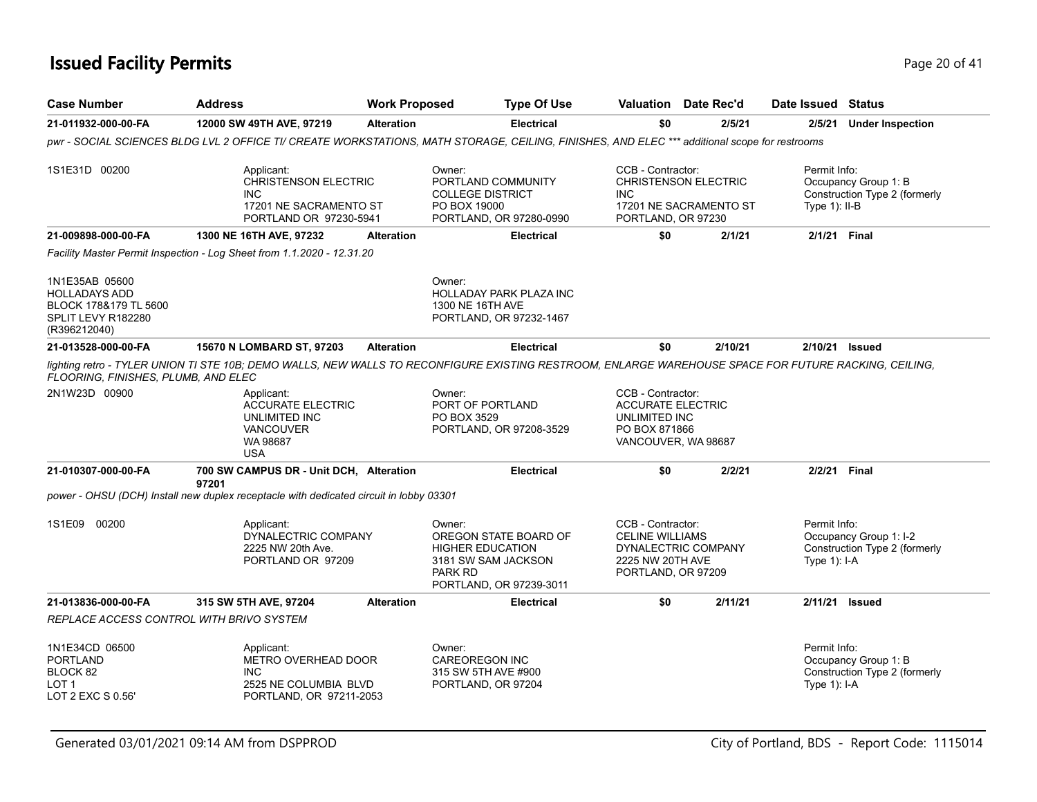# **Issued Facility Permits** Page 20 of 41

| <b>Case Number</b>                                                                                    | <b>Address</b>                                                                                                                                        | <b>Work Proposed</b> |                                                                       | <b>Type Of Use</b>                                                      |                                                                                                        | Valuation Date Rec'd                                  | Date Issued Status              |                                                         |
|-------------------------------------------------------------------------------------------------------|-------------------------------------------------------------------------------------------------------------------------------------------------------|----------------------|-----------------------------------------------------------------------|-------------------------------------------------------------------------|--------------------------------------------------------------------------------------------------------|-------------------------------------------------------|---------------------------------|---------------------------------------------------------|
| 21-011932-000-00-FA                                                                                   | 12000 SW 49TH AVE, 97219                                                                                                                              | <b>Alteration</b>    |                                                                       | <b>Electrical</b>                                                       | \$0                                                                                                    | 2/5/21                                                | 2/5/21                          | <b>Under Inspection</b>                                 |
|                                                                                                       | pwr - SOCIAL SCIENCES BLDG LVL 2 OFFICE TI/ CREATE WORKSTATIONS, MATH STORAGE, CEILING, FINISHES, AND ELEC *** additional scope for restrooms         |                      |                                                                       |                                                                         |                                                                                                        |                                                       |                                 |                                                         |
| 1S1E31D 00200                                                                                         | Applicant:<br><b>CHRISTENSON ELECTRIC</b><br><b>INC</b><br>17201 NE SACRAMENTO ST<br>PORTLAND OR 97230-5941                                           |                      | Owner:<br><b>COLLEGE DISTRICT</b><br>PO BOX 19000                     | PORTLAND COMMUNITY<br>PORTLAND, OR 97280-0990                           | CCB - Contractor:<br><b>INC</b><br>PORTLAND, OR 97230                                                  | <b>CHRISTENSON ELECTRIC</b><br>17201 NE SACRAMENTO ST | Permit Info:<br>Type $1$ : II-B | Occupancy Group 1: B<br>Construction Type 2 (formerly   |
| 21-009898-000-00-FA                                                                                   | 1300 NE 16TH AVE, 97232                                                                                                                               | <b>Alteration</b>    |                                                                       | <b>Electrical</b>                                                       | \$0                                                                                                    | 2/1/21                                                | 2/1/21 Final                    |                                                         |
|                                                                                                       | Facility Master Permit Inspection - Log Sheet from 1.1.2020 - 12.31.20                                                                                |                      |                                                                       |                                                                         |                                                                                                        |                                                       |                                 |                                                         |
| 1N1E35AB 05600<br><b>HOLLADAYS ADD</b><br>BLOCK 178&179 TL 5600<br>SPLIT LEVY R182280<br>(R396212040) |                                                                                                                                                       |                      | Owner:<br>1300 NE 16TH AVE                                            | HOLLADAY PARK PLAZA INC<br>PORTLAND, OR 97232-1467                      |                                                                                                        |                                                       |                                 |                                                         |
| 21-013528-000-00-FA                                                                                   | 15670 N LOMBARD ST, 97203                                                                                                                             | <b>Alteration</b>    |                                                                       | <b>Electrical</b>                                                       | \$0                                                                                                    | 2/10/21                                               |                                 | 2/10/21 Issued                                          |
| FLOORING, FINISHES, PLUMB, AND ELEC                                                                   | lighting retro - TYLER UNION TI STE 10B; DEMO WALLS, NEW WALLS TO RECONFIGURE EXISTING RESTROOM, ENLARGE WAREHOUSE SPACE FOR FUTURE RACKING, CEILING, |                      |                                                                       |                                                                         |                                                                                                        |                                                       |                                 |                                                         |
| 2N1W23D 00900                                                                                         | Applicant:<br><b>ACCURATE ELECTRIC</b><br>UNLIMITED INC<br><b>VANCOUVER</b><br>WA 98687<br><b>USA</b>                                                 |                      | Owner:<br>PORT OF PORTLAND<br>PO BOX 3529                             | PORTLAND, OR 97208-3529                                                 | CCB - Contractor:<br><b>ACCURATE ELECTRIC</b><br>UNLIMITED INC<br>PO BOX 871866<br>VANCOUVER, WA 98687 |                                                       |                                 |                                                         |
| 21-010307-000-00-FA                                                                                   | 700 SW CAMPUS DR - Unit DCH, Alteration                                                                                                               |                      |                                                                       | <b>Electrical</b>                                                       | \$0                                                                                                    | 2/2/21                                                |                                 | 2/2/21 Final                                            |
|                                                                                                       | 97201<br>power - OHSU (DCH) Install new duplex receptacle with dedicated circuit in lobby 03301                                                       |                      |                                                                       |                                                                         |                                                                                                        |                                                       |                                 |                                                         |
| 1S1E09 00200                                                                                          | Applicant:<br>DYNALECTRIC COMPANY<br>2225 NW 20th Ave.<br>PORTLAND OR 97209                                                                           |                      | Owner:<br><b>HIGHER EDUCATION</b><br>PARK RD                          | OREGON STATE BOARD OF<br>3181 SW SAM JACKSON<br>PORTLAND, OR 97239-3011 | CCB - Contractor:<br><b>CELINE WILLIAMS</b><br>2225 NW 20TH AVE<br>PORTLAND, OR 97209                  | DYNALECTRIC COMPANY                                   | Permit Info:<br>Type $1$ : I-A  | Occupancy Group 1: I-2<br>Construction Type 2 (formerly |
| 21-013836-000-00-FA                                                                                   | 315 SW 5TH AVE, 97204                                                                                                                                 | <b>Alteration</b>    |                                                                       | <b>Electrical</b>                                                       | \$0                                                                                                    | 2/11/21                                               |                                 | 2/11/21 Issued                                          |
| REPLACE ACCESS CONTROL WITH BRIVO SYSTEM                                                              |                                                                                                                                                       |                      |                                                                       |                                                                         |                                                                                                        |                                                       |                                 |                                                         |
| 1N1E34CD 06500<br><b>PORTLAND</b><br>BLOCK 82<br>LOT <sub>1</sub><br>LOT 2 EXC S 0.56'                | Applicant:<br>METRO OVERHEAD DOOR<br><b>INC</b><br>2525 NE COLUMBIA BLVD<br>PORTLAND, OR 97211-2053                                                   |                      | Owner:<br>CAREOREGON INC<br>315 SW 5TH AVE #900<br>PORTLAND, OR 97204 |                                                                         |                                                                                                        |                                                       | Permit Info:<br>Type $1$ : I-A  | Occupancy Group 1: B<br>Construction Type 2 (formerly   |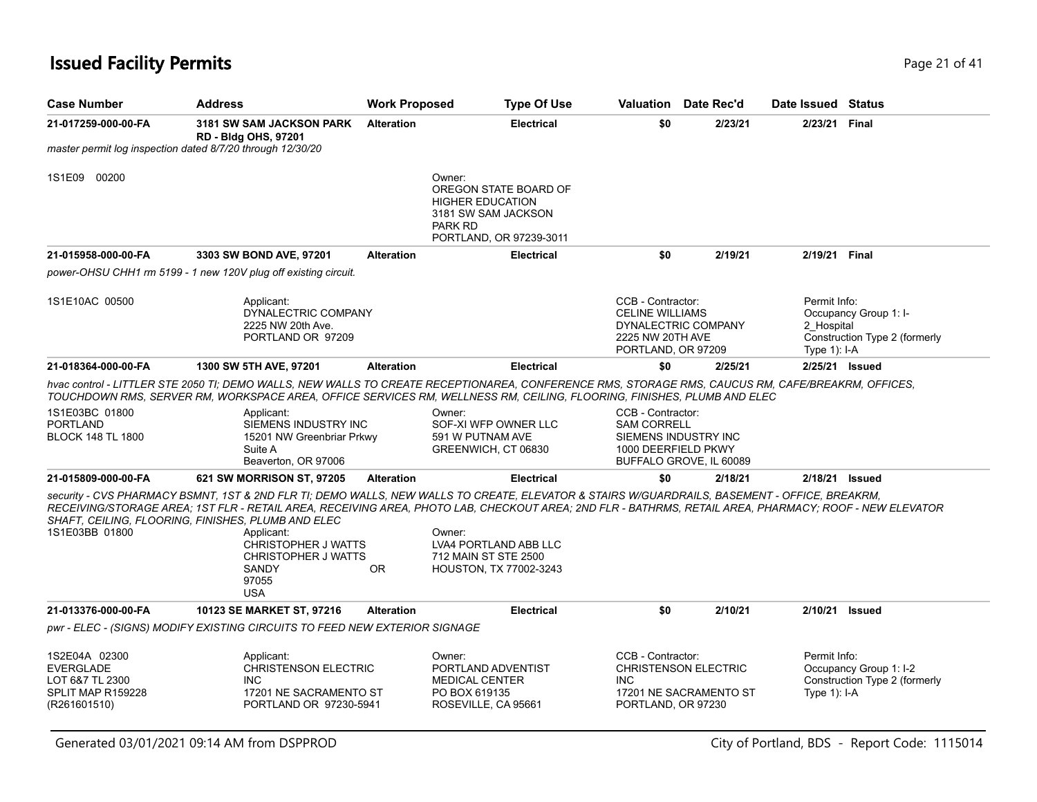# **Issued Facility Permits** Page 21 of 41

| <b>Case Number</b>                                                                        | <b>Address</b>                                                                                                                                               | <b>Work Proposed</b> | <b>Type Of Use</b>                                                                                                                                                                                                                                                                                                                                                                           |                                                                                       | Valuation Date Rec'd                                  | Date Issued Status                         |                                                         |
|-------------------------------------------------------------------------------------------|--------------------------------------------------------------------------------------------------------------------------------------------------------------|----------------------|----------------------------------------------------------------------------------------------------------------------------------------------------------------------------------------------------------------------------------------------------------------------------------------------------------------------------------------------------------------------------------------------|---------------------------------------------------------------------------------------|-------------------------------------------------------|--------------------------------------------|---------------------------------------------------------|
| 21-017259-000-00-FA<br>master permit log inspection dated 8/7/20 through 12/30/20         | <b>3181 SW SAM JACKSON PARK</b><br><b>RD - Bldg OHS, 97201</b>                                                                                               | <b>Alteration</b>    | <b>Electrical</b>                                                                                                                                                                                                                                                                                                                                                                            | \$0                                                                                   | 2/23/21                                               | 2/23/21 Final                              |                                                         |
| 1S1E09 00200                                                                              |                                                                                                                                                              |                      | Owner:<br>OREGON STATE BOARD OF<br><b>HIGHER EDUCATION</b><br>3181 SW SAM JACKSON<br>PARK RD<br>PORTLAND, OR 97239-3011                                                                                                                                                                                                                                                                      |                                                                                       |                                                       |                                            |                                                         |
| 21-015958-000-00-FA                                                                       | 3303 SW BOND AVE, 97201                                                                                                                                      | <b>Alteration</b>    | <b>Electrical</b>                                                                                                                                                                                                                                                                                                                                                                            | \$0                                                                                   | 2/19/21                                               | 2/19/21 Final                              |                                                         |
|                                                                                           | power-OHSU CHH1 rm 5199 - 1 new 120V plug off existing circuit.                                                                                              |                      |                                                                                                                                                                                                                                                                                                                                                                                              |                                                                                       |                                                       |                                            |                                                         |
| 1S1E10AC 00500                                                                            | Applicant:<br>DYNALECTRIC COMPANY<br>2225 NW 20th Ave.<br>PORTLAND OR 97209                                                                                  |                      |                                                                                                                                                                                                                                                                                                                                                                                              | CCB - Contractor:<br><b>CELINE WILLIAMS</b><br>2225 NW 20TH AVE<br>PORTLAND, OR 97209 | DYNALECTRIC COMPANY                                   | Permit Info:<br>2 Hospital<br>Type 1): I-A | Occupancy Group 1: I-<br>Construction Type 2 (formerly  |
| 21-018364-000-00-FA                                                                       | 1300 SW 5TH AVE, 97201                                                                                                                                       | <b>Alteration</b>    | <b>Electrical</b>                                                                                                                                                                                                                                                                                                                                                                            | \$0                                                                                   | 2/25/21                                               | 2/25/21 Issued                             |                                                         |
|                                                                                           |                                                                                                                                                              |                      | hvac control - LITTLER STE 2050 TI; DEMO WALLS, NEW WALLS TO CREATE RECEPTIONAREA, CONFERENCE RMS, STORAGE RMS, CAUCUS RM, CAFE/BREAKRM, OFFICES,<br>TOUCHDOWN RMS, SERVER RM, WORKSPACE AREA, OFFICE SERVICES RM, WELLNESS RM, CEILING, FLOORING, FINISHES, PLUMB AND ELEC                                                                                                                  |                                                                                       |                                                       |                                            |                                                         |
| 1S1E03BC 01800<br><b>PORTLAND</b><br><b>BLOCK 148 TL 1800</b>                             | Applicant:<br>SIEMENS INDUSTRY INC<br>15201 NW Greenbriar Prkwy<br>Suite A<br>Beaverton, OR 97006                                                            |                      | Owner:<br>SOF-XI WFP OWNER LLC<br>591 W PUTNAM AVE<br>GREENWICH, CT 06830                                                                                                                                                                                                                                                                                                                    | CCB - Contractor:<br><b>SAM CORRELL</b><br>1000 DEERFIELD PKWY                        | SIEMENS INDUSTRY INC<br>BUFFALO GROVE, IL 60089       |                                            |                                                         |
| 21-015809-000-00-FA                                                                       | 621 SW MORRISON ST, 97205                                                                                                                                    | <b>Alteration</b>    | <b>Electrical</b>                                                                                                                                                                                                                                                                                                                                                                            | \$0                                                                                   | 2/18/21                                               | 2/18/21 Issued                             |                                                         |
| 1S1E03BB 01800                                                                            | SHAFT, CEILING, FLOORING, FINISHES, PLUMB AND ELEC<br>Applicant:<br>CHRISTOPHER J WATTS<br><b>CHRISTOPHER J WATTS</b><br><b>SANDY</b><br>97055<br><b>USA</b> | OR.                  | security - CVS PHARMACY BSMNT, 1ST & 2ND FLR TI; DEMO WALLS, NEW WALLS TO CREATE, ELEVATOR & STAIRS W/GUARDRAILS, BASEMENT - OFFICE, BREAKRM,<br>RECEIVING/STORAGE AREA; 1ST FLR - RETAIL AREA, RECEIVING AREA, PHOTO LAB, CHECKOUT AREA; 2ND FLR - BATHRMS, RETAIL AREA, PHARMACY; ROOF - NEW ELEVATOR<br>Owner:<br>LVA4 PORTLAND ABB LLC<br>712 MAIN ST STE 2500<br>HOUSTON, TX 77002-3243 |                                                                                       |                                                       |                                            |                                                         |
| 21-013376-000-00-FA                                                                       | 10123 SE MARKET ST, 97216                                                                                                                                    | <b>Alteration</b>    | <b>Electrical</b>                                                                                                                                                                                                                                                                                                                                                                            | \$0                                                                                   | 2/10/21                                               | 2/10/21 Issued                             |                                                         |
|                                                                                           | pwr - ELEC - (SIGNS) MODIFY EXISTING CIRCUITS TO FEED NEW EXTERIOR SIGNAGE                                                                                   |                      |                                                                                                                                                                                                                                                                                                                                                                                              |                                                                                       |                                                       |                                            |                                                         |
| 1S2E04A 02300<br><b>EVERGLADE</b><br>LOT 6&7 TL 2300<br>SPLIT MAP R159228<br>(R261601510) | Applicant:<br><b>CHRISTENSON ELECTRIC</b><br><b>INC</b><br>17201 NE SACRAMENTO ST<br>PORTLAND OR 97230-5941                                                  |                      | Owner:<br>PORTLAND ADVENTIST<br><b>MEDICAL CENTER</b><br>PO BOX 619135<br>ROSEVILLE, CA 95661                                                                                                                                                                                                                                                                                                | CCB - Contractor:<br><b>INC</b><br>PORTLAND, OR 97230                                 | <b>CHRISTENSON ELECTRIC</b><br>17201 NE SACRAMENTO ST | Permit Info:<br>Type $1$ : I-A             | Occupancy Group 1: I-2<br>Construction Type 2 (formerly |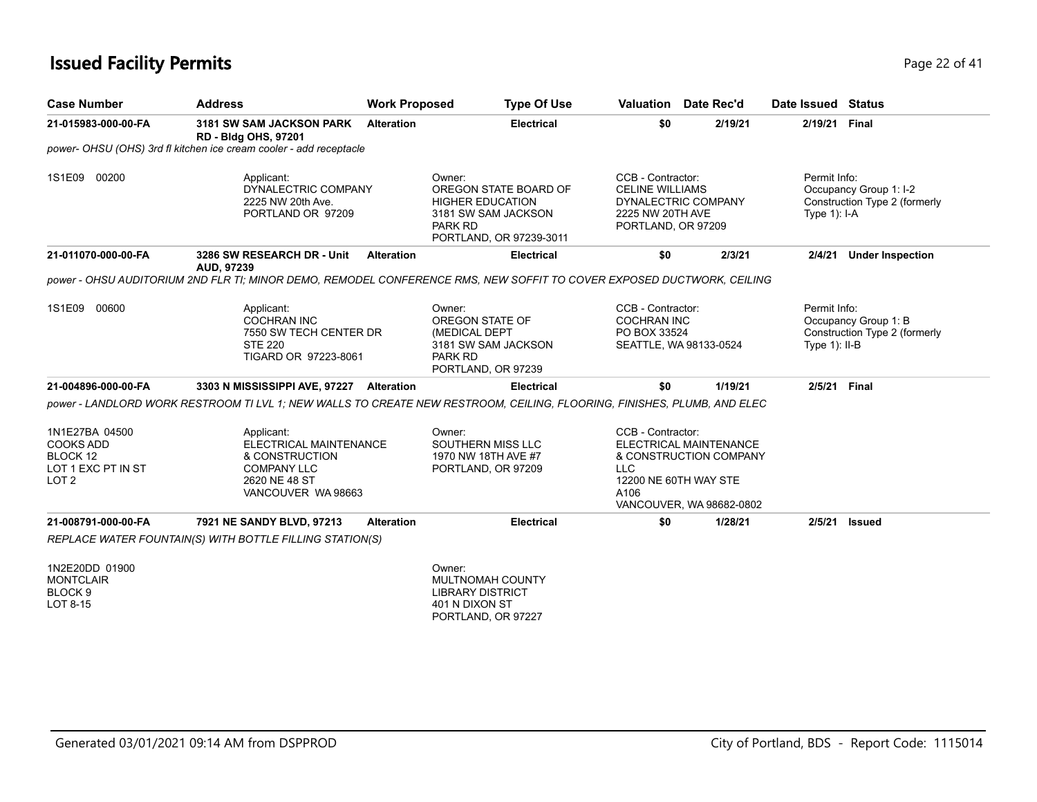## **Issued Facility Permits** Provide a strategies of 41 and 22 of 41

| <b>Case Number</b>                                                                       | <b>Address</b>                                                                                                                | <b>Work Proposed</b> | <b>Type Of Use</b>                                                                                                      |                                                                                                              | Valuation Date Rec'd                                                         | Date Issued Status              |                                                         |
|------------------------------------------------------------------------------------------|-------------------------------------------------------------------------------------------------------------------------------|----------------------|-------------------------------------------------------------------------------------------------------------------------|--------------------------------------------------------------------------------------------------------------|------------------------------------------------------------------------------|---------------------------------|---------------------------------------------------------|
| 21-015983-000-00-FA                                                                      | 3181 SW SAM JACKSON PARK<br><b>RD - Bldg OHS, 97201</b><br>power- OHSU (OHS) 3rd fl kitchen ice cream cooler - add receptacle | <b>Alteration</b>    | <b>Electrical</b>                                                                                                       | \$0                                                                                                          | 2/19/21                                                                      | 2/19/21 Final                   |                                                         |
| 1S1E09 00200                                                                             | Applicant:<br>DYNALECTRIC COMPANY<br>2225 NW 20th Ave.<br>PORTLAND OR 97209                                                   |                      | Owner:<br>OREGON STATE BOARD OF<br><b>HIGHER EDUCATION</b><br>3181 SW SAM JACKSON<br>PARK RD<br>PORTLAND, OR 97239-3011 | CCB - Contractor:<br><b>CELINE WILLIAMS</b><br>DYNALECTRIC COMPANY<br>2225 NW 20TH AVE<br>PORTLAND, OR 97209 |                                                                              | Permit Info:<br>Type $1$ : I-A  | Occupancy Group 1: I-2<br>Construction Type 2 (formerly |
| 21-011070-000-00-FA                                                                      | 3286 SW RESEARCH DR - Unit<br>AUD, 97239                                                                                      | <b>Alteration</b>    | <b>Electrical</b>                                                                                                       | \$0                                                                                                          | 2/3/21                                                                       |                                 | 2/4/21 Under Inspection                                 |
|                                                                                          | power - OHSU AUDITORIUM 2ND FLR TI; MINOR DEMO, REMODEL CONFERENCE RMS, NEW SOFFIT TO COVER EXPOSED DUCTWORK, CEILING         |                      |                                                                                                                         |                                                                                                              |                                                                              |                                 |                                                         |
| 1S1E09 00600                                                                             | Applicant:<br><b>COCHRAN INC</b><br>7550 SW TECH CENTER DR<br><b>STE 220</b><br>TIGARD OR 97223-8061                          |                      | Owner:<br>OREGON STATE OF<br>(MEDICAL DEPT<br>3181 SW SAM JACKSON<br>PARK RD<br>PORTLAND, OR 97239                      | CCB - Contractor:<br><b>COCHRAN INC</b><br>PO BOX 33524<br>SEATTLE, WA 98133-0524                            |                                                                              | Permit Info:<br>Type $1$ : II-B | Occupancy Group 1: B<br>Construction Type 2 (formerly   |
| 21-004896-000-00-FA                                                                      | 3303 N MISSISSIPPI AVE, 97227 Alteration                                                                                      |                      | <b>Electrical</b>                                                                                                       | \$0                                                                                                          | 1/19/21                                                                      | 2/5/21 Final                    |                                                         |
|                                                                                          | power - LANDLORD WORK RESTROOM TI LVL 1; NEW WALLS TO CREATE NEW RESTROOM, CEILING, FLOORING, FINISHES, PLUMB, AND ELEC       |                      |                                                                                                                         |                                                                                                              |                                                                              |                                 |                                                         |
| 1N1E27BA 04500<br><b>COOKS ADD</b><br>BLOCK 12<br>LOT 1 EXC PT IN ST<br>LOT <sub>2</sub> | Applicant:<br>ELECTRICAL MAINTENANCE<br>& CONSTRUCTION<br><b>COMPANY LLC</b><br>2620 NE 48 ST<br>VANCOUVER WA 98663           |                      | Owner:<br>SOUTHERN MISS LLC<br>1970 NW 18TH AVE #7<br>PORTLAND, OR 97209                                                | CCB - Contractor:<br><b>LLC</b><br>12200 NE 60TH WAY STE<br>A106                                             | ELECTRICAL MAINTENANCE<br>& CONSTRUCTION COMPANY<br>VANCOUVER, WA 98682-0802 |                                 |                                                         |
| 21-008791-000-00-FA                                                                      | 7921 NE SANDY BLVD, 97213                                                                                                     | <b>Alteration</b>    | <b>Electrical</b>                                                                                                       | \$0                                                                                                          | 1/28/21                                                                      | 2/5/21                          | <b>Issued</b>                                           |
|                                                                                          | REPLACE WATER FOUNTAIN(S) WITH BOTTLE FILLING STATION(S)                                                                      |                      |                                                                                                                         |                                                                                                              |                                                                              |                                 |                                                         |
| 1N2E20DD 01900<br><b>MONTCLAIR</b><br>BLOCK <sub>9</sub><br>LOT 8-15                     |                                                                                                                               |                      | Owner:<br>MULTNOMAH COUNTY<br><b>LIBRARY DISTRICT</b><br>401 N DIXON ST<br>PORTLAND, OR 97227                           |                                                                                                              |                                                                              |                                 |                                                         |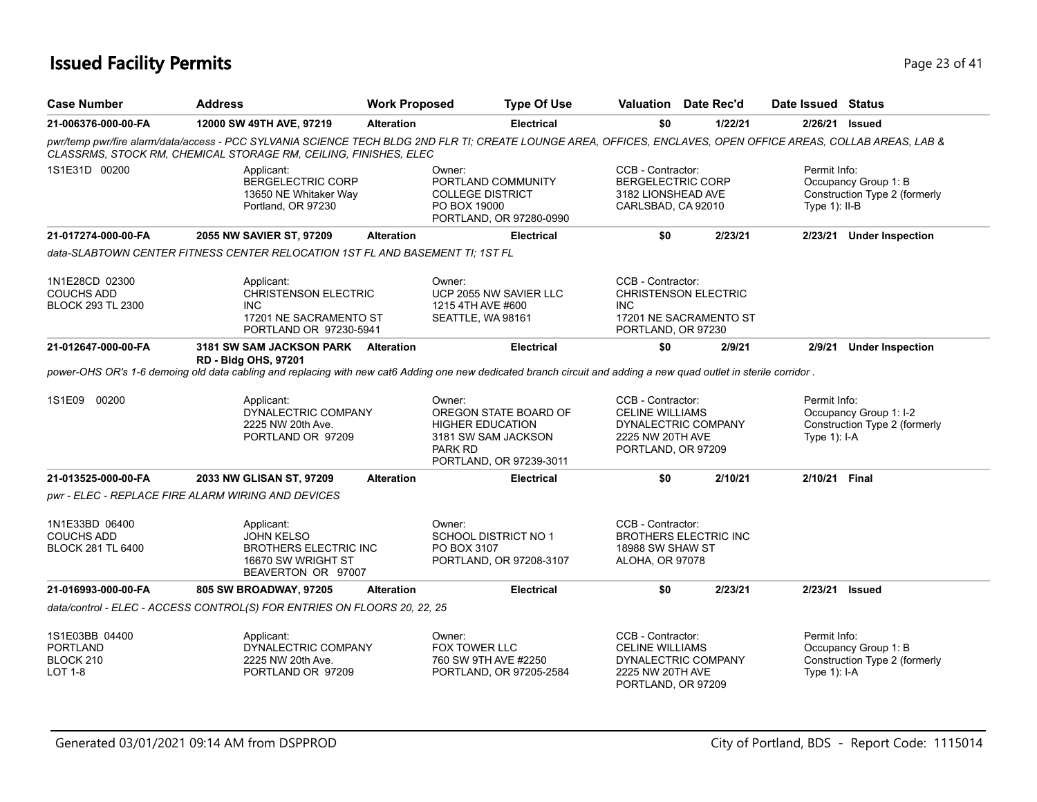# **Issued Facility Permits** Page 23 of 41

| <b>Case Number</b>                                               | <b>Address</b>                                                                                                                                                                                                                          | <b>Work Proposed</b> |                                                   | <b>Type Of Use</b>                                                      | <b>Valuation</b> Date Rec'd                                                                                    |         | Date Issued Status               |                                                         |
|------------------------------------------------------------------|-----------------------------------------------------------------------------------------------------------------------------------------------------------------------------------------------------------------------------------------|----------------------|---------------------------------------------------|-------------------------------------------------------------------------|----------------------------------------------------------------------------------------------------------------|---------|----------------------------------|---------------------------------------------------------|
| 21-006376-000-00-FA                                              | 12000 SW 49TH AVE, 97219                                                                                                                                                                                                                | <b>Alteration</b>    |                                                   | <b>Electrical</b>                                                       | \$0                                                                                                            | 1/22/21 |                                  | 2/26/21 Issued                                          |
|                                                                  | pwr/temp pwr/fire alarm/data/access - PCC SYLVANIA SCIENCE TECH BLDG 2ND FLR TI; CREATE LOUNGE AREA, OFFICES, ENCLAVES, OPEN OFFICE AREAS, COLLAB AREAS, LAB &<br>CLASSRMS, STOCK RM, CHEMICAL STORAGE RM, CEILING, FINISHES, ELEC      |                      |                                                   |                                                                         |                                                                                                                |         |                                  |                                                         |
| 1S1E31D 00200                                                    | Applicant:<br><b>BERGELECTRIC CORP</b><br>13650 NE Whitaker Way<br>Portland, OR 97230                                                                                                                                                   |                      | Owner:<br><b>COLLEGE DISTRICT</b><br>PO BOX 19000 | PORTLAND COMMUNITY<br>PORTLAND, OR 97280-0990                           | CCB - Contractor:<br><b>BERGELECTRIC CORP</b><br>3182 LIONSHEAD AVE<br>CARLSBAD, CA 92010                      |         | Permit Info:<br>Type $1$ ): II-B | Occupancy Group 1: B<br>Construction Type 2 (formerly   |
| 21-017274-000-00-FA                                              | 2055 NW SAVIER ST, 97209                                                                                                                                                                                                                | <b>Alteration</b>    |                                                   | <b>Electrical</b>                                                       | \$0                                                                                                            | 2/23/21 |                                  | 2/23/21 Under Inspection                                |
|                                                                  | data-SLABTOWN CENTER FITNESS CENTER RELOCATION 1ST FL AND BASEMENT TI: 1ST FL                                                                                                                                                           |                      |                                                   |                                                                         |                                                                                                                |         |                                  |                                                         |
| 1N1E28CD 02300<br><b>COUCHS ADD</b><br><b>BLOCK 293 TL 2300</b>  | Applicant:<br><b>CHRISTENSON ELECTRIC</b><br><b>INC</b><br>17201 NE SACRAMENTO ST<br>PORTLAND OR 97230-5941                                                                                                                             |                      | Owner:<br>1215 4TH AVE #600<br>SEATTLE, WA 98161  | UCP 2055 NW SAVIER LLC                                                  | CCB - Contractor:<br><b>CHRISTENSON ELECTRIC</b><br><b>INC</b><br>17201 NE SACRAMENTO ST<br>PORTLAND, OR 97230 |         |                                  |                                                         |
| 21-012647-000-00-FA                                              | 3181 SW SAM JACKSON PARK Alteration<br><b>RD - Bldg OHS, 97201</b><br>power-OHS OR's 1-6 demoing old data cabling and replacing with new cat6 Adding one new dedicated branch circuit and adding a new quad outlet in sterile corridor. |                      |                                                   | <b>Electrical</b>                                                       | \$0                                                                                                            | 2/9/21  |                                  | 2/9/21 Under Inspection                                 |
|                                                                  |                                                                                                                                                                                                                                         |                      |                                                   |                                                                         |                                                                                                                |         |                                  |                                                         |
| 1S1E09 00200                                                     | Applicant:<br>DYNALECTRIC COMPANY<br>2225 NW 20th Ave.<br>PORTLAND OR 97209                                                                                                                                                             |                      | Owner:<br><b>HIGHER EDUCATION</b><br>PARK RD      | OREGON STATE BOARD OF<br>3181 SW SAM JACKSON<br>PORTLAND, OR 97239-3011 | CCB - Contractor:<br><b>CELINE WILLIAMS</b><br>DYNALECTRIC COMPANY<br>2225 NW 20TH AVE<br>PORTLAND, OR 97209   |         | Permit Info:<br>Type $1$ ): I-A  | Occupancy Group 1: I-2<br>Construction Type 2 (formerly |
| 21-013525-000-00-FA                                              | 2033 NW GLISAN ST, 97209                                                                                                                                                                                                                | <b>Alteration</b>    |                                                   | <b>Electrical</b>                                                       | \$0                                                                                                            | 2/10/21 | 2/10/21 Final                    |                                                         |
|                                                                  | pwr - ELEC - REPLACE FIRE ALARM WIRING AND DEVICES                                                                                                                                                                                      |                      |                                                   |                                                                         |                                                                                                                |         |                                  |                                                         |
| 1N1E33BD 06400<br><b>COUCHS ADD</b><br><b>BLOCK 281 TL 6400</b>  | Applicant:<br><b>JOHN KELSO</b><br><b>BROTHERS ELECTRIC INC</b><br>16670 SW WRIGHT ST<br>BEAVERTON OR 97007                                                                                                                             |                      | Owner:<br>PO BOX 3107                             | <b>SCHOOL DISTRICT NO 1</b><br>PORTLAND, OR 97208-3107                  | CCB - Contractor:<br><b>BROTHERS ELECTRIC INC</b><br>18988 SW SHAW ST<br><b>ALOHA, OR 97078</b>                |         |                                  |                                                         |
| 21-016993-000-00-FA                                              | 805 SW BROADWAY, 97205                                                                                                                                                                                                                  | <b>Alteration</b>    |                                                   | <b>Electrical</b>                                                       | \$0                                                                                                            | 2/23/21 | 2/23/21                          | <b>Issued</b>                                           |
|                                                                  | data/control - ELEC - ACCESS CONTROL(S) FOR ENTRIES ON FLOORS 20, 22, 25                                                                                                                                                                |                      |                                                   |                                                                         |                                                                                                                |         |                                  |                                                         |
| 1S1E03BB 04400<br><b>PORTLAND</b><br>BLOCK 210<br><b>LOT 1-8</b> | Applicant:<br>DYNALECTRIC COMPANY<br>2225 NW 20th Ave.<br>PORTLAND OR 97209                                                                                                                                                             |                      | Owner:<br>FOX TOWER LLC<br>760 SW 9TH AVE #2250   | PORTLAND, OR 97205-2584                                                 | CCB - Contractor:<br><b>CELINE WILLIAMS</b><br>DYNALECTRIC COMPANY<br>2225 NW 20TH AVE<br>PORTLAND, OR 97209   |         | Permit Info:<br>Type 1): I-A     | Occupancy Group 1: B<br>Construction Type 2 (formerly   |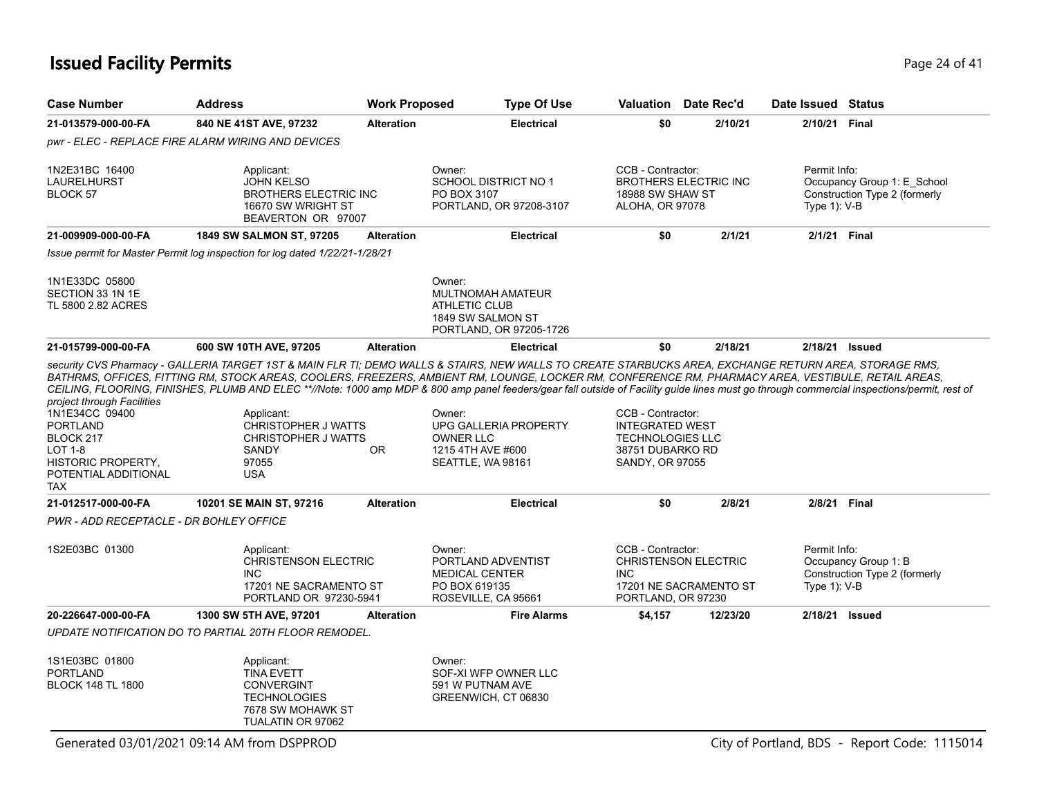## **Issued Facility Permits** Provide a strategies of 41 and 24 of 41 and 24 of 41 and 24 of 41

| <b>Case Number</b>                                                                                                                                  | <b>Address</b>                                                                                                                                                                                                                                                                                                                                                                                                                                        | <b>Work Proposed</b> | <b>Type Of Use</b>                                                                                   |                                                                                                                      | <b>Valuation</b> Date Rec'd                           | Date Issued Status           |                                                              |
|-----------------------------------------------------------------------------------------------------------------------------------------------------|-------------------------------------------------------------------------------------------------------------------------------------------------------------------------------------------------------------------------------------------------------------------------------------------------------------------------------------------------------------------------------------------------------------------------------------------------------|----------------------|------------------------------------------------------------------------------------------------------|----------------------------------------------------------------------------------------------------------------------|-------------------------------------------------------|------------------------------|--------------------------------------------------------------|
| 21-013579-000-00-FA                                                                                                                                 | 840 NE 41ST AVE, 97232                                                                                                                                                                                                                                                                                                                                                                                                                                | <b>Alteration</b>    | <b>Electrical</b>                                                                                    | \$0                                                                                                                  | 2/10/21                                               | 2/10/21 Final                |                                                              |
|                                                                                                                                                     | pwr - ELEC - REPLACE FIRE ALARM WIRING AND DEVICES                                                                                                                                                                                                                                                                                                                                                                                                    |                      |                                                                                                      |                                                                                                                      |                                                       |                              |                                                              |
| 1N2E31BC 16400<br><b>LAURELHURST</b><br>BLOCK 57                                                                                                    | Applicant:<br><b>JOHN KELSO</b><br><b>BROTHERS ELECTRIC INC.</b><br>16670 SW WRIGHT ST<br>BEAVERTON OR 97007                                                                                                                                                                                                                                                                                                                                          |                      | Owner:<br><b>SCHOOL DISTRICT NO 1</b><br>PO BOX 3107<br>PORTLAND, OR 97208-3107                      | CCB - Contractor:<br>18988 SW SHAW ST<br>ALOHA, OR 97078                                                             | <b>BROTHERS ELECTRIC INC</b>                          | Permit Info:<br>Type 1): V-B | Occupancy Group 1: E School<br>Construction Type 2 (formerly |
| 21-009909-000-00-FA                                                                                                                                 | 1849 SW SALMON ST, 97205                                                                                                                                                                                                                                                                                                                                                                                                                              | <b>Alteration</b>    | <b>Electrical</b>                                                                                    | \$0                                                                                                                  | 2/1/21                                                | 2/1/21 Final                 |                                                              |
|                                                                                                                                                     | Issue permit for Master Permit log inspection for log dated 1/22/21-1/28/21                                                                                                                                                                                                                                                                                                                                                                           |                      |                                                                                                      |                                                                                                                      |                                                       |                              |                                                              |
| 1N1E33DC 05800<br>SECTION 33 1N 1E<br>TL 5800 2.82 ACRES                                                                                            |                                                                                                                                                                                                                                                                                                                                                                                                                                                       |                      | Owner:<br>MULTNOMAH AMATEUR<br><b>ATHLETIC CLUB</b><br>1849 SW SALMON ST<br>PORTLAND, OR 97205-1726  |                                                                                                                      |                                                       |                              |                                                              |
| 21-015799-000-00-FA                                                                                                                                 | 600 SW 10TH AVE, 97205                                                                                                                                                                                                                                                                                                                                                                                                                                | <b>Alteration</b>    | <b>Electrical</b>                                                                                    | \$0                                                                                                                  | 2/18/21                                               |                              | 2/18/21 Issued                                               |
| project through Facilities<br>1N1E34CC 09400<br><b>PORTLAND</b><br>BLOCK 217<br>LOT 1-8<br><b>HISTORIC PROPERTY,</b><br>POTENTIAL ADDITIONAL<br>TAX | BATHRMS, OFFICES, FITTING RM, STOCK AREAS, COOLERS, FREEZERS, AMBIENT RM, LOUNGE, LOCKER RM, CONFERENCE RM, PHARMACY AREA, VESTIBULE, RETAIL AREAS,<br>CEILING, FLOORING, FINISHES, PLUMB AND ELEC **//Note: 1000 amp MDP & 800 amp panel feeders/gear fall outside of Facility guide lines must go through commercial inspections/permit, rest of<br>Applicant:<br>CHRISTOPHER J WATTS<br><b>CHRISTOPHER J WATTS</b><br>SANDY<br>97055<br><b>USA</b> | 0R                   | Owner:<br><b>UPG GALLERIA PROPERTY</b><br><b>OWNER LLC</b><br>1215 4TH AVE #600<br>SEATTLE, WA 98161 | CCB - Contractor:<br><b>INTEGRATED WEST</b><br><b>TECHNOLOGIES LLC</b><br>38751 DUBARKO RD<br><b>SANDY, OR 97055</b> |                                                       |                              |                                                              |
| 21-012517-000-00-FA                                                                                                                                 | 10201 SE MAIN ST, 97216                                                                                                                                                                                                                                                                                                                                                                                                                               | <b>Alteration</b>    | <b>Electrical</b>                                                                                    | \$0                                                                                                                  | 2/8/21                                                | 2/8/21 Final                 |                                                              |
| PWR - ADD RECEPTACLE - DR BOHLEY OFFICE                                                                                                             |                                                                                                                                                                                                                                                                                                                                                                                                                                                       |                      |                                                                                                      |                                                                                                                      |                                                       |                              |                                                              |
| 1S2E03BC 01300                                                                                                                                      | Applicant:<br><b>CHRISTENSON ELECTRIC</b><br><b>INC</b><br>17201 NE SACRAMENTO ST<br>PORTLAND OR 97230-5941                                                                                                                                                                                                                                                                                                                                           |                      | Owner:<br>PORTLAND ADVENTIST<br><b>MEDICAL CENTER</b><br>PO BOX 619135<br>ROSEVILLE, CA 95661        | CCB - Contractor:<br><b>INC</b><br>PORTLAND, OR 97230                                                                | <b>CHRISTENSON ELECTRIC</b><br>17201 NE SACRAMENTO ST | Permit Info:<br>Type 1): V-B | Occupancy Group 1: B<br>Construction Type 2 (formerly        |
| 20-226647-000-00-FA                                                                                                                                 | 1300 SW 5TH AVE, 97201                                                                                                                                                                                                                                                                                                                                                                                                                                | <b>Alteration</b>    | <b>Fire Alarms</b>                                                                                   | \$4,157                                                                                                              | 12/23/20                                              |                              | 2/18/21 Issued                                               |
|                                                                                                                                                     | UPDATE NOTIFICATION DO TO PARTIAL 20TH FLOOR REMODEL.                                                                                                                                                                                                                                                                                                                                                                                                 |                      |                                                                                                      |                                                                                                                      |                                                       |                              |                                                              |
| 1S1E03BC 01800<br><b>PORTLAND</b><br><b>BLOCK 148 TL 1800</b>                                                                                       | Applicant:<br><b>TINA EVETT</b><br><b>CONVERGINT</b><br><b>TECHNOLOGIES</b><br>7678 SW MOHAWK ST<br>TUALATIN OR 97062                                                                                                                                                                                                                                                                                                                                 |                      | Owner:<br>SOF-XI WFP OWNER LLC<br>591 W PUTNAM AVE<br>GREENWICH, CT 06830                            |                                                                                                                      |                                                       |                              |                                                              |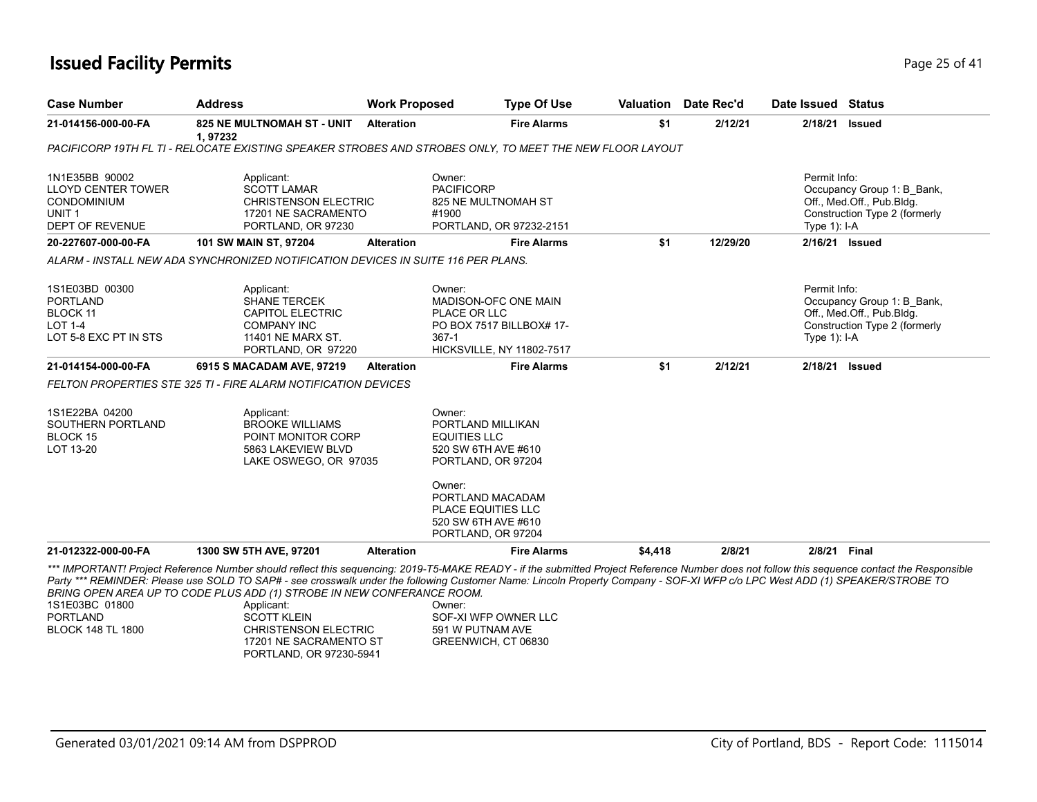## **Issued Facility Permits** Provide a strategies of 41 and 25 of 41 and 25 of 41

| <b>Case Number</b>                                                                                                               | <b>Address</b>                                                                                                                                                                                                                                                                                                                                                                                                                                                                                                                                     | <b>Work Proposed</b> | <b>Type Of Use</b>                                                                                                        | <b>Valuation</b> Date Rec'd |          | Date Issued Status                             |                                                                                          |  |
|----------------------------------------------------------------------------------------------------------------------------------|----------------------------------------------------------------------------------------------------------------------------------------------------------------------------------------------------------------------------------------------------------------------------------------------------------------------------------------------------------------------------------------------------------------------------------------------------------------------------------------------------------------------------------------------------|----------------------|---------------------------------------------------------------------------------------------------------------------------|-----------------------------|----------|------------------------------------------------|------------------------------------------------------------------------------------------|--|
| 21-014156-000-00-FA                                                                                                              | <b>825 NE MULTNOMAH ST - UNIT</b><br>1,97232                                                                                                                                                                                                                                                                                                                                                                                                                                                                                                       | <b>Alteration</b>    | <b>Fire Alarms</b>                                                                                                        | \$1                         | 2/12/21  | 2/18/21                                        | <b>Issued</b>                                                                            |  |
|                                                                                                                                  | PACIFICORP 19TH FL TI - RELOCATE EXISTING SPEAKER STROBES AND STROBES ONLY. TO MEET THE NEW FLOOR LAYOUT                                                                                                                                                                                                                                                                                                                                                                                                                                           |                      |                                                                                                                           |                             |          |                                                |                                                                                          |  |
| 1N1E35BB 90002<br><b>LLOYD CENTER TOWER</b><br>CONDOMINIUM<br>UNIT <sub>1</sub><br><b>DEPT OF REVENUE</b><br>20-227607-000-00-FA | Applicant:<br><b>SCOTT LAMAR</b><br>CHRISTENSON ELECTRIC<br>17201 NE SACRAMENTO<br>PORTLAND, OR 97230<br>101 SW MAIN ST, 97204                                                                                                                                                                                                                                                                                                                                                                                                                     | <b>Alteration</b>    | Owner:<br><b>PACIFICORP</b><br>825 NE MULTNOMAH ST<br>#1900<br>PORTLAND, OR 97232-2151<br><b>Fire Alarms</b>              | \$1                         | 12/29/20 | Permit Info:<br>Type 1): I-A<br>2/16/21 Issued | Occupancy Group 1: B_Bank,<br>Off., Med.Off., Pub.Bldg.<br>Construction Type 2 (formerly |  |
|                                                                                                                                  | ALARM - INSTALL NEW ADA SYNCHRONIZED NOTIFICATION DEVICES IN SUITE 116 PER PLANS.                                                                                                                                                                                                                                                                                                                                                                                                                                                                  |                      |                                                                                                                           |                             |          |                                                |                                                                                          |  |
| 1S1E03BD 00300<br><b>PORTLAND</b><br><b>BLOCK 11</b><br><b>LOT 1-4</b><br>LOT 5-8 EXC PT IN STS                                  | Applicant:<br><b>SHANE TERCEK</b><br><b>CAPITOL ELECTRIC</b><br><b>COMPANY INC</b><br>11401 NE MARX ST.<br>PORTLAND, OR 97220                                                                                                                                                                                                                                                                                                                                                                                                                      |                      | Owner:<br>MADISON-OFC ONE MAIN<br>PLACE OR LLC<br>PO BOX 7517 BILLBOX# 17-<br>$367-1$<br><b>HICKSVILLE, NY 11802-7517</b> |                             |          | Permit Info:<br>Type 1): I-A                   | Occupancy Group 1: B Bank,<br>Off., Med.Off., Pub.Bldg.<br>Construction Type 2 (formerly |  |
| 21-014154-000-00-FA                                                                                                              | 6915 S MACADAM AVE, 97219                                                                                                                                                                                                                                                                                                                                                                                                                                                                                                                          | <b>Alteration</b>    | <b>Fire Alarms</b>                                                                                                        | \$1                         | 2/12/21  | 2/18/21                                        | Issued                                                                                   |  |
|                                                                                                                                  | FELTON PROPERTIES STE 325 TI - FIRE ALARM NOTIFICATION DEVICES                                                                                                                                                                                                                                                                                                                                                                                                                                                                                     |                      |                                                                                                                           |                             |          |                                                |                                                                                          |  |
| 1S1E22BA 04200<br>SOUTHERN PORTLAND<br><b>BLOCK 15</b><br>LOT 13-20                                                              | Applicant:<br><b>BROOKE WILLIAMS</b><br>POINT MONITOR CORP<br>5863 LAKEVIEW BLVD<br>LAKE OSWEGO, OR 97035                                                                                                                                                                                                                                                                                                                                                                                                                                          |                      | Owner:<br>PORTLAND MILLIKAN<br><b>EQUITIES LLC</b><br>520 SW 6TH AVE #610<br>PORTLAND, OR 97204                           |                             |          |                                                |                                                                                          |  |
|                                                                                                                                  |                                                                                                                                                                                                                                                                                                                                                                                                                                                                                                                                                    |                      | Owner:<br>PORTLAND MACADAM<br>PLACE EQUITIES LLC<br>520 SW 6TH AVE #610<br>PORTLAND, OR 97204                             |                             |          |                                                |                                                                                          |  |
| 21-012322-000-00-FA                                                                                                              | 1300 SW 5TH AVE, 97201                                                                                                                                                                                                                                                                                                                                                                                                                                                                                                                             | <b>Alteration</b>    | <b>Fire Alarms</b>                                                                                                        | \$4,418                     | 2/8/21   | 2/8/21 Final                                   |                                                                                          |  |
| 1S1E03BC 01800<br><b>PORTLAND</b><br><b>BLOCK 148 TL 1800</b>                                                                    | *** IMPORTANT! Project Reference Number should reflect this sequencing: 2019-T5-MAKE READY - if the submitted Project Reference Number does not follow this sequence contact the Responsible<br>Party *** REMINDER: Please use SOLD TO SAP# - see crosswalk under the following Customer Name: Lincoln Property Company - SOF-XI WFP c/o LPC West ADD (1) SPEAKER/STROBE TO<br>BRING OPEN AREA UP TO CODE PLUS ADD (1) STROBE IN NEW CONFERANCE ROOM.<br>Applicant:<br><b>SCOTT KLEIN</b><br><b>CHRISTENSON ELECTRIC</b><br>17201 NE SACRAMENTO ST |                      | Owner:<br>SOF-XI WFP OWNER LLC<br>591 W PUTNAM AVE<br>GREENWICH, CT 06830                                                 |                             |          |                                                |                                                                                          |  |

PORTLAND, OR 97230-5941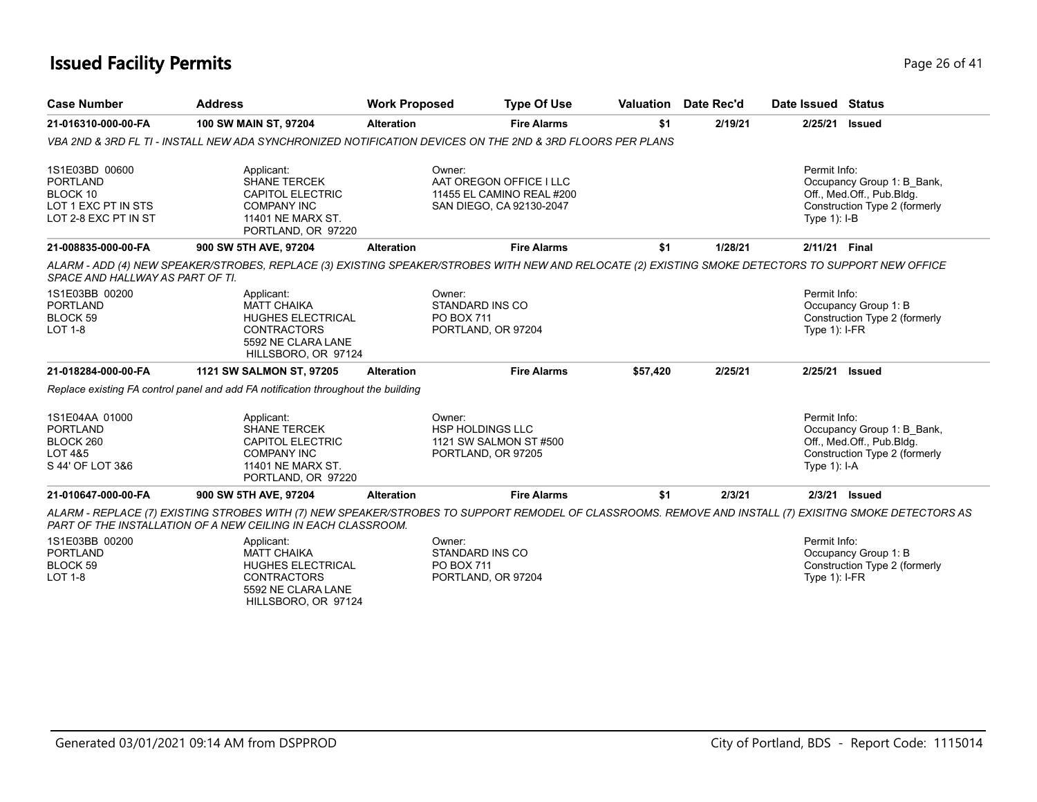## **Issued Facility Permits** Provide a strategies of 41 and 26 of 41 and 26 of 41

| <b>Case Number</b>                                                                           | <b>Address</b>                                                                                                                                                                                                         | <b>Work Proposed</b> | <b>Type Of Use</b>                                                                         |          | Valuation Date Rec'd | Date Issued Status              |                                                                                          |
|----------------------------------------------------------------------------------------------|------------------------------------------------------------------------------------------------------------------------------------------------------------------------------------------------------------------------|----------------------|--------------------------------------------------------------------------------------------|----------|----------------------|---------------------------------|------------------------------------------------------------------------------------------|
| 21-016310-000-00-FA                                                                          | 100 SW MAIN ST, 97204                                                                                                                                                                                                  | <b>Alteration</b>    | <b>Fire Alarms</b>                                                                         | \$1      | 2/19/21              | 2/25/21                         | <b>Issued</b>                                                                            |
|                                                                                              | VBA 2ND & 3RD FL TI - INSTALL NEW ADA SYNCHRONIZED NOTIFICATION DEVICES ON THE 2ND & 3RD FLOORS PER PLANS                                                                                                              |                      |                                                                                            |          |                      |                                 |                                                                                          |
| 1S1E03BD 00600<br><b>PORTLAND</b><br>BLOCK 10<br>LOT 1 EXC PT IN STS<br>LOT 2-8 EXC PT IN ST | Applicant:<br><b>SHANE TERCEK</b><br><b>CAPITOL ELECTRIC</b><br><b>COMPANY INC</b><br>11401 NE MARX ST.<br>PORTLAND, OR 97220                                                                                          |                      | Owner:<br>AAT OREGON OFFICE I LLC<br>11455 EL CAMINO REAL #200<br>SAN DIEGO, CA 92130-2047 |          |                      | Permit Info:<br>Type 1): I-B    | Occupancy Group 1: B Bank,<br>Off., Med.Off., Pub.Bldg.<br>Construction Type 2 (formerly |
| 21-008835-000-00-FA                                                                          | 900 SW 5TH AVE, 97204                                                                                                                                                                                                  | <b>Alteration</b>    | <b>Fire Alarms</b>                                                                         | \$1      | 1/28/21              | 2/11/21 Final                   |                                                                                          |
| SPACE AND HALLWAY AS PART OF TI.                                                             | ALARM - ADD (4) NEW SPEAKER/STROBES, REPLACE (3) EXISTING SPEAKER/STROBES WITH NEW AND RELOCATE (2) EXISTING SMOKE DETECTORS TO SUPPORT NEW OFFICE                                                                     |                      |                                                                                            |          |                      |                                 |                                                                                          |
| 1S1E03BB 00200<br><b>PORTLAND</b><br>BLOCK 59<br><b>LOT 1-8</b>                              | Applicant:<br><b>MATT CHAIKA</b><br><b>HUGHES ELECTRICAL</b><br><b>CONTRACTORS</b><br>5592 NE CLARA LANE<br>HILLSBORO, OR 97124                                                                                        |                      | Owner:<br>STANDARD INS CO<br>PO BOX 711<br>PORTLAND, OR 97204                              |          |                      | Permit Info:<br>Type $1$ : I-FR | Occupancy Group 1: B<br>Construction Type 2 (formerly                                    |
| 21-018284-000-00-FA                                                                          | 1121 SW SALMON ST, 97205                                                                                                                                                                                               | <b>Alteration</b>    | <b>Fire Alarms</b>                                                                         | \$57,420 | 2/25/21              | 2/25/21 Issued                  |                                                                                          |
|                                                                                              | Replace existing FA control panel and add FA notification throughout the building                                                                                                                                      |                      |                                                                                            |          |                      |                                 |                                                                                          |
| 1S1E04AA 01000<br><b>PORTLAND</b><br>BLOCK 260<br>LOT 4&5<br>S 44' OF LOT 3&6                | Applicant:<br><b>SHANE TERCEK</b><br><b>CAPITOL ELECTRIC</b><br><b>COMPANY INC</b><br>11401 NE MARX ST.<br>PORTLAND, OR 97220                                                                                          |                      | Owner:<br><b>HSP HOLDINGS LLC</b><br>1121 SW SALMON ST #500<br>PORTLAND, OR 97205          |          |                      | Permit Info:<br>Type $1$ : I-A  | Occupancy Group 1: B Bank,<br>Off., Med.Off., Pub.Bldg.<br>Construction Type 2 (formerly |
| 21-010647-000-00-FA                                                                          | 900 SW 5TH AVE, 97204                                                                                                                                                                                                  | <b>Alteration</b>    | <b>Fire Alarms</b>                                                                         | \$1      | 2/3/21               |                                 | 2/3/21 Issued                                                                            |
|                                                                                              | ALARM - REPLACE (7) EXISTING STROBES WITH (7) NEW SPEAKER/STROBES TO SUPPORT REMODEL OF CLASSROOMS. REMOVE AND INSTALL (7) EXISITNG SMOKE DETECTORS AS<br>PART OF THE INSTALLATION OF A NEW CEILING IN EACH CLASSROOM. |                      |                                                                                            |          |                      |                                 |                                                                                          |
| 1S1E03BB 00200<br><b>PORTLAND</b><br>BLOCK 59<br><b>LOT 1-8</b>                              | Applicant:<br><b>MATT CHAIKA</b><br><b>HUGHES ELECTRICAL</b><br><b>CONTRACTORS</b><br>5592 NE CLARA LANE                                                                                                               |                      | Owner:<br>STANDARD INS CO<br>PO BOX 711<br>PORTLAND, OR 97204                              |          |                      | Permit Info:<br>Type $1$ : I-FR | Occupancy Group 1: B<br>Construction Type 2 (formerly                                    |

HILLSBORO, OR 97124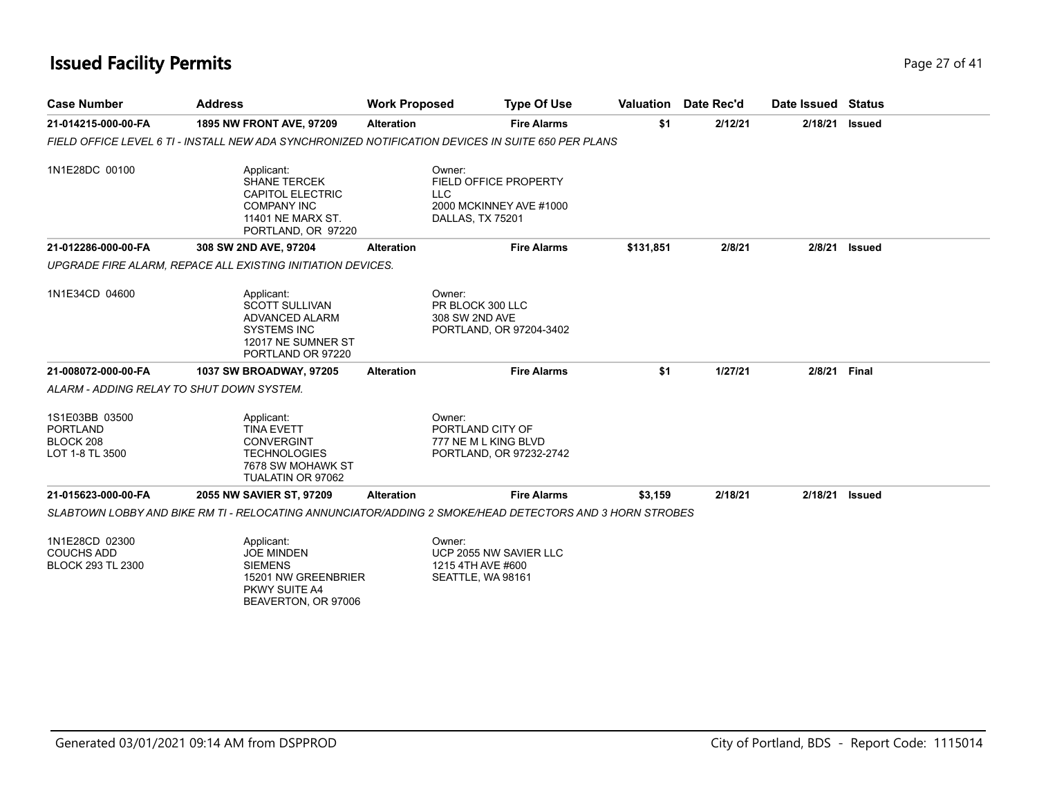## **Issued Facility Permits** Provide a strategies of 41 and 27 of 41

| <b>Case Number</b>                                                | <b>Address</b>                                                                                                                | <b>Work Proposed</b> | <b>Type Of Use</b>                                                             |           | <b>Valuation</b> Date Rec'd | Date Issued Status |               |
|-------------------------------------------------------------------|-------------------------------------------------------------------------------------------------------------------------------|----------------------|--------------------------------------------------------------------------------|-----------|-----------------------------|--------------------|---------------|
| 21-014215-000-00-FA                                               | 1895 NW FRONT AVE, 97209                                                                                                      | <b>Alteration</b>    | <b>Fire Alarms</b>                                                             | \$1       | 2/12/21                     | 2/18/21            | Issued        |
|                                                                   | FIELD OFFICE LEVEL 6 TI - INSTALL NEW ADA SYNCHRONIZED NOTIFICATION DEVICES IN SUITE 650 PER PLANS                            |                      |                                                                                |           |                             |                    |               |
| 1N1E28DC 00100                                                    | Applicant:<br><b>SHANE TERCEK</b><br><b>CAPITOL ELECTRIC</b><br><b>COMPANY INC</b><br>11401 NE MARX ST.<br>PORTLAND, OR 97220 | <b>LLC</b>           | Owner:<br>FIELD OFFICE PROPERTY<br>2000 MCKINNEY AVE #1000<br>DALLAS, TX 75201 |           |                             |                    |               |
| 21-012286-000-00-FA                                               | 308 SW 2ND AVE, 97204                                                                                                         | <b>Alteration</b>    | <b>Fire Alarms</b>                                                             | \$131,851 | 2/8/21                      | 2/8/21             | <b>Issued</b> |
|                                                                   | UPGRADE FIRE ALARM, REPACE ALL EXISTING INITIATION DEVICES.                                                                   |                      |                                                                                |           |                             |                    |               |
| 1N1E34CD 04600                                                    | Applicant:<br><b>SCOTT SULLIVAN</b><br>ADVANCED ALARM<br><b>SYSTEMS INC</b><br>12017 NE SUMNER ST<br>PORTLAND OR 97220        |                      | Owner:<br>PR BLOCK 300 LLC<br>308 SW 2ND AVE<br>PORTLAND, OR 97204-3402        |           |                             |                    |               |
| 21-008072-000-00-FA                                               | 1037 SW BROADWAY, 97205                                                                                                       | <b>Alteration</b>    | <b>Fire Alarms</b>                                                             | \$1       | 1/27/21                     | 2/8/21             | <b>Final</b>  |
|                                                                   | ALARM - ADDING RELAY TO SHUT DOWN SYSTEM.                                                                                     |                      |                                                                                |           |                             |                    |               |
| 1S1E03BB 03500<br><b>PORTLAND</b><br>BLOCK 208<br>LOT 1-8 TL 3500 | Applicant:<br><b>TINA EVETT</b><br><b>CONVERGINT</b><br><b>TECHNOLOGIES</b><br>7678 SW MOHAWK ST<br>TUALATIN OR 97062         |                      | Owner:<br>PORTLAND CITY OF<br>777 NE M L KING BLVD<br>PORTLAND, OR 97232-2742  |           |                             |                    |               |
| 21-015623-000-00-FA                                               | 2055 NW SAVIER ST, 97209                                                                                                      | <b>Alteration</b>    | <b>Fire Alarms</b>                                                             | \$3,159   | 2/18/21                     | 2/18/21            | <b>Issued</b> |
|                                                                   | SLABTOWN LOBBY AND BIKE RM TI - RELOCATING ANNUNCIATOR/ADDING 2 SMOKE/HEAD DETECTORS AND 3 HORN STROBES                       |                      |                                                                                |           |                             |                    |               |
| 1N1E28CD 02300<br><b>COUCHS ADD</b><br><b>BLOCK 293 TL 2300</b>   | Applicant:<br><b>JOE MINDEN</b><br><b>SIEMENS</b>                                                                             |                      | Owner:<br>UCP 2055 NW SAVIER LLC<br>1215 4TH AVE #600                          |           |                             |                    |               |

SIEMENS 15201 NW GREENBRIER PKWY SUITE A4 BEAVERTON, OR 97006

1215 4TH AVE #600 SEATTLE, WA 98161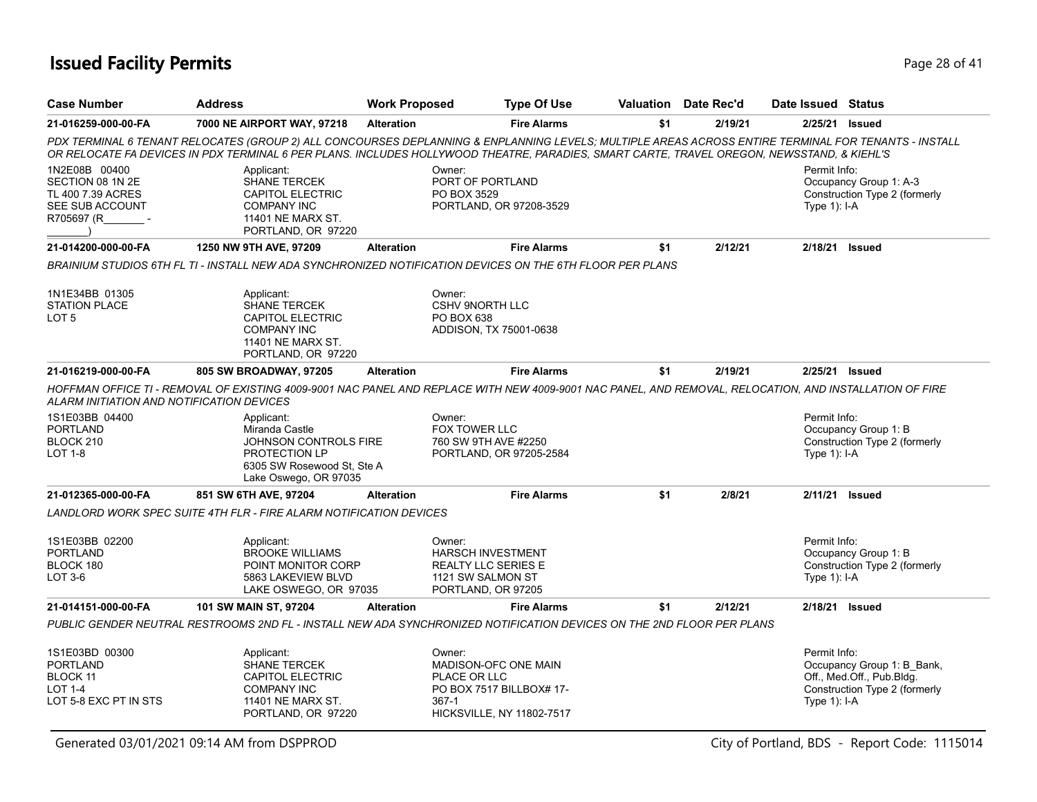# **Issued Facility Permits** Page 28 of 41

| <b>Case Number</b>                                                                             | <b>Address</b>                                                                                                                | <b>Work Proposed</b> | <b>Type Of Use</b>                                                                                                                         |     | Valuation Date Rec'd | Date Issued Status                                                                                                                                      |
|------------------------------------------------------------------------------------------------|-------------------------------------------------------------------------------------------------------------------------------|----------------------|--------------------------------------------------------------------------------------------------------------------------------------------|-----|----------------------|---------------------------------------------------------------------------------------------------------------------------------------------------------|
| 21-016259-000-00-FA                                                                            | 7000 NE AIRPORT WAY, 97218                                                                                                    | <b>Alteration</b>    | <b>Fire Alarms</b>                                                                                                                         | \$1 | 2/19/21              | 2/25/21 Issued                                                                                                                                          |
|                                                                                                |                                                                                                                               |                      | OR RELOCATE FA DEVICES IN PDX TERMINAL 6 PER PLANS. INCLUDES HOLLYWOOD THEATRE, PARADIES, SMART CARTE, TRAVEL OREGON, NEWSSTAND, & KIEHL'S |     |                      | PDX TERMINAL 6 TENANT RELOCATES (GROUP 2) ALL CONCOURSES DEPLANNING & ENPLANNING LEVELS; MULTIPLE AREAS ACROSS ENTIRE TERMINAL FOR TENANTS - INSTALL    |
| 1N2E08B 00400<br>SECTION 08 1N 2E<br>TL 400 7.39 ACRES<br><b>SEE SUB ACCOUNT</b><br>R705697 (R | Applicant:<br><b>SHANE TERCEK</b><br><b>CAPITOL ELECTRIC</b><br><b>COMPANY INC</b><br>11401 NE MARX ST.<br>PORTLAND, OR 97220 |                      | Owner:<br>PORT OF PORTLAND<br>PO BOX 3529<br>PORTLAND, OR 97208-3529                                                                       |     |                      | Permit Info:<br>Occupancy Group 1: A-3<br>Construction Type 2 (formerly<br>Type $1$ : I-A                                                               |
| 21-014200-000-00-FA                                                                            | 1250 NW 9TH AVE, 97209                                                                                                        | <b>Alteration</b>    | <b>Fire Alarms</b>                                                                                                                         | \$1 | 2/12/21              | 2/18/21 Issued                                                                                                                                          |
|                                                                                                |                                                                                                                               |                      | BRAINIUM STUDIOS 6TH FL TI - INSTALL NEW ADA SYNCHRONIZED NOTIFICATION DEVICES ON THE 6TH FLOOR PER PLANS                                  |     |                      |                                                                                                                                                         |
| 1N1E34BB 01305<br><b>STATION PLACE</b><br>LOT 5                                                | Applicant:<br><b>SHANE TERCEK</b><br><b>CAPITOL ELECTRIC</b><br><b>COMPANY INC</b><br>11401 NE MARX ST.<br>PORTLAND, OR 97220 |                      | Owner:<br><b>CSHV 9NORTH LLC</b><br>PO BOX 638<br>ADDISON, TX 75001-0638                                                                   |     |                      |                                                                                                                                                         |
| 21-016219-000-00-FA                                                                            | 805 SW BROADWAY, 97205                                                                                                        | <b>Alteration</b>    | <b>Fire Alarms</b>                                                                                                                         | \$1 | 2/19/21              | 2/25/21 Issued                                                                                                                                          |
| ALARM INITIATION AND NOTIFICATION DEVICES                                                      |                                                                                                                               |                      |                                                                                                                                            |     |                      | HOFFMAN OFFICE TI - REMOVAL OF EXISTING 4009-9001 NAC PANEL AND REPLACE WITH NEW 4009-9001 NAC PANEL, AND REMOVAL, RELOCATION, AND INSTALLATION OF FIRE |
| 1S1E03BB 04400<br><b>PORTLAND</b><br>BLOCK 210<br>LOT 1-8                                      | Applicant:<br>Miranda Castle<br>JOHNSON CONTROLS FIRE<br>PROTECTION LP<br>6305 SW Rosewood St, Ste A<br>Lake Oswego, OR 97035 |                      | Owner:<br><b>FOX TOWER LLC</b><br>760 SW 9TH AVE #2250<br>PORTLAND, OR 97205-2584                                                          |     |                      | Permit Info:<br>Occupancy Group 1: B<br>Construction Type 2 (formerly<br>Type $1$ : I-A                                                                 |
| 21-012365-000-00-FA                                                                            | 851 SW 6TH AVE, 97204                                                                                                         | <b>Alteration</b>    | <b>Fire Alarms</b>                                                                                                                         | \$1 | 2/8/21               | 2/11/21 Issued                                                                                                                                          |
|                                                                                                | LANDLORD WORK SPEC SUITE 4TH FLR - FIRE ALARM NOTIFICATION DEVICES                                                            |                      |                                                                                                                                            |     |                      |                                                                                                                                                         |
| 1S1E03BB 02200<br><b>PORTLAND</b><br>BLOCK 180<br>LOT 3-6                                      | Applicant:<br><b>BROOKE WILLIAMS</b><br>POINT MONITOR CORP<br>5863 LAKEVIEW BLVD<br>LAKE OSWEGO, OR 97035                     |                      | Owner:<br><b>HARSCH INVESTMENT</b><br><b>REALTY LLC SERIES E</b><br>1121 SW SALMON ST<br>PORTLAND, OR 97205                                |     |                      | Permit Info:<br>Occupancy Group 1: B<br>Construction Type 2 (formerly<br>Type 1): I-A                                                                   |
| 21-014151-000-00-FA                                                                            | 101 SW MAIN ST, 97204                                                                                                         | <b>Alteration</b>    | <b>Fire Alarms</b>                                                                                                                         | \$1 | 2/12/21              | 2/18/21 Issued                                                                                                                                          |
|                                                                                                |                                                                                                                               |                      | PUBLIC GENDER NEUTRAL RESTROOMS 2ND FL - INSTALL NEW ADA SYNCHRONIZED NOTIFICATION DEVICES ON THE 2ND FLOOR PER PLANS                      |     |                      |                                                                                                                                                         |
| 1S1E03BD 00300<br><b>PORTLAND</b><br>BLOCK 11<br><b>LOT 1-4</b><br>LOT 5-8 EXC PT IN STS       | Applicant:<br><b>SHANE TERCEK</b><br><b>CAPITOL ELECTRIC</b><br><b>COMPANY INC</b><br>11401 NE MARX ST.<br>PORTLAND, OR 97220 |                      | Owner:<br>MADISON-OFC ONE MAIN<br>PLACE OR LLC<br>PO BOX 7517 BILLBOX# 17-<br>367-1<br><b>HICKSVILLE, NY 11802-7517</b>                    |     |                      | Permit Info:<br>Occupancy Group 1: B_Bank,<br>Off., Med.Off., Pub.Bldg.<br>Construction Type 2 (formerly<br>Type $1$ : I-A                              |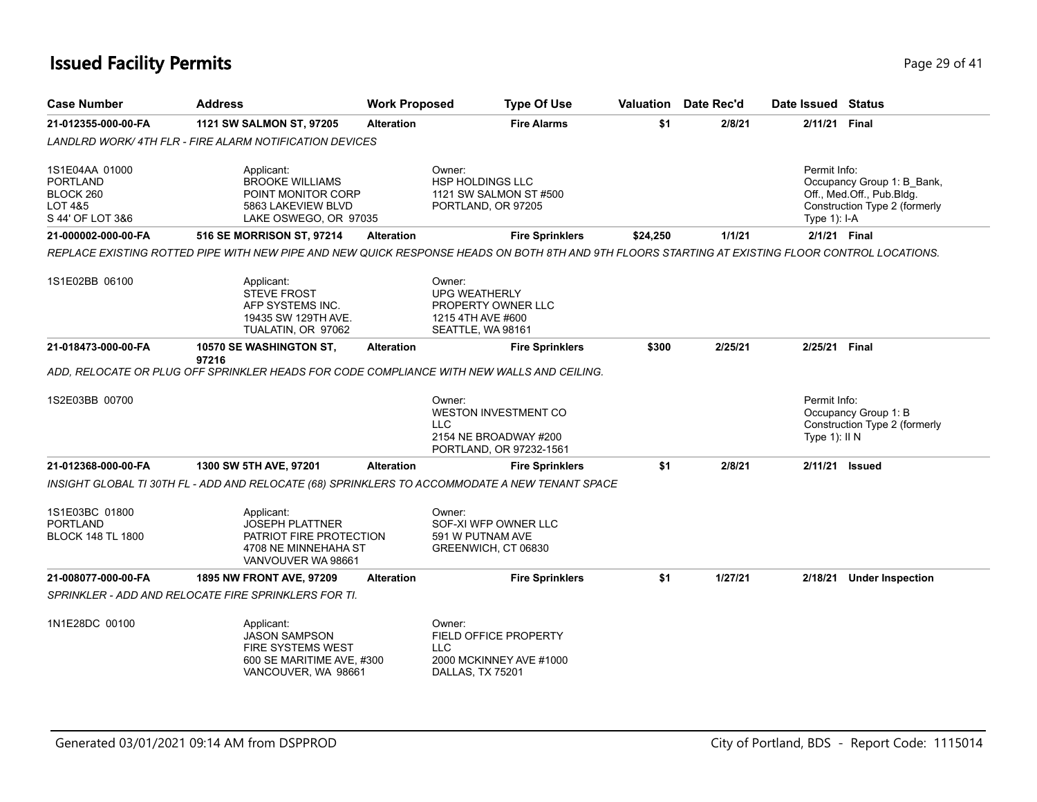# **Issued Facility Permits** Page 29 of 41

| <b>Case Number</b>                                                                       | <b>Address</b>                                                                                                                                   | <b>Work Proposed</b> | <b>Type Of Use</b>                                                                                      |          | <b>Valuation</b> Date Rec'd | Date Issued Status                 |                                                                                          |
|------------------------------------------------------------------------------------------|--------------------------------------------------------------------------------------------------------------------------------------------------|----------------------|---------------------------------------------------------------------------------------------------------|----------|-----------------------------|------------------------------------|------------------------------------------------------------------------------------------|
| 21-012355-000-00-FA                                                                      | 1121 SW SALMON ST, 97205                                                                                                                         | <b>Alteration</b>    | <b>Fire Alarms</b>                                                                                      | \$1      | 2/8/21                      | 2/11/21                            | Final                                                                                    |
|                                                                                          | <b>LANDLRD WORK/4TH FLR - FIRE ALARM NOTIFICATION DEVICES</b>                                                                                    |                      |                                                                                                         |          |                             |                                    |                                                                                          |
| 1S1E04AA 01000<br><b>PORTLAND</b><br>BLOCK 260<br><b>LOT 4&amp;5</b><br>S 44' OF LOT 3&6 | Applicant:<br><b>BROOKE WILLIAMS</b><br>POINT MONITOR CORP<br>5863 LAKEVIEW BLVD<br>LAKE OSWEGO, OR 97035                                        |                      | Owner:<br><b>HSP HOLDINGS LLC</b><br>1121 SW SALMON ST #500<br>PORTLAND, OR 97205                       |          |                             | Permit Info:<br>Type 1): I-A       | Occupancy Group 1: B_Bank,<br>Off., Med.Off., Pub.Bldg.<br>Construction Type 2 (formerly |
| 21-000002-000-00-FA                                                                      | 516 SE MORRISON ST, 97214                                                                                                                        | <b>Alteration</b>    | <b>Fire Sprinklers</b>                                                                                  | \$24,250 | 1/1/21                      | 2/1/21 Final                       |                                                                                          |
|                                                                                          | REPLACE EXISTING ROTTED PIPE WITH NEW PIPE AND NEW QUICK RESPONSE HEADS ON BOTH 8TH AND 9TH FLOORS STARTING AT EXISTING FLOOR CONTROL LOCATIONS. |                      |                                                                                                         |          |                             |                                    |                                                                                          |
| 1S1E02BB 06100                                                                           | Applicant:<br><b>STEVE FROST</b><br>AFP SYSTEMS INC.<br>19435 SW 129TH AVE.<br>TUALATIN, OR 97062                                                |                      | Owner:<br><b>UPG WEATHERLY</b><br>PROPERTY OWNER LLC<br>1215 4TH AVE #600<br>SEATTLE, WA 98161          |          |                             |                                    |                                                                                          |
| 21-018473-000-00-FA                                                                      | <b>10570 SE WASHINGTON ST,</b>                                                                                                                   | <b>Alteration</b>    | <b>Fire Sprinklers</b>                                                                                  | \$300    | 2/25/21                     | 2/25/21 Final                      |                                                                                          |
|                                                                                          | 97216<br>ADD, RELOCATE OR PLUG OFF SPRINKLER HEADS FOR CODE COMPLIANCE WITH NEW WALLS AND CEILING.                                               |                      |                                                                                                         |          |                             |                                    |                                                                                          |
| 1S2E03BB 00700                                                                           |                                                                                                                                                  |                      | Owner:<br><b>WESTON INVESTMENT CO</b><br><b>LLC</b><br>2154 NE BROADWAY #200<br>PORTLAND, OR 97232-1561 |          |                             | Permit Info:<br>Type $1$ ): $II$ N | Occupancy Group 1: B<br>Construction Type 2 (formerly                                    |
| 21-012368-000-00-FA                                                                      | 1300 SW 5TH AVE, 97201                                                                                                                           | <b>Alteration</b>    | <b>Fire Sprinklers</b>                                                                                  | \$1      | 2/8/21                      |                                    | 2/11/21 <b>Issued</b>                                                                    |
|                                                                                          | INSIGHT GLOBAL TI 30TH FL - ADD AND RELOCATE (68) SPRINKLERS TO ACCOMMODATE A NEW TENANT SPACE                                                   |                      |                                                                                                         |          |                             |                                    |                                                                                          |
| 1S1E03BC 01800<br><b>PORTLAND</b><br><b>BLOCK 148 TL 1800</b>                            | Applicant:<br><b>JOSEPH PLATTNER</b><br>PATRIOT FIRE PROTECTION<br>4708 NE MINNEHAHA ST<br>VANVOUVER WA 98661                                    |                      | Owner:<br>SOF-XI WFP OWNER LLC<br>591 W PUTNAM AVE<br>GREENWICH, CT 06830                               |          |                             |                                    |                                                                                          |
| 21-008077-000-00-FA                                                                      | 1895 NW FRONT AVE, 97209                                                                                                                         | <b>Alteration</b>    | <b>Fire Sprinklers</b>                                                                                  | \$1      | 1/27/21                     | 2/18/21                            | <b>Under Inspection</b>                                                                  |
|                                                                                          | SPRINKLER - ADD AND RELOCATE FIRE SPRINKLERS FOR TI.                                                                                             |                      |                                                                                                         |          |                             |                                    |                                                                                          |
| 1N1E28DC 00100                                                                           | Applicant:<br><b>JASON SAMPSON</b><br><b>FIRE SYSTEMS WEST</b><br>600 SE MARITIME AVE, #300<br>VANCOUVER, WA 98661                               |                      | Owner:<br>FIELD OFFICE PROPERTY<br>LLC.<br>2000 MCKINNEY AVE #1000<br>DALLAS, TX 75201                  |          |                             |                                    |                                                                                          |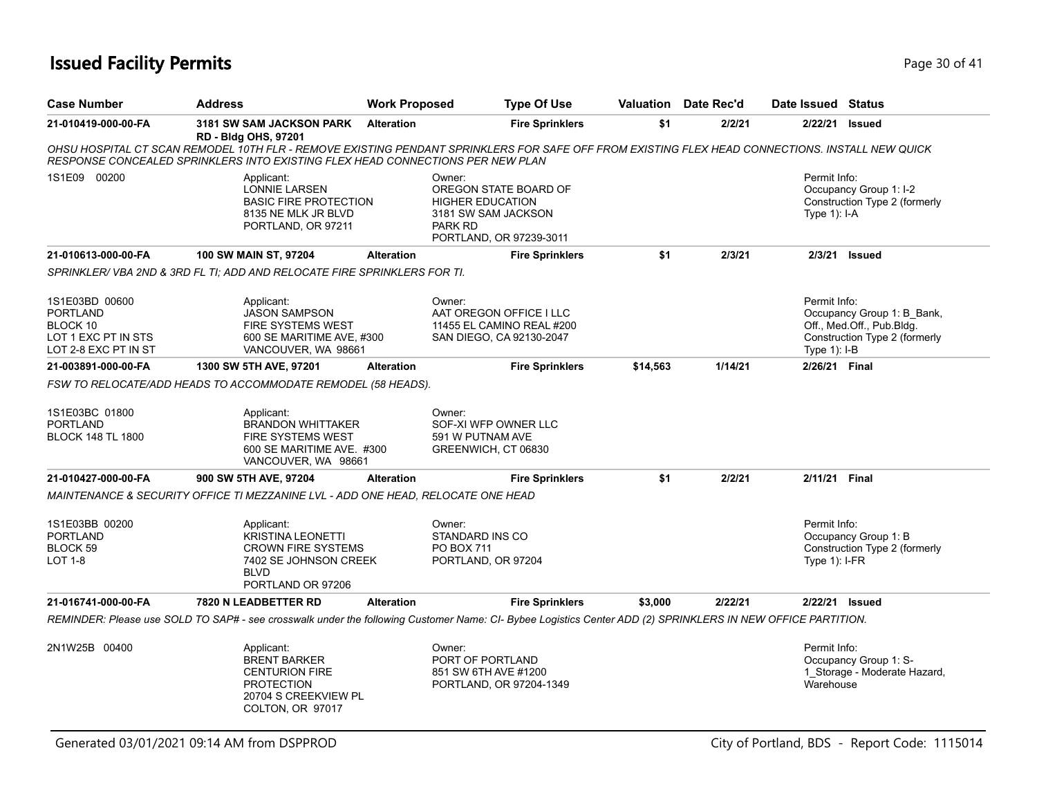# **Issued Facility Permits** Page 30 of 41

| <b>Case Number</b>                                                                           | <b>Address</b>                                                                                                                                                                                                                    | <b>Work Proposed</b> | <b>Type Of Use</b>                                                                                                             |          | Valuation Date Rec'd | Date Issued Status              |                                                                                          |
|----------------------------------------------------------------------------------------------|-----------------------------------------------------------------------------------------------------------------------------------------------------------------------------------------------------------------------------------|----------------------|--------------------------------------------------------------------------------------------------------------------------------|----------|----------------------|---------------------------------|------------------------------------------------------------------------------------------|
| 21-010419-000-00-FA                                                                          | 3181 SW SAM JACKSON PARK<br><b>RD - Bldg OHS, 97201</b>                                                                                                                                                                           | Alteration           | <b>Fire Sprinklers</b>                                                                                                         | \$1      | 2/2/21               | 2/22/21                         | <b>Issued</b>                                                                            |
|                                                                                              | OHSU HOSPITAL CT SCAN REMODEL 10TH FLR - REMOVE EXISTING PENDANT SPRINKLERS FOR SAFE OFF FROM EXISTING FLEX HEAD CONNECTIONS. INSTALL NEW QUICK<br>RESPONSE CONCEALED SPRINKLERS INTO EXISTING FLEX HEAD CONNECTIONS PER NEW PLAN |                      |                                                                                                                                |          |                      |                                 |                                                                                          |
| 1S1E09 00200                                                                                 | Applicant:<br>LONNIE LARSEN<br><b>BASIC FIRE PROTECTION</b><br>8135 NE MLK JR BLVD<br>PORTLAND, OR 97211                                                                                                                          |                      | Owner:<br>OREGON STATE BOARD OF<br><b>HIGHER EDUCATION</b><br>3181 SW SAM JACKSON<br><b>PARK RD</b><br>PORTLAND, OR 97239-3011 |          |                      | Permit Info:<br>Type $1$ : I-A  | Occupancy Group 1: I-2<br>Construction Type 2 (formerly                                  |
| 21-010613-000-00-FA                                                                          | <b>100 SW MAIN ST, 97204</b>                                                                                                                                                                                                      | <b>Alteration</b>    | <b>Fire Sprinklers</b>                                                                                                         | \$1      | 2/3/21               |                                 | 2/3/21 Issued                                                                            |
|                                                                                              | SPRINKLER/ VBA 2ND & 3RD FL TI; ADD AND RELOCATE FIRE SPRINKLERS FOR TI.                                                                                                                                                          |                      |                                                                                                                                |          |                      |                                 |                                                                                          |
| 1S1E03BD 00600<br><b>PORTLAND</b><br>BLOCK 10<br>LOT 1 EXC PT IN STS<br>LOT 2-8 EXC PT IN ST | Applicant:<br><b>JASON SAMPSON</b><br>FIRE SYSTEMS WEST<br>600 SE MARITIME AVE, #300<br>VANCOUVER, WA 98661                                                                                                                       |                      | Owner:<br>AAT OREGON OFFICE I LLC<br>11455 EL CAMINO REAL #200<br>SAN DIEGO, CA 92130-2047                                     |          |                      | Permit Info:<br>Type 1): I-B    | Occupancy Group 1: B_Bank,<br>Off., Med.Off., Pub.Bldg.<br>Construction Type 2 (formerly |
| 21-003891-000-00-FA                                                                          | 1300 SW 5TH AVE, 97201                                                                                                                                                                                                            | <b>Alteration</b>    | <b>Fire Sprinklers</b>                                                                                                         | \$14,563 | 1/14/21              | 2/26/21 Final                   |                                                                                          |
|                                                                                              | FSW TO RELOCATE/ADD HEADS TO ACCOMMODATE REMODEL (58 HEADS).                                                                                                                                                                      |                      |                                                                                                                                |          |                      |                                 |                                                                                          |
| 1S1E03BC 01800<br><b>PORTLAND</b><br><b>BLOCK 148 TL 1800</b>                                | Applicant:<br><b>BRANDON WHITTAKER</b><br><b>FIRE SYSTEMS WEST</b><br>600 SE MARITIME AVE. #300<br>VANCOUVER, WA 98661                                                                                                            |                      | Owner:<br>SOF-XI WFP OWNER LLC<br>591 W PUTNAM AVE<br>GREENWICH, CT 06830                                                      |          |                      |                                 |                                                                                          |
| 21-010427-000-00-FA                                                                          | 900 SW 5TH AVE, 97204                                                                                                                                                                                                             | <b>Alteration</b>    | <b>Fire Sprinklers</b>                                                                                                         | \$1      | 2/2/21               | 2/11/21 Final                   |                                                                                          |
|                                                                                              | MAINTENANCE & SECURITY OFFICE TI MEZZANINE LVL - ADD ONE HEAD, RELOCATE ONE HEAD                                                                                                                                                  |                      |                                                                                                                                |          |                      |                                 |                                                                                          |
| 1S1E03BB 00200<br><b>PORTLAND</b><br>BLOCK 59<br><b>LOT 1-8</b>                              | Applicant:<br><b>KRISTINA LEONETTI</b><br><b>CROWN FIRE SYSTEMS</b><br>7402 SE JOHNSON CREEK<br><b>BLVD</b><br>PORTLAND OR 97206                                                                                                  |                      | Owner:<br>STANDARD INS CO<br>PO BOX 711<br>PORTLAND, OR 97204                                                                  |          |                      | Permit Info:<br>Type $1$ : I-FR | Occupancy Group 1: B<br>Construction Type 2 (formerly                                    |
| 21-016741-000-00-FA                                                                          | 7820 N LEADBETTER RD                                                                                                                                                                                                              | <b>Alteration</b>    | <b>Fire Sprinklers</b>                                                                                                         | \$3,000  | 2/22/21              | 2/22/21                         | Issued                                                                                   |
|                                                                                              | REMINDER: Please use SOLD TO SAP# - see crosswalk under the following Customer Name: CI- Bybee Logistics Center ADD (2) SPRINKLERS IN NEW OFFICE PARTITION.                                                                       |                      |                                                                                                                                |          |                      |                                 |                                                                                          |
| 2N1W25B 00400                                                                                | Applicant:<br><b>BRENT BARKER</b><br><b>CENTURION FIRE</b><br><b>PROTECTION</b><br>20704 S CREEKVIEW PL<br>COLTON, OR 97017                                                                                                       |                      | Owner:<br>PORT OF PORTLAND<br>851 SW 6TH AVE #1200<br>PORTLAND, OR 97204-1349                                                  |          |                      | Permit Info:<br>Warehouse       | Occupancy Group 1: S-<br>1_Storage - Moderate Hazard,                                    |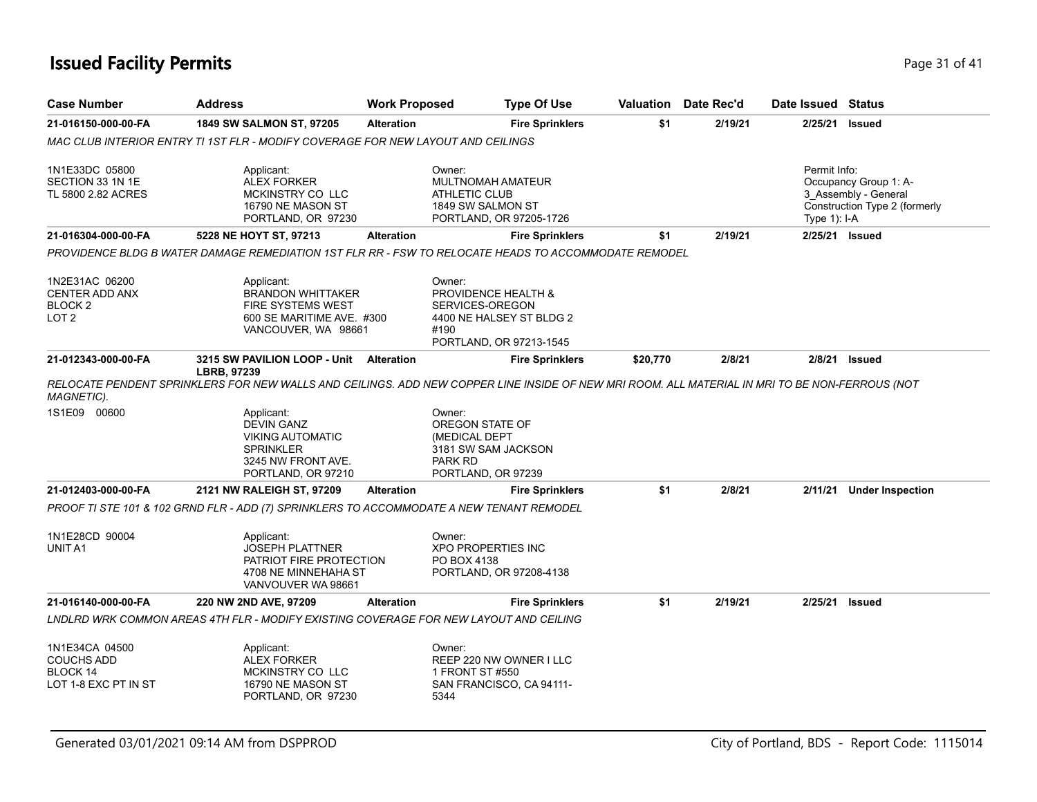# **Issued Facility Permits** Page 31 of 41

| <b>Case Number</b>                                                                | <b>Address</b>                                                                                                                                                       |                   | <b>Type Of Use</b><br><b>Work Proposed</b>                                                                                 |          | Valuation Date Rec'd | Date Issued Status           |                                                                                |
|-----------------------------------------------------------------------------------|----------------------------------------------------------------------------------------------------------------------------------------------------------------------|-------------------|----------------------------------------------------------------------------------------------------------------------------|----------|----------------------|------------------------------|--------------------------------------------------------------------------------|
| 21-016150-000-00-FA                                                               | 1849 SW SALMON ST, 97205                                                                                                                                             | <b>Alteration</b> | <b>Fire Sprinklers</b>                                                                                                     | \$1      | 2/19/21              | 2/25/21                      | <b>Issued</b>                                                                  |
|                                                                                   | MAC CLUB INTERIOR ENTRY TI 1ST FLR - MODIFY COVERAGE FOR NEW LAYOUT AND CEILINGS                                                                                     |                   |                                                                                                                            |          |                      |                              |                                                                                |
| 1N1E33DC 05800<br>SECTION 33 1N 1E<br>TL 5800 2.82 ACRES                          | Applicant:<br><b>ALEX FORKER</b><br>MCKINSTRY CO LLC<br>16790 NE MASON ST<br>PORTLAND, OR 97230                                                                      |                   | Owner:<br>MULTNOMAH AMATEUR<br><b>ATHLETIC CLUB</b><br>1849 SW SALMON ST<br>PORTLAND, OR 97205-1726                        |          |                      | Permit Info:<br>Type 1): I-A | Occupancy Group 1: A-<br>3 Assembly - General<br>Construction Type 2 (formerly |
| 21-016304-000-00-FA                                                               | 5228 NE HOYT ST, 97213                                                                                                                                               | <b>Alteration</b> | <b>Fire Sprinklers</b>                                                                                                     | \$1      | 2/19/21              | 2/25/21 Issued               |                                                                                |
|                                                                                   | PROVIDENCE BLDG B WATER DAMAGE REMEDIATION 1ST FLR RR - FSW TO RELOCATE HEADS TO ACCOMMODATE REMODEL                                                                 |                   |                                                                                                                            |          |                      |                              |                                                                                |
| 1N2E31AC 06200<br><b>CENTER ADD ANX</b><br>BLOCK <sub>2</sub><br>LOT <sub>2</sub> | Applicant:<br><b>BRANDON WHITTAKER</b><br><b>FIRE SYSTEMS WEST</b><br>600 SE MARITIME AVE. #300<br>VANCOUVER, WA 98661                                               |                   | Owner:<br><b>PROVIDENCE HEALTH &amp;</b><br>SERVICES-OREGON<br>4400 NE HALSEY ST BLDG 2<br>#190<br>PORTLAND, OR 97213-1545 |          |                      |                              |                                                                                |
| 21-012343-000-00-FA                                                               | 3215 SW PAVILION LOOP - Unit                                                                                                                                         | Alteration        | <b>Fire Sprinklers</b>                                                                                                     | \$20,770 | 2/8/21               | 2/8/21                       | <b>Issued</b>                                                                  |
| MAGNETIC).                                                                        | <b>LBRB, 97239</b><br>RELOCATE PENDENT SPRINKLERS FOR NEW WALLS AND CEILINGS. ADD NEW COPPER LINE INSIDE OF NEW MRI ROOM. ALL MATERIAL IN MRI TO BE NON-FERROUS (NOT |                   |                                                                                                                            |          |                      |                              |                                                                                |
| 1S1E09 00600                                                                      | Applicant:<br><b>DEVIN GANZ</b><br><b>VIKING AUTOMATIC</b><br><b>SPRINKLER</b>                                                                                       |                   | Owner:<br>OREGON STATE OF<br>(MEDICAL DEPT                                                                                 |          |                      |                              |                                                                                |
|                                                                                   | 3245 NW FRONT AVE.<br>PORTLAND, OR 97210                                                                                                                             |                   | 3181 SW SAM JACKSON<br>PARK RD<br>PORTLAND, OR 97239                                                                       |          |                      |                              |                                                                                |
|                                                                                   | 2121 NW RALEIGH ST, 97209                                                                                                                                            | <b>Alteration</b> | <b>Fire Sprinklers</b>                                                                                                     | \$1      | 2/8/21               | 2/11/21                      | <b>Under Inspection</b>                                                        |
|                                                                                   | PROOF TI STE 101 & 102 GRND FLR - ADD (7) SPRINKLERS TO ACCOMMODATE A NEW TENANT REMODEL                                                                             |                   |                                                                                                                            |          |                      |                              |                                                                                |
|                                                                                   | Applicant:<br><b>JOSEPH PLATTNER</b><br>PATRIOT FIRE PROTECTION<br>4708 NE MINNEHAHA ST<br>VANVOUVER WA 98661                                                        |                   | Owner:<br><b>XPO PROPERTIES INC</b><br>PO BOX 4138<br>PORTLAND, OR 97208-4138                                              |          |                      |                              |                                                                                |
|                                                                                   | 220 NW 2ND AVE, 97209                                                                                                                                                | <b>Alteration</b> | <b>Fire Sprinklers</b>                                                                                                     | \$1      | 2/19/21              | 2/25/21                      | <b>Issued</b>                                                                  |
| 21-012403-000-00-FA<br>1N1E28CD 90004<br>UNIT A1<br>21-016140-000-00-FA           | LNDLRD WRK COMMON AREAS 4TH FLR - MODIFY EXISTING COVERAGE FOR NEW LAYOUT AND CEILING                                                                                |                   |                                                                                                                            |          |                      |                              |                                                                                |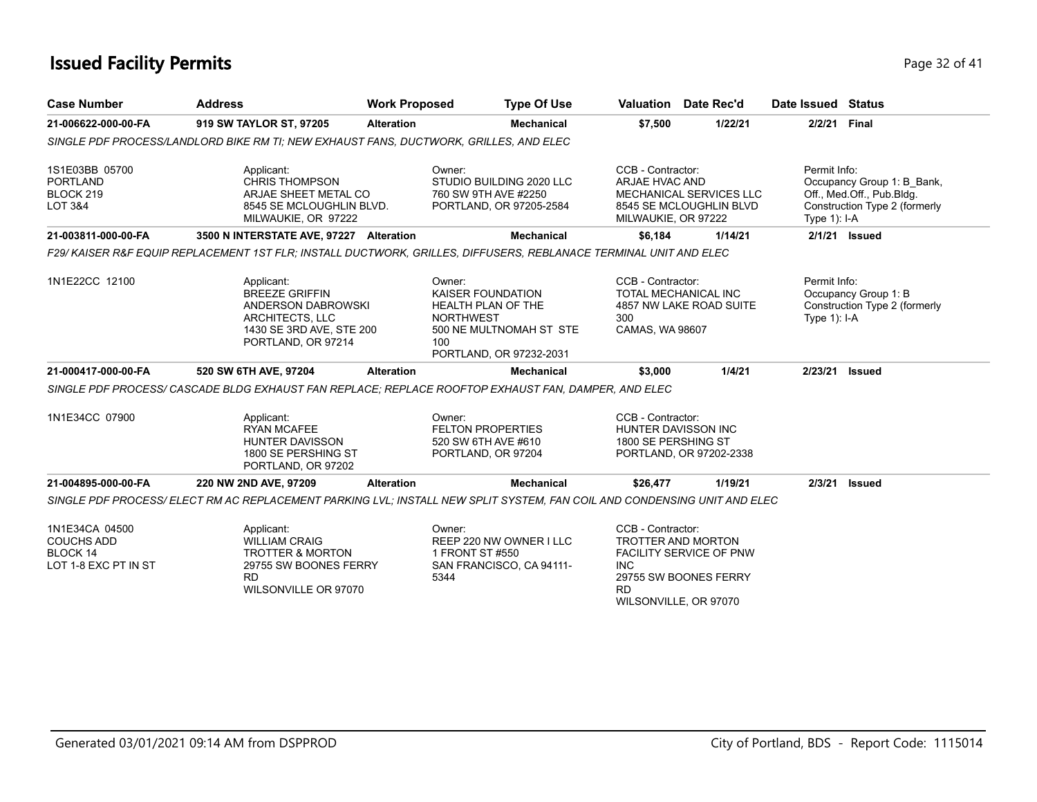# **Issued Facility Permits** Page 32 of 41

| <b>Case Number</b>                                                             | <b>Address</b>                                                                                                                 | <b>Work Proposed</b> | <b>Type Of Use</b>                                                                                                | <b>Valuation</b> Date Rec'd                                                                        |                                                         | Date Issued Status              |                                                                                          |
|--------------------------------------------------------------------------------|--------------------------------------------------------------------------------------------------------------------------------|----------------------|-------------------------------------------------------------------------------------------------------------------|----------------------------------------------------------------------------------------------------|---------------------------------------------------------|---------------------------------|------------------------------------------------------------------------------------------|
| 21-006622-000-00-FA                                                            | 919 SW TAYLOR ST, 97205                                                                                                        | <b>Alteration</b>    | <b>Mechanical</b>                                                                                                 | \$7,500                                                                                            | 1/22/21                                                 | 2/2/21 Final                    |                                                                                          |
|                                                                                | SINGLE PDF PROCESS/LANDLORD BIKE RM TI: NEW EXHAUST FANS, DUCTWORK, GRILLES, AND ELEC                                          |                      |                                                                                                                   |                                                                                                    |                                                         |                                 |                                                                                          |
| 1S1E03BB 05700<br><b>PORTLAND</b><br>BLOCK 219<br><b>LOT 3&amp;4</b>           | Applicant:<br><b>CHRIS THOMPSON</b><br>ARJAE SHEET METAL CO<br>8545 SE MCLOUGHLIN BLVD.<br>MILWAUKIE, OR 97222                 | Owner:               | STUDIO BUILDING 2020 LLC<br>760 SW 9TH AVE #2250<br>PORTLAND, OR 97205-2584                                       | CCB - Contractor:<br>ARJAE HVAC AND<br>MILWAUKIE, OR 97222                                         | MECHANICAL SERVICES LLC<br>8545 SE MCLOUGHLIN BLVD      | Permit Info:<br>Type $1$ ): I-A | Occupancy Group 1: B_Bank,<br>Off., Med.Off., Pub.Bldg.<br>Construction Type 2 (formerly |
| 21-003811-000-00-FA                                                            | 3500 N INTERSTATE AVE, 97227 Alteration                                                                                        |                      | <b>Mechanical</b>                                                                                                 | \$6,184                                                                                            | 1/14/21                                                 |                                 | 2/1/21 <b>Issued</b>                                                                     |
|                                                                                | F29/KAISER R&F EQUIP REPLACEMENT 1ST FLR: INSTALL DUCTWORK, GRILLES, DIFFUSERS, REBLANACE TERMINAL UNIT AND ELEC               |                      |                                                                                                                   |                                                                                                    |                                                         |                                 |                                                                                          |
| 1N1E22CC 12100                                                                 | Applicant:<br><b>BREEZE GRIFFIN</b><br>ANDERSON DABROWSKI<br>ARCHITECTS, LLC<br>1430 SE 3RD AVE, STE 200<br>PORTLAND, OR 97214 | Owner:<br>100        | KAISER FOUNDATION<br>HEALTH PLAN OF THE<br><b>NORTHWEST</b><br>500 NE MULTNOMAH ST STE<br>PORTLAND, OR 97232-2031 | CCB - Contractor:<br>TOTAL MECHANICAL INC<br>300<br>CAMAS, WA 98607                                | 4857 NW LAKE ROAD SUITE                                 | Permit Info:<br>Type $1$ ): I-A | Occupancy Group 1: B<br>Construction Type 2 (formerly                                    |
| 21-000417-000-00-FA                                                            | 520 SW 6TH AVE, 97204                                                                                                          | <b>Alteration</b>    | <b>Mechanical</b>                                                                                                 | \$3,000                                                                                            | 1/4/21                                                  |                                 | 2/23/21 Issued                                                                           |
|                                                                                | SINGLE PDF PROCESS/ CASCADE BLDG EXHAUST FAN REPLACE; REPLACE ROOFTOP EXHAUST FAN, DAMPER, AND ELEC                            |                      |                                                                                                                   |                                                                                                    |                                                         |                                 |                                                                                          |
| 1N1E34CC 07900                                                                 | Applicant:<br><b>RYAN MCAFEE</b><br><b>HUNTER DAVISSON</b><br>1800 SE PERSHING ST<br>PORTLAND, OR 97202                        | Owner:               | <b>FELTON PROPERTIES</b><br>520 SW 6TH AVE #610<br>PORTLAND, OR 97204                                             | CCB - Contractor:<br>HUNTER DAVISSON INC<br>1800 SE PERSHING ST                                    | PORTLAND, OR 97202-2338                                 |                                 |                                                                                          |
| 21-004895-000-00-FA                                                            | 220 NW 2ND AVE, 97209                                                                                                          | <b>Alteration</b>    | Mechanical                                                                                                        | \$26,477                                                                                           | 1/19/21                                                 | 2/3/21                          | <b>Issued</b>                                                                            |
|                                                                                | SINGLE PDF PROCESS/ELECT RM AC REPLACEMENT PARKING LVL; INSTALL NEW SPLIT SYSTEM, FAN COIL AND CONDENSING UNIT AND ELEC        |                      |                                                                                                                   |                                                                                                    |                                                         |                                 |                                                                                          |
| 1N1E34CA 04500<br><b>COUCHS ADD</b><br><b>BLOCK 14</b><br>LOT 1-8 EXC PT IN ST | Applicant:<br><b>WILLIAM CRAIG</b><br><b>TROTTER &amp; MORTON</b><br>29755 SW BOONES FERRY<br>RD<br>WILSONVILLE OR 97070       | Owner:<br>5344       | REEP 220 NW OWNER I LLC<br>1 FRONT ST #550<br>SAN FRANCISCO, CA 94111-                                            | CCB - Contractor:<br><b>TROTTER AND MORTON</b><br><b>INC</b><br><b>RD</b><br>WILSONVILLE, OR 97070 | <b>FACILITY SERVICE OF PNW</b><br>29755 SW BOONES FERRY |                                 |                                                                                          |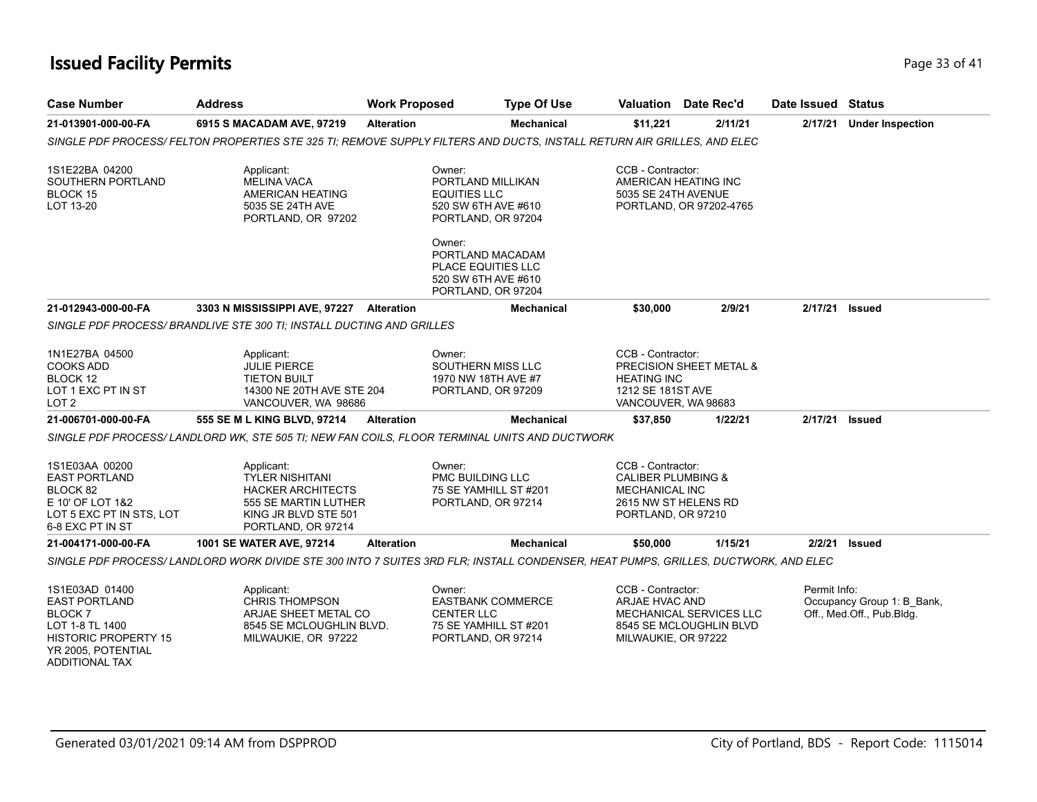# **Issued Facility Permits** Page 33 of 41

| <b>Case Number</b>                                                                                                                                       | <b>Address</b>                                                                                                                              | <b>Work Proposed</b>                    | <b>Type Of Use</b>                                                                                                                                           |                                                                                                                           | <b>Valuation</b> Date Rec'd                        | Date Issued Status |                                                         |
|----------------------------------------------------------------------------------------------------------------------------------------------------------|---------------------------------------------------------------------------------------------------------------------------------------------|-----------------------------------------|--------------------------------------------------------------------------------------------------------------------------------------------------------------|---------------------------------------------------------------------------------------------------------------------------|----------------------------------------------------|--------------------|---------------------------------------------------------|
| 21-013901-000-00-FA                                                                                                                                      | 6915 S MACADAM AVE, 97219                                                                                                                   | <b>Alteration</b>                       | <b>Mechanical</b>                                                                                                                                            | \$11,221                                                                                                                  | 2/11/21                                            | 2/17/21            | <b>Under Inspection</b>                                 |
|                                                                                                                                                          | SINGLE PDF PROCESS/FELTON PROPERTIES STE 325 TI; REMOVE SUPPLY FILTERS AND DUCTS, INSTALL RETURN AIR GRILLES, AND ELEC                      |                                         |                                                                                                                                                              |                                                                                                                           |                                                    |                    |                                                         |
| 1S1E22BA 04200<br>SOUTHERN PORTLAND<br><b>BLOCK 15</b><br>LOT 13-20                                                                                      | Applicant:<br><b>MELINA VACA</b><br>AMERICAN HEATING<br>5035 SE 24TH AVE<br>PORTLAND, OR 97202                                              | Owner:<br><b>EQUITIES LLC</b><br>Owner: | PORTLAND MILLIKAN<br>520 SW 6TH AVE #610<br>PORTLAND, OR 97204<br>PORTLAND MACADAM<br><b>PLACE EQUITIES LLC</b><br>520 SW 6TH AVE #610<br>PORTLAND, OR 97204 | CCB - Contractor:<br>5035 SE 24TH AVENUE                                                                                  | AMERICAN HEATING INC<br>PORTLAND, OR 97202-4765    |                    |                                                         |
| 21-012943-000-00-FA                                                                                                                                      | 3303 N MISSISSIPPI AVE, 97227 Alteration                                                                                                    |                                         | <b>Mechanical</b>                                                                                                                                            | \$30,000                                                                                                                  | 2/9/21                                             | 2/17/21 Issued     |                                                         |
|                                                                                                                                                          | SINGLE PDF PROCESS/ BRANDLIVE STE 300 TI; INSTALL DUCTING AND GRILLES                                                                       |                                         |                                                                                                                                                              |                                                                                                                           |                                                    |                    |                                                         |
| 1N1E27BA 04500<br><b>COOKS ADD</b><br>BLOCK 12<br>LOT 1 EXC PT IN ST<br>LOT 2<br>21-006701-000-00-FA                                                     | Applicant:<br><b>JULIE PIERCE</b><br><b>TIETON BUILT</b><br>14300 NE 20TH AVE STE 204<br>VANCOUVER, WA 98686<br>555 SE M L KING BLVD, 97214 | Owner:<br><b>Alteration</b>             | SOUTHERN MISS LLC<br>1970 NW 18TH AVE #7<br>PORTLAND, OR 97209<br>Mechanical                                                                                 | CCB - Contractor:<br><b>HEATING INC</b><br>1212 SE 181ST AVE<br>VANCOUVER, WA 98683<br>\$37,850                           | <b>PRECISION SHEET METAL &amp;</b><br>1/22/21      | 2/17/21            | <b>Issued</b>                                           |
|                                                                                                                                                          | SINGLE PDF PROCESS/ LANDLORD WK, STE 505 TI; NEW FAN COILS, FLOOR TERMINAL UNITS AND DUCTWORK                                               |                                         |                                                                                                                                                              |                                                                                                                           |                                                    |                    |                                                         |
| 1S1E03AA 00200<br><b>EAST PORTLAND</b><br>BLOCK 82<br>E 10' OF LOT 1&2<br>LOT 5 EXC PT IN STS, LOT<br>6-8 EXC PT IN ST                                   | Applicant:<br><b>TYLER NISHITANI</b><br><b>HACKER ARCHITECTS</b><br>555 SE MARTIN LUTHER<br>KING JR BLVD STE 501<br>PORTLAND, OR 97214      | Owner:                                  | <b>PMC BUILDING LLC</b><br>75 SE YAMHILL ST #201<br>PORTLAND, OR 97214                                                                                       | CCB - Contractor:<br><b>CALIBER PLUMBING &amp;</b><br><b>MECHANICAL INC</b><br>2615 NW ST HELENS RD<br>PORTLAND, OR 97210 |                                                    |                    |                                                         |
| 21-004171-000-00-FA                                                                                                                                      | 1001 SE WATER AVE, 97214                                                                                                                    | <b>Alteration</b>                       | <b>Mechanical</b>                                                                                                                                            | \$50,000                                                                                                                  | 1/15/21                                            | 2/2/21             | <b>Issued</b>                                           |
|                                                                                                                                                          | SINGLE PDF PROCESS/ LANDLORD WORK DIVIDE STE 300 INTO 7 SUITES 3RD FLR; INSTALL CONDENSER, HEAT PUMPS, GRILLES, DUCTWORK, AND ELEC          |                                         |                                                                                                                                                              |                                                                                                                           |                                                    |                    |                                                         |
| 1S1E03AD 01400<br><b>EAST PORTLAND</b><br><b>BLOCK7</b><br>LOT 1-8 TL 1400<br><b>HISTORIC PROPERTY 15</b><br>YR 2005. POTENTIAL<br><b>ADDITIONAL TAX</b> | Applicant:<br><b>CHRIS THOMPSON</b><br>ARJAE SHEET METAL CO<br>8545 SE MCLOUGHLIN BLVD.<br>MILWAUKIE, OR 97222                              | Owner:<br><b>CENTER LLC</b>             | <b>EASTBANK COMMERCE</b><br>75 SE YAMHILL ST #201<br>PORTLAND, OR 97214                                                                                      | CCB - Contractor:<br><b>ARJAE HVAC AND</b><br>MILWAUKIE, OR 97222                                                         | MECHANICAL SERVICES LLC<br>8545 SE MCLOUGHLIN BLVD | Permit Info:       | Occupancy Group 1: B Bank,<br>Off., Med.Off., Pub.Bldg. |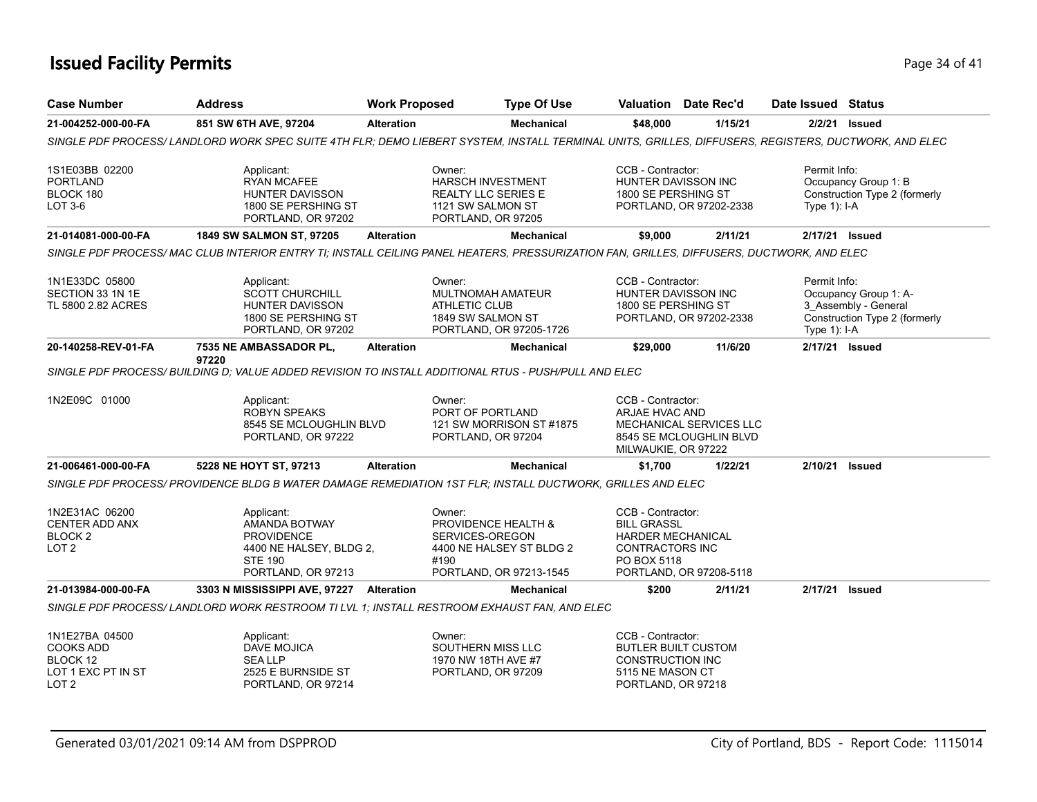# **Issued Facility Permits** Page 34 of 41

| <b>Case Number</b>                                                            | <b>Address</b>                                                                                                                                       | <b>Work Proposed</b> | <b>Type Of Use</b>                                                                                                         | Valuation                                                                                                            | Date Rec'd                                         | Date Issued Status             |                                                                                |
|-------------------------------------------------------------------------------|------------------------------------------------------------------------------------------------------------------------------------------------------|----------------------|----------------------------------------------------------------------------------------------------------------------------|----------------------------------------------------------------------------------------------------------------------|----------------------------------------------------|--------------------------------|--------------------------------------------------------------------------------|
| 21-004252-000-00-FA                                                           | 851 SW 6TH AVE, 97204                                                                                                                                | <b>Alteration</b>    | <b>Mechanical</b>                                                                                                          | \$48,000                                                                                                             | 1/15/21                                            |                                | 2/2/21 Issued                                                                  |
|                                                                               | SINGLE PDF PROCESS/ LANDLORD WORK SPEC SUITE 4TH FLR; DEMO LIEBERT SYSTEM, INSTALL TERMINAL UNITS, GRILLES, DIFFUSERS, REGISTERS, DUCTWORK, AND ELEC |                      |                                                                                                                            |                                                                                                                      |                                                    |                                |                                                                                |
| 1S1E03BB 02200<br><b>PORTLAND</b><br>BLOCK 180<br>LOT 3-6                     | Applicant:<br><b>RYAN MCAFEE</b><br>HUNTER DAVISSON<br>1800 SE PERSHING ST<br>PORTLAND, OR 97202                                                     |                      | Owner:<br><b>HARSCH INVESTMENT</b><br><b>REALTY LLC SERIES E</b><br>1121 SW SALMON ST<br>PORTLAND, OR 97205                | CCB - Contractor:<br><b>HUNTER DAVISSON INC</b><br>1800 SE PERSHING ST                                               | PORTLAND, OR 97202-2338                            | Permit Info:<br>Type $1$ : I-A | Occupancy Group 1: B<br>Construction Type 2 (formerly                          |
| 21-014081-000-00-FA                                                           | 1849 SW SALMON ST, 97205                                                                                                                             | <b>Alteration</b>    | <b>Mechanical</b>                                                                                                          | \$9,000                                                                                                              | 2/11/21                                            |                                | 2/17/21 <b>Issued</b>                                                          |
|                                                                               | SINGLE PDF PROCESS/MAC CLUB INTERIOR ENTRY TI: INSTALL CEILING PANEL HEATERS, PRESSURIZATION FAN, GRILLES, DIFFUSERS, DUCTWORK, AND ELEC             |                      |                                                                                                                            |                                                                                                                      |                                                    |                                |                                                                                |
| 1N1E33DC 05800<br>SECTION 33 1N 1E<br>TL 5800 2.82 ACRES                      | Applicant:<br>SCOTT CHURCHILL<br><b>HUNTER DAVISSON</b><br>1800 SE PERSHING ST<br>PORTLAND, OR 97202                                                 |                      | Owner:<br><b>MULTNOMAH AMATEUR</b><br>ATHLETIC CLUB<br>1849 SW SALMON ST<br>PORTLAND, OR 97205-1726                        | CCB - Contractor:<br>HUNTER DAVISSON INC<br>1800 SE PERSHING ST                                                      | PORTLAND, OR 97202-2338                            | Permit Info:<br>Type $1$ : I-A | Occupancy Group 1: A-<br>3 Assembly - General<br>Construction Type 2 (formerly |
| 20-140258-REV-01-FA                                                           | 7535 NE AMBASSADOR PL,                                                                                                                               | <b>Alteration</b>    | <b>Mechanical</b>                                                                                                          | \$29,000                                                                                                             | 11/6/20                                            |                                | 2/17/21 Issued                                                                 |
|                                                                               | 97220<br>SINGLE PDF PROCESS/BUILDING D; VALUE ADDED REVISION TO INSTALL ADDITIONAL RTUS - PUSH/PULL AND ELEC                                         |                      |                                                                                                                            |                                                                                                                      |                                                    |                                |                                                                                |
| 1N2E09C 01000                                                                 | Applicant:<br><b>ROBYN SPEAKS</b><br>8545 SE MCLOUGHLIN BLVD<br>PORTLAND, OR 97222                                                                   |                      | Owner:<br>PORT OF PORTLAND<br>121 SW MORRISON ST #1875<br>PORTLAND, OR 97204                                               | CCB - Contractor:<br>ARJAE HVAC AND<br>MILWAUKIE, OR 97222                                                           | MECHANICAL SERVICES LLC<br>8545 SE MCLOUGHLIN BLVD |                                |                                                                                |
| 21-006461-000-00-FA                                                           | 5228 NE HOYT ST, 97213                                                                                                                               | <b>Alteration</b>    | <b>Mechanical</b>                                                                                                          | \$1,700                                                                                                              | 1/22/21                                            | 2/10/21                        | Issued                                                                         |
|                                                                               | SINGLE PDF PROCESS/ PROVIDENCE BLDG B WATER DAMAGE REMEDIATION 1ST FLR: INSTALL DUCTWORK, GRILLES AND ELEC                                           |                      |                                                                                                                            |                                                                                                                      |                                                    |                                |                                                                                |
| 1N2E31AC 06200<br><b>CENTER ADD ANX</b><br>BLOCK 2<br>LOT <sub>2</sub>        | Applicant:<br>AMANDA BOTWAY<br><b>PROVIDENCE</b><br>4400 NE HALSEY, BLDG 2,<br><b>STE 190</b><br>PORTLAND, OR 97213                                  |                      | Owner:<br><b>PROVIDENCE HEALTH &amp;</b><br>SERVICES-OREGON<br>4400 NE HALSEY ST BLDG 2<br>#190<br>PORTLAND, OR 97213-1545 | CCB - Contractor:<br><b>BILL GRASSL</b><br><b>HARDER MECHANICAL</b><br><b>CONTRACTORS INC</b><br>PO BOX 5118         | PORTLAND, OR 97208-5118                            |                                |                                                                                |
| 21-013984-000-00-FA                                                           | 3303 N MISSISSIPPI AVE, 97227                                                                                                                        | Alteration           | <b>Mechanical</b>                                                                                                          | \$200                                                                                                                | 2/11/21                                            |                                | 2/17/21 <b>Issued</b>                                                          |
|                                                                               | SINGLE PDF PROCESS/ LANDLORD WORK RESTROOM TI LVL 1: INSTALL RESTROOM EXHAUST FAN. AND ELEC                                                          |                      |                                                                                                                            |                                                                                                                      |                                                    |                                |                                                                                |
| 1N1E27BA 04500<br><b>COOKS ADD</b><br>BLOCK 12<br>LOT 1 EXC PT IN ST<br>LOT 2 | Applicant:<br>DAVE MOJICA<br><b>SEALLP</b><br>2525 E BURNSIDE ST<br>PORTLAND, OR 97214                                                               |                      | Owner:<br>SOUTHERN MISS LLC<br>1970 NW 18TH AVE #7<br>PORTLAND, OR 97209                                                   | CCB - Contractor:<br><b>BUTLER BUILT CUSTOM</b><br><b>CONSTRUCTION INC</b><br>5115 NE MASON CT<br>PORTLAND, OR 97218 |                                                    |                                |                                                                                |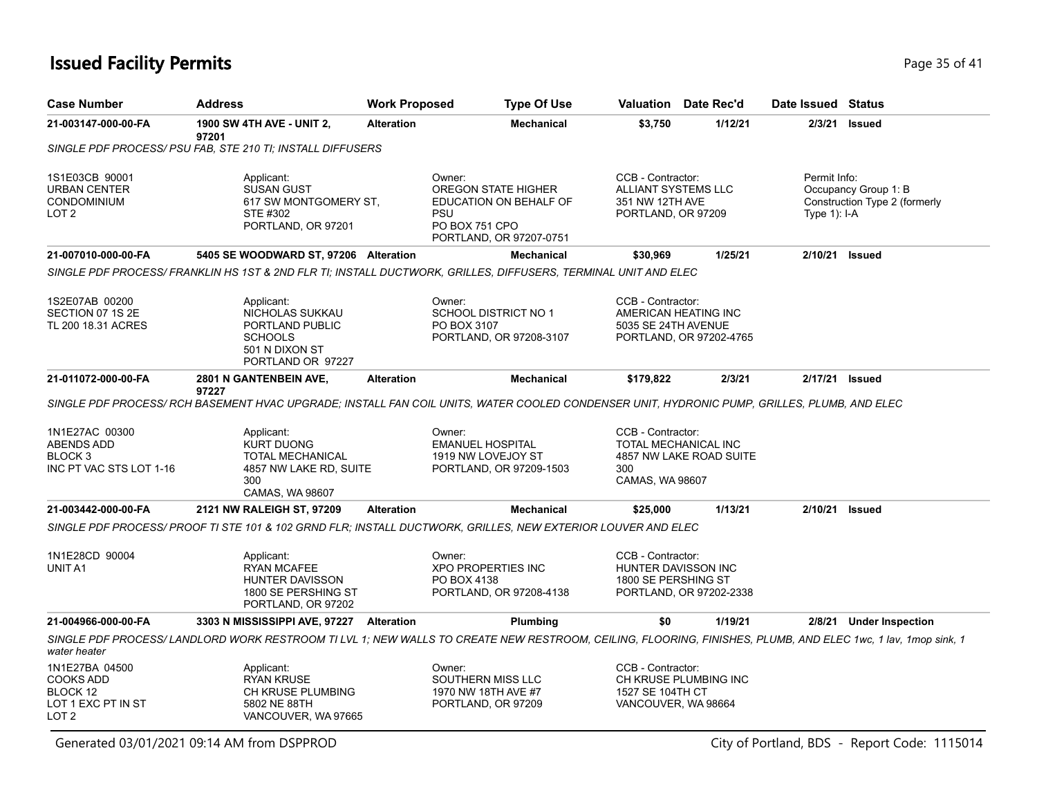# **Issued Facility Permits** Page 35 of 41

| <b>Case Number</b>                                                                   | <b>Address</b>                                                                                                                                              | <b>Work Proposed</b> | <b>Type Of Use</b>                                                                                                 |                                                                                   | Valuation Date Rec'd    | Date Issued Status              |                                                       |
|--------------------------------------------------------------------------------------|-------------------------------------------------------------------------------------------------------------------------------------------------------------|----------------------|--------------------------------------------------------------------------------------------------------------------|-----------------------------------------------------------------------------------|-------------------------|---------------------------------|-------------------------------------------------------|
| 21-003147-000-00-FA                                                                  | <b>1900 SW 4TH AVE - UNIT 2,</b><br>97201                                                                                                                   | <b>Alteration</b>    | <b>Mechanical</b>                                                                                                  | \$3,750                                                                           | 1/12/21                 | 2/3/21                          | Issued                                                |
|                                                                                      | SINGLE PDF PROCESS/ PSU FAB, STE 210 TI; INSTALL DIFFUSERS                                                                                                  |                      |                                                                                                                    |                                                                                   |                         |                                 |                                                       |
| 1S1E03CB 90001<br><b>URBAN CENTER</b><br>CONDOMINIUM<br>LOT <sub>2</sub>             | Applicant:<br><b>SUSAN GUST</b><br>617 SW MONTGOMERY ST.<br>STE #302<br>PORTLAND, OR 97201                                                                  |                      | Owner:<br>OREGON STATE HIGHER<br>EDUCATION ON BEHALF OF<br><b>PSU</b><br>PO BOX 751 CPO<br>PORTLAND, OR 97207-0751 | CCB - Contractor:<br>ALLIANT SYSTEMS LLC<br>351 NW 12TH AVE<br>PORTLAND, OR 97209 |                         | Permit Info:<br>Type $1$ ): I-A | Occupancy Group 1: B<br>Construction Type 2 (formerly |
| 21-007010-000-00-FA                                                                  | 5405 SE WOODWARD ST, 97206 Alteration                                                                                                                       |                      | <b>Mechanical</b>                                                                                                  | \$30,969                                                                          | 1/25/21                 | 2/10/21 Issued                  |                                                       |
|                                                                                      | SINGLE PDF PROCESS/ FRANKLIN HS 1ST & 2ND FLR TI; INSTALL DUCTWORK, GRILLES, DIFFUSERS, TERMINAL UNIT AND ELEC                                              |                      |                                                                                                                    |                                                                                   |                         |                                 |                                                       |
| 1S2E07AB 00200<br>SECTION 07 1S 2E<br>TL 200 18.31 ACRES                             | Applicant:<br>NICHOLAS SUKKAU<br>PORTLAND PUBLIC<br><b>SCHOOLS</b><br>501 N DIXON ST<br>PORTLAND OR 97227                                                   |                      | Owner:<br><b>SCHOOL DISTRICT NO 1</b><br>PO BOX 3107<br>PORTLAND, OR 97208-3107                                    | CCB - Contractor:<br>AMERICAN HEATING INC<br>5035 SE 24TH AVENUE                  | PORTLAND, OR 97202-4765 |                                 |                                                       |
| 21-011072-000-00-FA                                                                  | 2801 N GANTENBEIN AVE,                                                                                                                                      | <b>Alteration</b>    | <b>Mechanical</b>                                                                                                  | \$179,822                                                                         | 2/3/21                  | 2/17/21 Issued                  |                                                       |
|                                                                                      | 97227<br>SINGLE PDF PROCESS/ RCH BASEMENT HVAC UPGRADE; INSTALL FAN COIL UNITS, WATER COOLED CONDENSER UNIT, HYDRONIC PUMP, GRILLES, PLUMB, AND ELEC        |                      |                                                                                                                    |                                                                                   |                         |                                 |                                                       |
| 1N1E27AC 00300<br><b>ABENDS ADD</b><br>BLOCK <sub>3</sub><br>INC PT VAC STS LOT 1-16 | Applicant:<br><b>KURT DUONG</b><br><b>TOTAL MECHANICAL</b><br>4857 NW LAKE RD, SUITE<br>300<br>CAMAS, WA 98607                                              |                      | Owner:<br><b>EMANUEL HOSPITAL</b><br>1919 NW LOVEJOY ST<br>PORTLAND, OR 97209-1503                                 | CCB - Contractor:<br><b>TOTAL MECHANICAL INC</b><br>300<br>CAMAS, WA 98607        | 4857 NW LAKE ROAD SUITE |                                 |                                                       |
| 21-003442-000-00-FA                                                                  | 2121 NW RALEIGH ST, 97209                                                                                                                                   | <b>Alteration</b>    | <b>Mechanical</b>                                                                                                  | \$25,000                                                                          | 1/13/21                 | 2/10/21 Issued                  |                                                       |
|                                                                                      | SINGLE PDF PROCESS/ PROOF TI STE 101 & 102 GRND FLR; INSTALL DUCTWORK, GRILLES, NEW EXTERIOR LOUVER AND ELEC                                                |                      |                                                                                                                    |                                                                                   |                         |                                 |                                                       |
| 1N1E28CD 90004<br>UNIT A1                                                            | Applicant:<br><b>RYAN MCAFEE</b><br>HUNTER DAVISSON<br>1800 SE PERSHING ST<br>PORTLAND, OR 97202                                                            |                      | Owner:<br><b>XPO PROPERTIES INC</b><br>PO BOX 4138<br>PORTLAND, OR 97208-4138                                      | CCB - Contractor:<br>HUNTER DAVISSON INC<br>1800 SE PERSHING ST                   | PORTLAND, OR 97202-2338 |                                 |                                                       |
| 21-004966-000-00-FA                                                                  | 3303 N MISSISSIPPI AVE, 97227 Alteration                                                                                                                    |                      | Plumbing                                                                                                           | \$0                                                                               | 1/19/21                 | 2/8/21                          | <b>Under Inspection</b>                               |
| water heater                                                                         | SINGLE PDF PROCESS/LANDLORD WORK RESTROOM TI LVL 1; NEW WALLS TO CREATE NEW RESTROOM, CEILING, FLOORING, FINISHES, PLUMB, AND ELEC 1wc, 1 lav, 1mop sink, 1 |                      |                                                                                                                    |                                                                                   |                         |                                 |                                                       |
| 1N1E27BA 04500<br>COOKS ADD<br>BLOCK 12<br>LOT 1 EXC PT IN ST<br>LOT <sub>2</sub>    | Applicant:<br><b>RYAN KRUSE</b><br>CH KRUSE PLUMBING<br>5802 NE 88TH<br>VANCOUVER, WA 97665                                                                 |                      | Owner:<br>SOUTHERN MISS LLC<br>1970 NW 18TH AVE #7<br>PORTLAND, OR 97209                                           | CCB - Contractor:<br>1527 SE 104TH CT<br>VANCOUVER, WA 98664                      | CH KRUSE PLUMBING INC   |                                 |                                                       |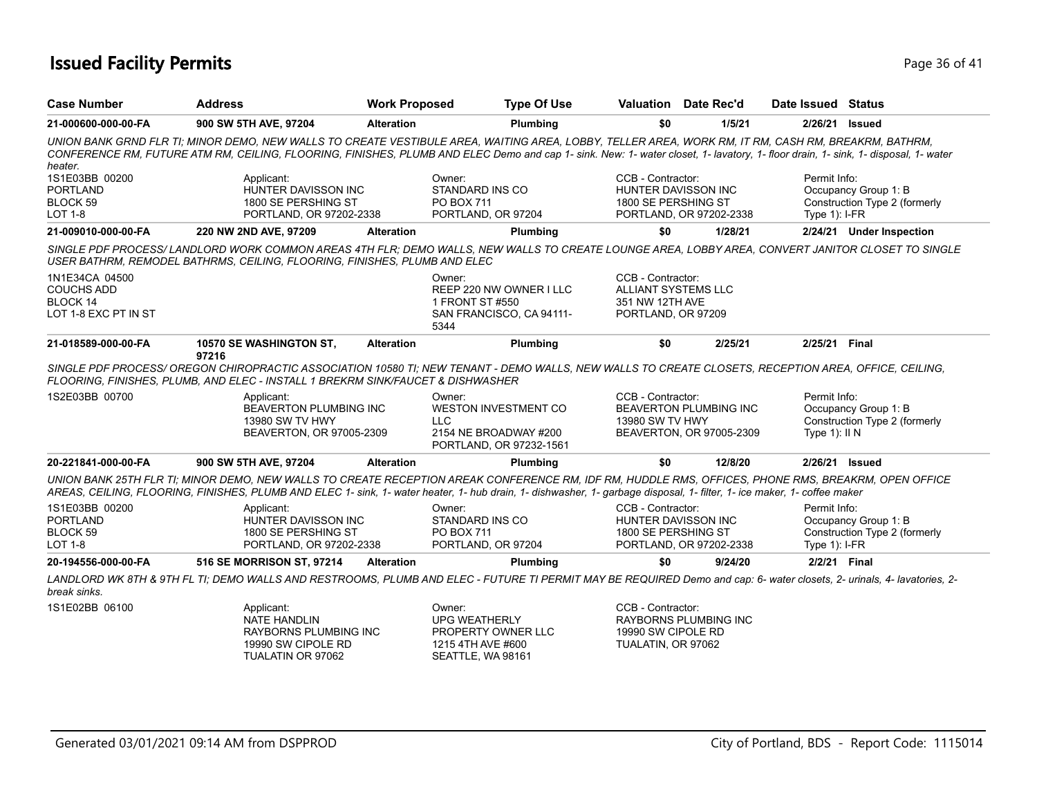# **Issued Facility Permits** Page 36 of 41

| <b>Case Number</b>                                                             | <b>Address</b>                                                                                                                                                                                                                                                                                                                           | <b>Work Proposed</b> |                                                                                                         | <b>Type Of Use</b> |                                                                                          | Valuation Date Rec'd                                      | Date Issued Status              |                                                       |
|--------------------------------------------------------------------------------|------------------------------------------------------------------------------------------------------------------------------------------------------------------------------------------------------------------------------------------------------------------------------------------------------------------------------------------|----------------------|---------------------------------------------------------------------------------------------------------|--------------------|------------------------------------------------------------------------------------------|-----------------------------------------------------------|---------------------------------|-------------------------------------------------------|
| 21-000600-000-00-FA                                                            | 900 SW 5TH AVE, 97204                                                                                                                                                                                                                                                                                                                    | <b>Alteration</b>    |                                                                                                         | Plumbing           | \$0                                                                                      | 1/5/21                                                    | 2/26/21 Issued                  |                                                       |
| heater.                                                                        | UNION BANK GRND FLR TI; MINOR DEMO, NEW WALLS TO CREATE VESTIBULE AREA, WAITING AREA, LOBBY, TELLER AREA, WORK RM, IT RM, CASH RM, BREAKRM, BATHRM,<br>CONFERENCE RM, FUTURE ATM RM, CEILING, FLOORING, FINISHES, PLUMB AND ELEC Demo and cap 1- sink. New: 1- water closet, 1- lavatory, 1- floor drain, 1- sink, 1- disposal, 1- water |                      |                                                                                                         |                    |                                                                                          |                                                           |                                 |                                                       |
| 1S1E03BB 00200<br><b>PORTLAND</b><br>BLOCK 59<br><b>LOT 1-8</b>                | Applicant:<br>HUNTER DAVISSON INC<br>1800 SE PERSHING ST<br>PORTLAND, OR 97202-2338                                                                                                                                                                                                                                                      |                      | Owner:<br>STANDARD INS CO<br>PO BOX 711<br>PORTLAND, OR 97204                                           |                    | CCB - Contractor:<br>1800 SE PERSHING ST                                                 | <b>HUNTER DAVISSON INC</b><br>PORTLAND, OR 97202-2338     | Permit Info:<br>Type $1$ : I-FR | Occupancy Group 1: B<br>Construction Type 2 (formerly |
| 21-009010-000-00-FA                                                            | 220 NW 2ND AVE, 97209                                                                                                                                                                                                                                                                                                                    | <b>Alteration</b>    |                                                                                                         | Plumbing           | \$0                                                                                      | 1/28/21                                                   |                                 | 2/24/21 Under Inspection                              |
|                                                                                | SINGLE PDF PROCESS/ LANDLORD WORK COMMON AREAS 4TH FLR; DEMO WALLS, NEW WALLS TO CREATE LOUNGE AREA, LOBBY AREA, CONVERT JANITOR CLOSET TO SINGLE<br>USER BATHRM, REMODEL BATHRMS, CEILING, FLOORING, FINISHES, PLUMB AND ELEC                                                                                                           |                      |                                                                                                         |                    |                                                                                          |                                                           |                                 |                                                       |
| 1N1E34CA 04500<br><b>COUCHS ADD</b><br><b>BLOCK 14</b><br>LOT 1-8 EXC PT IN ST |                                                                                                                                                                                                                                                                                                                                          |                      | Owner:<br>REEP 220 NW OWNER I LLC<br>1 FRONT ST #550<br>SAN FRANCISCO, CA 94111-<br>5344                |                    | CCB - Contractor:<br><b>ALLIANT SYSTEMS LLC</b><br>351 NW 12TH AVE<br>PORTLAND, OR 97209 |                                                           |                                 |                                                       |
| 21-018589-000-00-FA                                                            | 10570 SE WASHINGTON ST,                                                                                                                                                                                                                                                                                                                  | <b>Alteration</b>    |                                                                                                         | Plumbing           | \$0                                                                                      | 2/25/21                                                   | 2/25/21                         | <b>Final</b>                                          |
|                                                                                | 97216<br>SINGLE PDF PROCESS/OREGON CHIROPRACTIC ASSOCIATION 10580 TI; NEW TENANT - DEMO WALLS, NEW WALLS TO CREATE CLOSETS, RECEPTION AREA, OFFICE, CEILING,<br>FLOORING, FINISHES, PLUMB, AND ELEC - INSTALL 1 BREKRM SINK/FAUCET & DISHWASHER                                                                                          |                      |                                                                                                         |                    |                                                                                          |                                                           |                                 |                                                       |
| 1S2E03BB 00700                                                                 | Applicant:<br><b>BEAVERTON PLUMBING INC</b><br>13980 SW TV HWY<br>BEAVERTON, OR 97005-2309                                                                                                                                                                                                                                               |                      | Owner:<br><b>WESTON INVESTMENT CO</b><br><b>LLC</b><br>2154 NE BROADWAY #200<br>PORTLAND, OR 97232-1561 |                    | CCB - Contractor:<br>13980 SW TV HWY                                                     | <b>BEAVERTON PLUMBING INC</b><br>BEAVERTON, OR 97005-2309 | Permit Info:<br>Type $1$ : II N | Occupancy Group 1: B<br>Construction Type 2 (formerly |
| 20-221841-000-00-FA                                                            | 900 SW 5TH AVE, 97204                                                                                                                                                                                                                                                                                                                    | <b>Alteration</b>    |                                                                                                         | Plumbing           | \$0                                                                                      | 12/8/20                                                   | 2/26/21 Issued                  |                                                       |
|                                                                                | UNION BANK 25TH FLR TI; MINOR DEMO, NEW WALLS TO CREATE RECEPTION AREAK CONFERENCE RM, IDF RM, HUDDLE RMS, OFFICES, PHONE RMS, BREAKRM, OPEN OFFICE<br>AREAS, CEILING, FLOORING, FINISHES, PLUMB AND ELEC 1- sink, 1- water heater, 1- hub drain, 1- dishwasher, 1- garbage disposal, 1- filter, 1- ice maker, 1- coffee maker           |                      |                                                                                                         |                    |                                                                                          |                                                           |                                 |                                                       |
| 1S1E03BB 00200<br><b>PORTLAND</b><br>BLOCK 59<br><b>LOT 1-8</b>                | Applicant:<br>HUNTER DAVISSON INC<br>1800 SE PERSHING ST<br>PORTLAND, OR 97202-2338                                                                                                                                                                                                                                                      |                      | Owner:<br>STANDARD INS CO<br>PO BOX 711<br>PORTLAND, OR 97204                                           |                    | CCB - Contractor:<br>1800 SE PERSHING ST                                                 | HUNTER DAVISSON INC<br>PORTLAND, OR 97202-2338            | Permit Info:<br>Type $1$ : I-FR | Occupancy Group 1: B<br>Construction Type 2 (formerly |
| 20-194556-000-00-FA                                                            | 516 SE MORRISON ST, 97214                                                                                                                                                                                                                                                                                                                | <b>Alteration</b>    |                                                                                                         | <b>Plumbing</b>    | \$0                                                                                      | 9/24/20                                                   | 2/2/21 Final                    |                                                       |
| break sinks.                                                                   | LANDLORD WK 8TH & 9TH FL TI; DEMO WALLS AND RESTROOMS, PLUMB AND ELEC - FUTURE TI PERMIT MAY BE REQUIRED Demo and cap: 6- water closets, 2- urinals, 4- lavatories, 2-                                                                                                                                                                   |                      |                                                                                                         |                    |                                                                                          |                                                           |                                 |                                                       |
| 1S1E02BB 06100                                                                 | Applicant:<br><b>NATE HANDLIN</b><br><b>RAYBORNS PLUMBING INC</b><br>19990 SW CIPOLE RD<br>TUALATIN OR 97062                                                                                                                                                                                                                             |                      | Owner:<br><b>UPG WEATHERLY</b><br>PROPERTY OWNER LLC<br>1215 4TH AVE #600<br>SEATTLE, WA 98161          |                    | CCB - Contractor:<br>19990 SW CIPOLE RD<br>TUALATIN, OR 97062                            | RAYBORNS PLUMBING INC                                     |                                 |                                                       |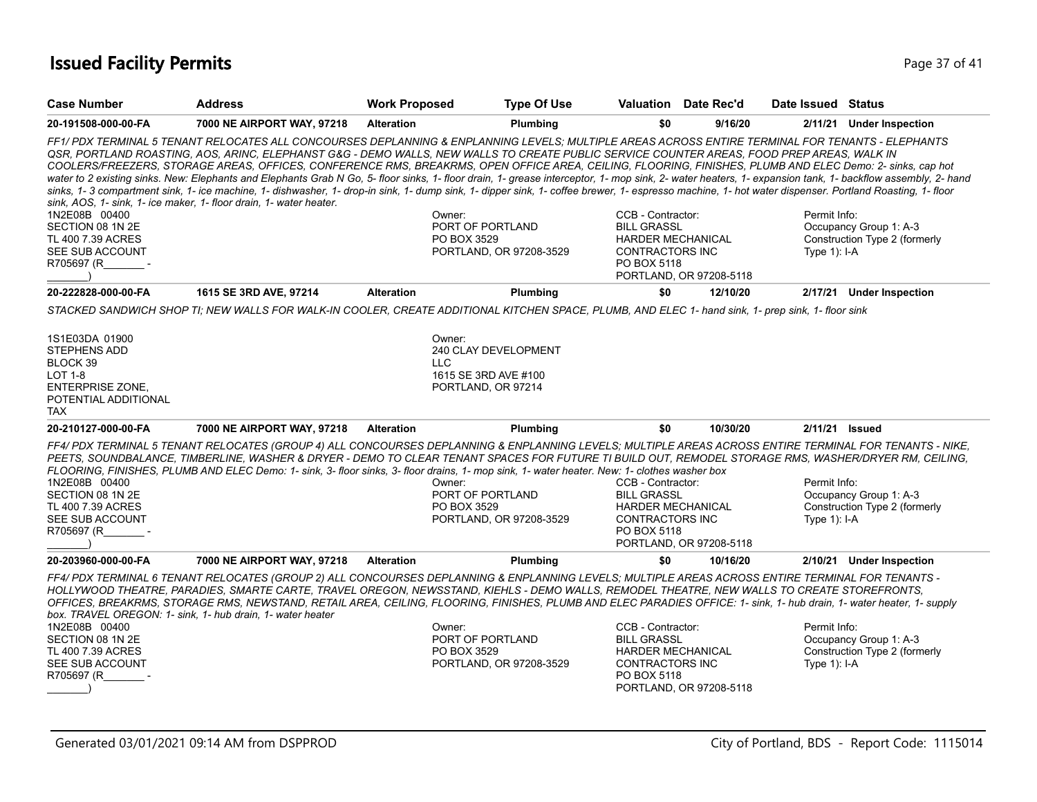# **Issued Facility Permits** Page 37 of 41

| <b>Case Number</b>                                                                                                                                                                                                                                                                                                                                                                                                                                                                                                                                                                                                                                                                                                                                                                                                                                                                                                                                       | <b>Address</b>                                                                                                                                                                                                                                                                                                                                                                                                                                                  | <b>Work Proposed</b>                               | <b>Type Of Use</b>      | Valuation Date Rec'd                                                                                                             |                         | Date Issued Status              |                                                         |  |  |
|----------------------------------------------------------------------------------------------------------------------------------------------------------------------------------------------------------------------------------------------------------------------------------------------------------------------------------------------------------------------------------------------------------------------------------------------------------------------------------------------------------------------------------------------------------------------------------------------------------------------------------------------------------------------------------------------------------------------------------------------------------------------------------------------------------------------------------------------------------------------------------------------------------------------------------------------------------|-----------------------------------------------------------------------------------------------------------------------------------------------------------------------------------------------------------------------------------------------------------------------------------------------------------------------------------------------------------------------------------------------------------------------------------------------------------------|----------------------------------------------------|-------------------------|----------------------------------------------------------------------------------------------------------------------------------|-------------------------|---------------------------------|---------------------------------------------------------|--|--|
| 20-191508-000-00-FA                                                                                                                                                                                                                                                                                                                                                                                                                                                                                                                                                                                                                                                                                                                                                                                                                                                                                                                                      | 7000 NE AIRPORT WAY, 97218                                                                                                                                                                                                                                                                                                                                                                                                                                      | <b>Alteration</b>                                  | Plumbing                | \$0                                                                                                                              | 9/16/20                 |                                 | 2/11/21 Under Inspection                                |  |  |
| FF1/ PDX TERMINAL 5 TENANT RELOCATES ALL CONCOURSES DEPLANNING & ENPLANNING LEVELS; MULTIPLE AREAS ACROSS ENTIRE TERMINAL FOR TENANTS - ELEPHANTS<br>QSR, PORTLAND ROASTING, AOS, ARINC, ELEPHANST G&G - DEMO WALLS, NEW WALLS TO CREATE PUBLIC SERVICE COUNTER AREAS, FOOD PREP AREAS, WALK IN<br>COOLERS/FREEZERS, STORAGE AREAS, OFFICES, CONFERENCE RMS, BREAKRMS, OPEN OFFICE AREA, CEILING, FLOORING, FINISHES, PLUMB AND ELEC Demo: 2- sinks, cap hot<br>water to 2 existing sinks. New: Elephants and Elephants Grab N Go, 5- floor sinks, 1- floor drain, 1- grease interceptor, 1- mop sink, 2- water heaters, 1- expansion tank, 1- backflow assembly, 2- hand<br>sinks, 1-3 compartment sink, 1- ice machine, 1- dishwasher, 1- drop-in sink, 1- dump sink, 1- dipper sink, 1- coffee brewer, 1- espresso machine, 1- hot water dispenser. Portland Roasting, 1- floor<br>sink, AOS, 1- sink, 1- ice maker, 1- floor drain, 1- water heater. |                                                                                                                                                                                                                                                                                                                                                                                                                                                                 |                                                    |                         |                                                                                                                                  |                         |                                 |                                                         |  |  |
| 1N2E08B 00400<br>SECTION 08 1N 2E<br>TL 400 7.39 ACRES<br>SEE SUB ACCOUNT<br>R705697 (R                                                                                                                                                                                                                                                                                                                                                                                                                                                                                                                                                                                                                                                                                                                                                                                                                                                                  |                                                                                                                                                                                                                                                                                                                                                                                                                                                                 | Owner:<br>PORT OF PORTLAND<br>PO BOX 3529          | PORTLAND, OR 97208-3529 | CCB - Contractor:<br><b>BILL GRASSL</b><br><b>HARDER MECHANICAL</b><br>CONTRACTORS INC<br>PO BOX 5118                            | PORTLAND, OR 97208-5118 | Permit Info:<br>Type $1$ : I-A  | Occupancy Group 1: A-3<br>Construction Type 2 (formerly |  |  |
| 20-222828-000-00-FA                                                                                                                                                                                                                                                                                                                                                                                                                                                                                                                                                                                                                                                                                                                                                                                                                                                                                                                                      | 1615 SE 3RD AVE, 97214                                                                                                                                                                                                                                                                                                                                                                                                                                          | <b>Alteration</b>                                  | Plumbing                | \$0                                                                                                                              | 12/10/20                |                                 | 2/17/21 Under Inspection                                |  |  |
| 1S1E03DA 01900<br>STEPHENS ADD                                                                                                                                                                                                                                                                                                                                                                                                                                                                                                                                                                                                                                                                                                                                                                                                                                                                                                                           | STACKED SANDWICH SHOP TI; NEW WALLS FOR WALK-IN COOLER, CREATE ADDITIONAL KITCHEN SPACE, PLUMB, AND ELEC 1- hand sink, 1- prep sink, 1- floor sink                                                                                                                                                                                                                                                                                                              | Owner:                                             | 240 CLAY DEVELOPMENT    |                                                                                                                                  |                         |                                 |                                                         |  |  |
| BLOCK 39<br><b>LOT 1-8</b><br><b>ENTERPRISE ZONE,</b><br>POTENTIAL ADDITIONAL<br>TAX.                                                                                                                                                                                                                                                                                                                                                                                                                                                                                                                                                                                                                                                                                                                                                                                                                                                                    |                                                                                                                                                                                                                                                                                                                                                                                                                                                                 | LLC.<br>1615 SE 3RD AVE #100<br>PORTLAND, OR 97214 |                         |                                                                                                                                  |                         |                                 |                                                         |  |  |
| 20-210127-000-00-FA                                                                                                                                                                                                                                                                                                                                                                                                                                                                                                                                                                                                                                                                                                                                                                                                                                                                                                                                      | <b>7000 NE AIRPORT WAY, 97218</b>                                                                                                                                                                                                                                                                                                                                                                                                                               | <b>Alteration</b>                                  | Plumbing                | \$0                                                                                                                              | 10/30/20                | 2/11/21 <b>Issued</b>           |                                                         |  |  |
| 1N2E08B 00400<br>SECTION 08 1N 2E<br>TL 400 7.39 ACRES<br>SEE SUB ACCOUNT<br>R705697 (R                                                                                                                                                                                                                                                                                                                                                                                                                                                                                                                                                                                                                                                                                                                                                                                                                                                                  | FF4/ PDX TERMINAL 5 TENANT RELOCATES (GROUP 4) ALL CONCOURSES DEPLANNING & ENPLANNING LEVELS; MULTIPLE AREAS ACROSS ENTIRE TERMINAL FOR TENANTS - NIKE,<br>PEETS, SOUNDBALANCE, TIMBERLINE, WASHER & DRYER - DEMO TO CLEAR TENANT SPACES FOR FUTURE TI BUILD OUT, REMODEL STORAGE RMS, WASHER/DRYER RM, CEILING,<br>FLOORING, FINISHES, PLUMB AND ELEC Demo: 1- sink, 3- floor sinks, 3- floor drains, 1- mop sink, 1- water heater. New: 1- clothes washer box | Owner:<br>PORT OF PORTLAND<br>PO BOX 3529          | PORTLAND, OR 97208-3529 | CCB - Contractor:<br><b>BILL GRASSL</b><br><b>HARDER MECHANICAL</b><br>CONTRACTORS INC<br>PO BOX 5118<br>PORTLAND, OR 97208-5118 |                         | Permit Info:<br>Type $1$ : I-A  | Occupancy Group 1: A-3<br>Construction Type 2 (formerly |  |  |
| 20-203960-000-00-FA                                                                                                                                                                                                                                                                                                                                                                                                                                                                                                                                                                                                                                                                                                                                                                                                                                                                                                                                      | 7000 NE AIRPORT WAY, 97218                                                                                                                                                                                                                                                                                                                                                                                                                                      | <b>Alteration</b>                                  | Plumbing                | \$0                                                                                                                              | 10/16/20                |                                 | 2/10/21 Under Inspection                                |  |  |
| FF4/ PDX TERMINAL 6 TENANT RELOCATES (GROUP 2) ALL CONCOURSES DEPLANNING & ENPLANNING LEVELS; MULTIPLE AREAS ACROSS ENTIRE TERMINAL FOR TENANTS -<br>HOLLYWOOD THEATRE, PARADIES, SMARTE CARTE, TRAVEL OREGON, NEWSSTAND, KIEHLS - DEMO WALLS, REMODEL THEATRE, NEW WALLS TO CREATE STOREFRONTS,<br>OFFICES, BREAKRMS, STORAGE RMS, NEWSTAND, RETAIL AREA, CEILING, FLOORING, FINISHES, PLUMB AND ELEC PARADIES OFFICE: 1- sink, 1- hub drain, 1- water heater, 1- supply<br>box. TRAVEL OREGON: 1- sink, 1- hub drain, 1- water heater                                                                                                                                                                                                                                                                                                                                                                                                                  |                                                                                                                                                                                                                                                                                                                                                                                                                                                                 |                                                    |                         |                                                                                                                                  |                         |                                 |                                                         |  |  |
| 1N2E08B 00400<br>SECTION 08 1N 2E<br>TL 400 7.39 ACRES<br>SEE SUB ACCOUNT<br>R705697 (R                                                                                                                                                                                                                                                                                                                                                                                                                                                                                                                                                                                                                                                                                                                                                                                                                                                                  |                                                                                                                                                                                                                                                                                                                                                                                                                                                                 | Owner:<br>PORT OF PORTLAND<br>PO BOX 3529          | PORTLAND, OR 97208-3529 | CCB - Contractor:<br><b>BILL GRASSL</b><br><b>HARDER MECHANICAL</b><br>CONTRACTORS INC<br>PO BOX 5118<br>PORTLAND, OR 97208-5118 |                         | Permit Info:<br>Type $1$ ): I-A | Occupancy Group 1: A-3<br>Construction Type 2 (formerly |  |  |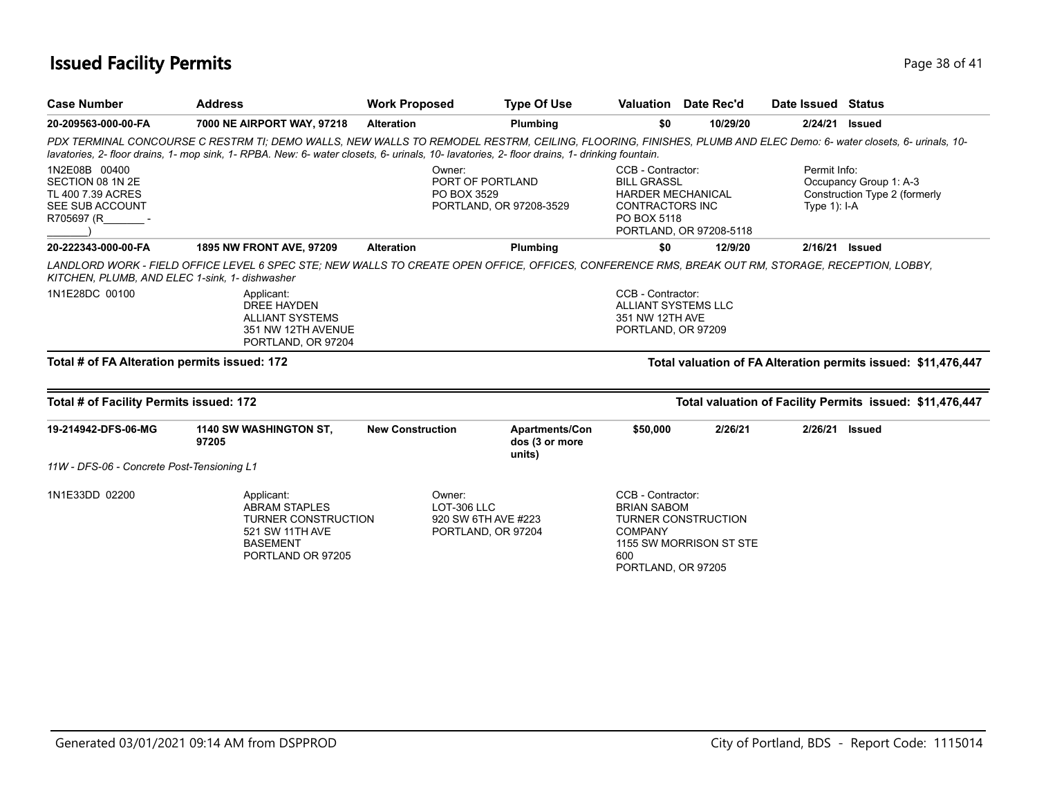### **Issued Facility Permits** Provide a strategies of 41 and 200 minutes and 200 minutes of 41 and 200 minutes and 200 minutes and 200 minutes and 200 minutes and 200 minutes and 200 minutes and 200 minutes and 200 minutes and

| 20-209563-000-00-FA                                                                                                      | 7000 NE AIRPORT WAY, 97218                                                                                                                        | <b>Alteration</b>                                                    | Plumbing                         | \$0                                                                                                                                     | 10/29/20 | 2/24/21 Issued                                                                                                                                                   |  |  |
|--------------------------------------------------------------------------------------------------------------------------|---------------------------------------------------------------------------------------------------------------------------------------------------|----------------------------------------------------------------------|----------------------------------|-----------------------------------------------------------------------------------------------------------------------------------------|----------|------------------------------------------------------------------------------------------------------------------------------------------------------------------|--|--|
|                                                                                                                          | lavatories, 2-floor drains, 1- mop sink, 1- RPBA. New: 6- water closets, 6- urinals, 10- lavatories, 2-floor drains, 1- drinking fountain.        |                                                                      |                                  |                                                                                                                                         |          | PDX TERMINAL CONCOURSE C RESTRM TI; DEMO WALLS, NEW WALLS TO REMODEL RESTRM, CEILING, FLOORING, FINISHES, PLUMB AND ELEC Demo: 6- water closets, 6- urinals, 10- |  |  |
| 1N2E08B 00400<br>SECTION 08 1N 2E<br>TL 400 7.39 ACRES<br>SEE SUB ACCOUNT<br>R705697 (R                                  |                                                                                                                                                   | Owner:<br>PORT OF PORTLAND<br>PO BOX 3529<br>PORTLAND, OR 97208-3529 |                                  | CCB - Contractor:<br><b>BILL GRASSL</b><br><b>HARDER MECHANICAL</b><br><b>CONTRACTORS INC</b><br>PO BOX 5118<br>PORTLAND, OR 97208-5118 |          | Permit Info:<br>Occupancy Group 1: A-3<br>Construction Type 2 (formerly<br>Type $1$ : I-A                                                                        |  |  |
| 20-222343-000-00-FA                                                                                                      | 1895 NW FRONT AVE, 97209                                                                                                                          | <b>Alteration</b>                                                    | Plumbing                         | \$0                                                                                                                                     | 12/9/20  | 2/16/21<br>Issued                                                                                                                                                |  |  |
| KITCHEN, PLUMB, AND ELEC 1-sink, 1- dishwasher                                                                           | LANDLORD WORK - FIELD OFFICE LEVEL 6 SPEC STE; NEW WALLS TO CREATE OPEN OFFICE, OFFICES, CONFERENCE RMS, BREAK OUT RM, STORAGE, RECEPTION, LOBBY, |                                                                      |                                  |                                                                                                                                         |          |                                                                                                                                                                  |  |  |
| 1N1E28DC 00100<br>Applicant:<br><b>DREE HAYDEN</b><br><b>ALLIANT SYSTEMS</b><br>351 NW 12TH AVENUE<br>PORTLAND, OR 97204 |                                                                                                                                                   |                                                                      |                                  | CCB - Contractor:<br><b>ALLIANT SYSTEMS LLC</b><br>351 NW 12TH AVE<br>PORTLAND, OR 97209                                                |          |                                                                                                                                                                  |  |  |
| Total # of FA Alteration permits issued: 172                                                                             |                                                                                                                                                   |                                                                      |                                  |                                                                                                                                         |          | Total valuation of FA Alteration permits issued: \$11,476,447                                                                                                    |  |  |
|                                                                                                                          |                                                                                                                                                   |                                                                      |                                  |                                                                                                                                         |          |                                                                                                                                                                  |  |  |
| Total # of Facility Permits issued: 172                                                                                  |                                                                                                                                                   |                                                                      |                                  |                                                                                                                                         |          | Total valuation of Facility Permits issued: \$11,476,447                                                                                                         |  |  |
| 19-214942-DFS-06-MG                                                                                                      | <b>1140 SW WASHINGTON ST,</b><br>97205                                                                                                            | <b>New Construction</b>                                              | Apartments/Con<br>dos (3 or more | \$50,000                                                                                                                                | 2/26/21  | 2/26/21<br><b>Issued</b>                                                                                                                                         |  |  |
| 11W - DFS-06 - Concrete Post-Tensioning L1                                                                               |                                                                                                                                                   |                                                                      | units)                           |                                                                                                                                         |          |                                                                                                                                                                  |  |  |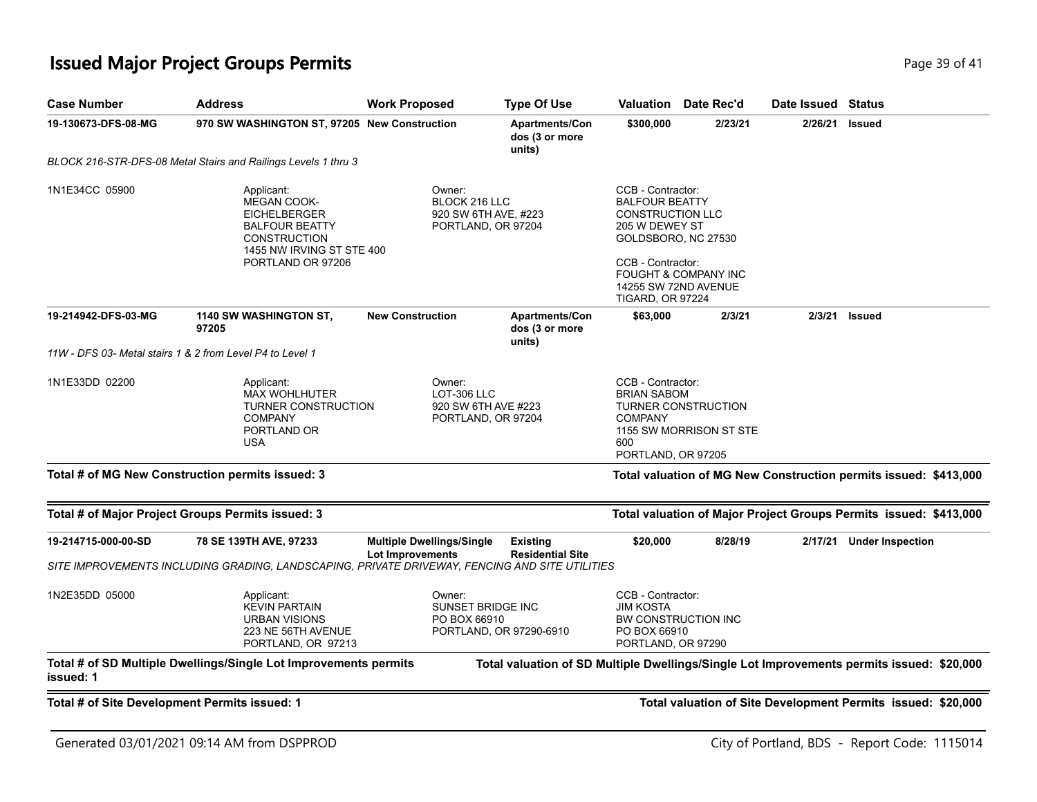## **Issued Major Project Groups Permits Page 19 of 41 Page 39 of 41 Page 39 of 41**

| <b>Case Number</b>                            | <b>Address</b>                                                                                                                                            | <b>Work Proposed</b>                                                   | <b>Type Of Use</b>                                                                                 | Valuation                                                                                                                                                                                                                 | Date Rec'd              | Date Issued Status |                                                                                           |
|-----------------------------------------------|-----------------------------------------------------------------------------------------------------------------------------------------------------------|------------------------------------------------------------------------|----------------------------------------------------------------------------------------------------|---------------------------------------------------------------------------------------------------------------------------------------------------------------------------------------------------------------------------|-------------------------|--------------------|-------------------------------------------------------------------------------------------|
| 19-130673-DFS-08-MG                           | 970 SW WASHINGTON ST, 97205 New Construction                                                                                                              |                                                                        | <b>Apartments/Con</b><br>dos (3 or more<br>units)                                                  | \$300,000                                                                                                                                                                                                                 | 2/23/21                 | 2/26/21            | <b>Issued</b>                                                                             |
|                                               | BLOCK 216-STR-DFS-08 Metal Stairs and Railings Levels 1 thru 3                                                                                            |                                                                        |                                                                                                    |                                                                                                                                                                                                                           |                         |                    |                                                                                           |
| 1N1E34CC 05900                                | Applicant:<br><b>MEGAN COOK-</b><br><b>EICHELBERGER</b><br><b>BALFOUR BEATTY</b><br><b>CONSTRUCTION</b><br>1455 NW IRVING ST STE 400<br>PORTLAND OR 97206 | Owner:<br>BLOCK 216 LLC<br>920 SW 6TH AVE, #223<br>PORTLAND, OR 97204  |                                                                                                    | CCB - Contractor:<br><b>BALFOUR BEATTY</b><br><b>CONSTRUCTION LLC</b><br>205 W DEWEY ST<br>GOLDSBORO, NC 27530<br>CCB - Contractor:<br><b>FOUGHT &amp; COMPANY INC</b><br>14255 SW 72ND AVENUE<br><b>TIGARD, OR 97224</b> |                         |                    |                                                                                           |
| 19-214942-DFS-03-MG                           | 1140 SW WASHINGTON ST,<br>97205                                                                                                                           | <b>New Construction</b>                                                | <b>Apartments/Con</b><br>dos (3 or more<br>units)                                                  | \$63,000                                                                                                                                                                                                                  | 2/3/21                  | 2/3/21             | <b>Issued</b>                                                                             |
|                                               | 11W - DFS 03- Metal stairs 1 & 2 from Level P4 to Level 1                                                                                                 |                                                                        |                                                                                                    |                                                                                                                                                                                                                           |                         |                    |                                                                                           |
| 1N1E33DD 02200                                | Applicant:<br><b>MAX WOHLHUTER</b><br>TURNER CONSTRUCTION<br><b>COMPANY</b><br>PORTLAND OR<br><b>USA</b>                                                  | Owner:<br>LOT-306 LLC<br>920 SW 6TH AVE #223<br>PORTLAND, OR 97204     |                                                                                                    | CCB - Contractor:<br><b>BRIAN SABOM</b><br>TURNER CONSTRUCTION<br><b>COMPANY</b><br>600<br>PORTLAND, OR 97205                                                                                                             | 1155 SW MORRISON ST STE |                    |                                                                                           |
|                                               | Total # of MG New Construction permits issued: 3                                                                                                          |                                                                        |                                                                                                    |                                                                                                                                                                                                                           |                         |                    | Total valuation of MG New Construction permits issued: \$413,000                          |
|                                               | Total # of Major Project Groups Permits issued: 3                                                                                                         |                                                                        |                                                                                                    |                                                                                                                                                                                                                           |                         |                    | Total valuation of Major Project Groups Permits issued: \$413,000                         |
| 19-214715-000-00-SD                           | 78 SE 139TH AVE, 97233<br>SITE IMPROVEMENTS INCLUDING GRADING, LANDSCAPING, PRIVATE DRIVEWAY, FENCING AND SITE UTILITIES                                  | <b>Multiple Dwellings/Single</b><br>Lot Improvements                   | <b>Existing</b><br><b>Residential Site</b>                                                         | \$20,000                                                                                                                                                                                                                  | 8/28/19                 |                    | 2/17/21 Under Inspection                                                                  |
| 1N2E35DD 05000                                | Applicant:<br><b>KEVIN PARTAIN</b><br><b>URBAN VISIONS</b><br>223 NE 56TH AVENUE<br>PORTLAND, OR 97213                                                    | Owner:<br>SUNSET BRIDGE INC<br>PO BOX 66910<br>PORTLAND, OR 97290-6910 | CCB - Contractor:<br><b>JIM KOSTA</b><br>BW CONSTRUCTION INC<br>PO BOX 66910<br>PORTLAND, OR 97290 |                                                                                                                                                                                                                           |                         |                    |                                                                                           |
| issued: 1                                     | Total # of SD Multiple Dwellings/Single Lot Improvements permits                                                                                          |                                                                        |                                                                                                    |                                                                                                                                                                                                                           |                         |                    | Total valuation of SD Multiple Dwellings/Single Lot Improvements permits issued: \$20,000 |
| Total # of Site Development Permits issued: 1 |                                                                                                                                                           |                                                                        |                                                                                                    |                                                                                                                                                                                                                           |                         |                    | Total valuation of Site Development Permits issued: \$20,000                              |

Generated 03/01/2021 09:14 AM from DSPPROD City of Portland, BDS - Report Code: 1115014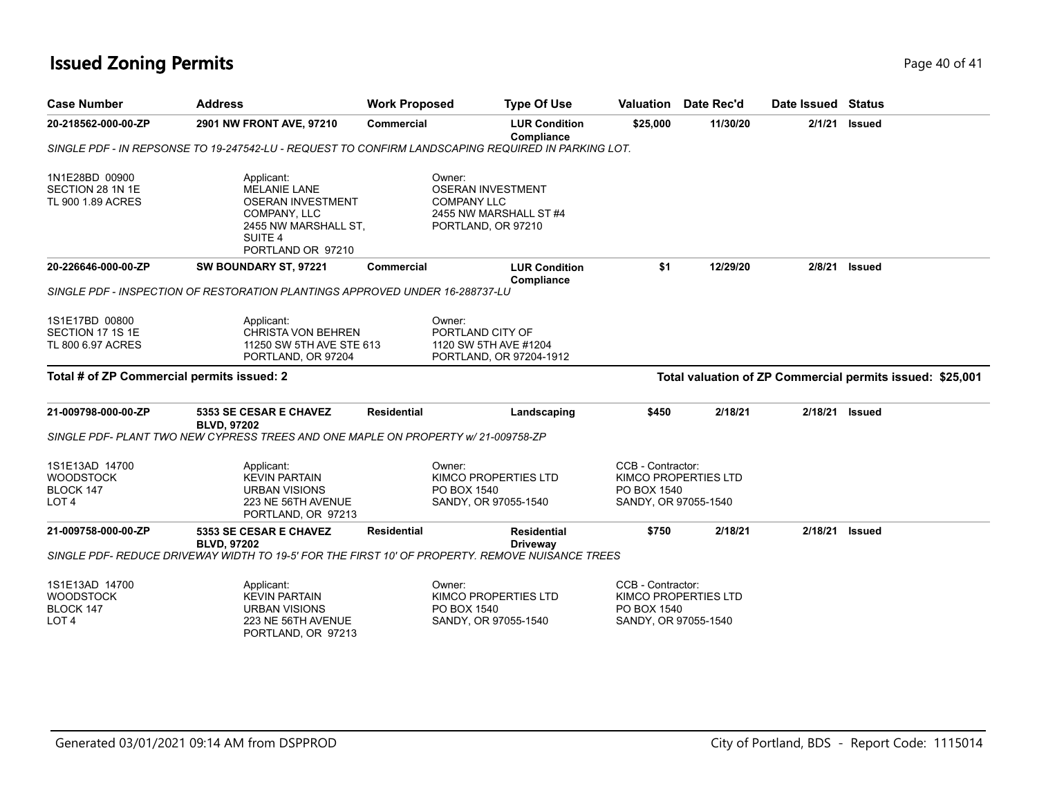## **Issued Zoning Permits** Page 40 of 41

| <b>Case Number</b>                                                  | <b>Address</b>                                                                                                                          | <b>Work Proposed</b> | <b>Type Of Use</b>                                                                                       |                                                          | <b>Valuation</b> Date Rec'd | Date Issued Status |                                                           |
|---------------------------------------------------------------------|-----------------------------------------------------------------------------------------------------------------------------------------|----------------------|----------------------------------------------------------------------------------------------------------|----------------------------------------------------------|-----------------------------|--------------------|-----------------------------------------------------------|
| 20-218562-000-00-ZP                                                 | 2901 NW FRONT AVE, 97210                                                                                                                | <b>Commercial</b>    | <b>LUR Condition</b><br>Compliance                                                                       | \$25,000                                                 | 11/30/20                    | 2/1/21             | <b>Issued</b>                                             |
|                                                                     | SINGLE PDF - IN REPSONSE TO 19-247542-LU - REQUEST TO CONFIRM LANDSCAPING REQUIRED IN PARKING LOT.                                      |                      |                                                                                                          |                                                          |                             |                    |                                                           |
| 1N1E28BD 00900<br>SECTION 28 1N 1E<br>TL 900 1.89 ACRES             | Applicant:<br><b>MELANIE LANE</b><br><b>OSERAN INVESTMENT</b><br>COMPANY, LLC<br>2455 NW MARSHALL ST,<br>SUITE 4<br>PORTLAND OR 97210   |                      | Owner:<br><b>OSERAN INVESTMENT</b><br><b>COMPANY LLC</b><br>2455 NW MARSHALL ST #4<br>PORTLAND, OR 97210 |                                                          |                             |                    |                                                           |
| 20-226646-000-00-ZP                                                 | SW BOUNDARY ST, 97221                                                                                                                   | <b>Commercial</b>    | <b>LUR Condition</b><br>Compliance                                                                       | \$1                                                      | 12/29/20                    | 2/8/21             | <b>Issued</b>                                             |
|                                                                     | SINGLE PDF - INSPECTION OF RESTORATION PLANTINGS APPROVED UNDER 16-288737-LU                                                            |                      |                                                                                                          |                                                          |                             |                    |                                                           |
| 1S1E17BD 00800<br>SECTION 17 1S 1E<br>TL 800 6.97 ACRES             | Applicant:<br><b>CHRISTA VON BEHREN</b><br>11250 SW 5TH AVE STE 613<br>PORTLAND, OR 97204                                               |                      | Owner:<br>PORTLAND CITY OF<br>1120 SW 5TH AVE #1204<br>PORTLAND, OR 97204-1912                           |                                                          |                             |                    |                                                           |
| Total # of ZP Commercial permits issued: 2                          |                                                                                                                                         |                      |                                                                                                          |                                                          |                             |                    | Total valuation of ZP Commercial permits issued: \$25,001 |
| 21-009798-000-00-ZP                                                 | <b>5353 SE CESAR E CHAVEZ</b><br><b>BLVD, 97202</b><br>SINGLE PDF- PLANT TWO NEW CYPRESS TREES AND ONE MAPLE ON PROPERTY W/21-009758-ZP | <b>Residential</b>   | Landscaping                                                                                              | \$450                                                    | 2/18/21                     | 2/18/21            | <b>Issued</b>                                             |
| 1S1E13AD 14700<br><b>WOODSTOCK</b><br>BLOCK 147<br>LOT <sub>4</sub> | Applicant:<br><b>KEVIN PARTAIN</b><br><b>URBAN VISIONS</b><br>223 NE 56TH AVENUE<br>PORTLAND, OR 97213                                  |                      | Owner:<br>KIMCO PROPERTIES LTD<br>PO BOX 1540<br>SANDY, OR 97055-1540                                    | CCB - Contractor:<br>PO BOX 1540<br>SANDY, OR 97055-1540 | KIMCO PROPERTIES LTD        |                    |                                                           |
| 21-009758-000-00-ZP                                                 | 5353 SE CESAR E CHAVEZ<br><b>BLVD, 97202</b>                                                                                            | <b>Residential</b>   | <b>Residential</b><br><b>Driveway</b>                                                                    | \$750                                                    | 2/18/21                     | 2/18/21            | <b>Issued</b>                                             |
|                                                                     | SINGLE PDF- REDUCE DRIVEWAY WIDTH TO 19-5' FOR THE FIRST 10' OF PROPERTY. REMOVE NUISANCE TREES                                         |                      |                                                                                                          |                                                          |                             |                    |                                                           |
| 1S1E13AD 14700<br><b>WOODSTOCK</b><br>BLOCK 147<br>LOT <sub>4</sub> | Applicant:<br><b>KEVIN PARTAIN</b><br><b>URBAN VISIONS</b><br>223 NE 56TH AVENUE<br>PORTLAND, OR 97213                                  |                      | Owner:<br>KIMCO PROPERTIES LTD<br>PO BOX 1540<br>SANDY, OR 97055-1540                                    | CCB - Contractor:<br>PO BOX 1540<br>SANDY, OR 97055-1540 | KIMCO PROPERTIES LTD        |                    |                                                           |